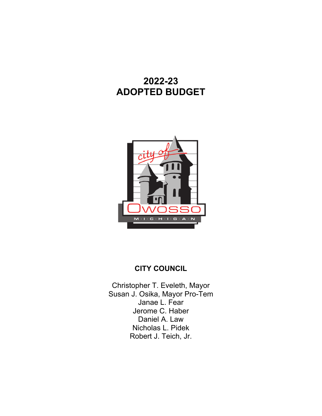## **2022-23 ADOPTED BUDGET**



### **CITY COUNCIL**

Christopher T. Eveleth, Mayor Susan J. Osika, Mayor Pro-Tem Janae L. Fear Jerome C. Haber Daniel A. Law Nicholas L. Pidek Robert J. Teich, Jr.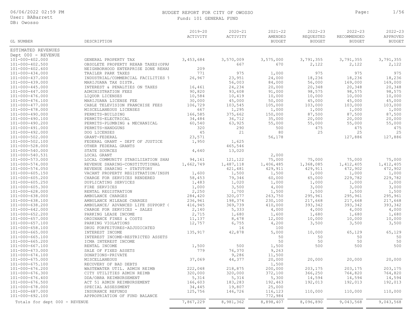User: BABarrett DB: Owosso

## BUDGET REPORT FOR CITY OF OWOSSO Page: 1/56

|  | Fund: 101 GENERAL FUND |  |
|--|------------------------|--|
|  |                        |  |

| ESTIMATED REVENUES<br>Dept 000 - REVENUE<br>$101 - 000 - 402.000$<br>3,570,009<br>3,575,000<br>3,791,355<br>3,791,355<br>3,453,684<br>3,791,355<br>GENERAL PROPERTY TAX<br>$101 - 000 - 402.500$<br>667<br>670<br>2,122<br>2,122<br>2,122<br>OBSOLETE PROPERTY REHAB TAXES (OPRA<br>$101 - 000 - 402.600$<br>209<br>NEIGHBORHOOD ENTERPRISE ZONE REHAH<br>771<br>975<br>975<br>975<br>$101 - 000 - 434.000$<br>1,000<br>975<br>TRAILER PARK TAXES<br>26,967<br>23,951<br>18,236<br>$101 - 000 - 437.000$<br>INDUSTRIAL/COMMERCIAL FACILITIES 1<br>24,000<br>18,236<br>18,236<br>56,003<br>84,000<br>56,000<br>169,000<br>169,000<br>101-000-439.000<br>MARIJUANA TAX DISTR.<br>24,234<br>20,348<br>20,348<br>$101 - 000 - 445.000$<br>20,000<br>20,348<br>INTEREST & PENALTIES ON TAXES<br>16,461<br>98,575<br>101-000-447.000<br>90,820<br>93,608<br>91,000<br>98,575<br>98,575<br>ADMINISTRATION FEES<br>10,584<br>10,000<br>101-000-476.000<br>10,419<br>10,000<br>10,000<br>10,000<br>LIQUOR LICENSES<br>101-000-476.100<br>30,000<br>45,000<br>50,000<br>45,000<br>45,000<br>45,000<br>MARIJUANA LICENSE FEE<br>103,545<br>103,000<br>$101 - 000 - 477.000$<br>106,729<br>105,000<br>103,000<br>103,000<br>CABLE TELEVISION FRANCHISE FEES<br>667<br>1,295<br>1,000<br>1,000<br>1,000<br>101-000-478.000<br>MISCELLANEOUS LICENSES<br>1,000<br>166,585<br>375,662<br>87,500<br>87,500<br>87,500<br>101-000-490.000<br>PERMITS-BUILDING<br>150,000<br>101-000-490.100<br>PERMITS-ELECTRICAL<br>36,712<br>35,000<br>20,000<br>20,000<br>20,000<br>34,484<br>63,925<br>101-000-490.200<br>PERMITS-PLUMBING & MECHANICAL<br>60,540<br>55,000<br>55,000<br>55,000<br>55,000<br>320<br>290<br>475<br>475<br>475<br>101-000-491.000<br>PERMITS-HANDGUNS<br>500<br>25<br>101-000-492.000<br>45<br>21<br>25<br>25<br>DOG LICENSES<br>80<br>101-000-502.000<br>GRANT-FEDERAL<br>23,571<br>56,178<br>127,886<br>127,886<br>101-000-502.100<br>1,950<br>1,625<br>FEDERAL GRANT - DEPT OF JUSTICE<br>101-000-528.000<br>OTHER FEDERAL GRANTS<br>465,546<br>13,020<br>101-000-540.000<br>STATE SOURCES<br>4,640<br>101-000-540.531<br>LOCAL GRANT<br>2,000<br>101-000-573.000<br>94,161<br>121,122<br>75,000<br>75,000<br>75,000<br>75,000<br>LOCAL COMMUNITY STABILIZATION SHAF<br>1,406,485<br>1, 412, 405<br>1,412,405<br>101-000-574.000<br>REVENUE SHARING-CONSTITUTIONAL<br>1,662,749<br>1,487,118<br>1,368,085<br>101-000-574.050<br>REVENUE SHARING - STATUTORY<br>421,481<br>429,911<br>429,911<br>472,902<br>472,902<br>1,500<br>1,500<br>1,000<br>1,000<br>$101 - 000 - 605.150$<br>VACANT PROPERTY REGISTRATION/INSPH<br>1,600<br>1,000<br>101-000-605.200<br>CHARGE FOR SERVICES RENDERED<br>58,453<br>79,346<br>60,000<br>65,000<br>229,782<br>229,782<br>1,020<br>1,000<br>1,000<br>1,000<br>1,000<br>$101 - 000 - 605.250$<br>DUPLICATING SERVICES<br>1,483<br>1,000<br>$101 - 000 - 605.300$<br>FIRE SERVICES<br>3,500<br>4,000<br>3,000<br>3,000<br>3,000<br>2,250<br>1,500<br>$101 - 000 - 628.000$<br>1,700<br>1,500<br>1,500<br>1,500<br>RENTAL REGISTRATION<br>284,420<br>320,077<br>263,750<br>295,961<br>295,961<br>101-000-638.000<br>AMBULANCE CHARGES<br>295,961<br>101-000-638.100<br>236,961<br>198,374<br>217,668<br>AMBULANCE MILEAGE CHARGES<br>230,100<br>217,668<br>217,668<br>369,739<br>101-000-638.200<br>416,945<br>410,000<br>393,342<br>393,342<br>393,342<br>AMBULANCE/ ADVANCED LIFE SUPPORT (<br>$101 - 000 - 642.000$<br>2,140<br>5,333<br>4,000<br>4,000<br>4,000<br>4,000<br>CHARGE FOR SERVICES - SALES<br>101-000-652.200<br>PARKING LEASE INCOME<br>2,715<br>1,680<br>1,600<br>1,680<br>1,680<br>1,680<br>$101 - 000 - 657.000$<br>8,678<br>12,000<br>10,000<br>10,000<br>10,000<br>ORDINANCE FINES & COSTS<br>11,137<br>101-000-657.100<br>12,757<br>6,755<br>4,200<br>3,500<br>3,500<br>3,500<br>PARKING VIOLATIONS<br>$101 - 000 - 658.100$<br>DRUG FORFEITURES-ADJUDICATED<br>16<br>100<br>$101 - 000 - 665.000$<br>INTEREST INCOME<br>135,917<br>42,878<br>5,000<br>10,000<br>65,129<br>65,129<br>50<br>50<br>50<br>$101 - 000 - 665.100$<br>INTEREST INCOME-RESTRICTED ASSETS<br>50<br>50<br>50<br>50<br>50<br>$101 - 000 - 665.200$<br>ICMA INTEREST INCOME<br>500<br>101-000-667.100<br>RENTAL INCOME<br>1,500<br>1,500<br>500<br>500<br>500<br>779<br>76,370<br>$101 - 000 - 673.000$<br>SALE OF FIXED ASSETS<br>9,263<br>9,286<br>101-000-674.100<br>DONATIONS-PRIVATE<br>11,500<br>$101 - 000 - 675.000$<br>37,069<br>44,377<br>20,000<br>20,000<br>20,000<br>20,000<br>MISCELLANEOUS<br>$101 - 000 - 675.100$<br>1,500<br>RECOVERY OF BAD DEBTS<br>203,175<br>101-000-676.200<br>WASTEWATER UTIL. ADMIN REIMB<br>222,048<br>218,875<br>200,000<br>203,175<br>203,175<br>101-000-676.300<br>320,000<br>320,000<br>372,100<br>366,250<br>764,820<br>764,820<br>CITY UTILITIES ADMIN REIMB<br>$101 - 000 - 676.400$<br>5,314<br>5,314<br>5,300<br>14,594<br>14,594<br>14,594<br>DDA/OBRA REIMBURSEMENT<br>183,283<br>101-000-676.500<br>ACT 51 ADMIN REIMBURSEMENT<br>166,603<br>192,463<br>192,013<br>192,013<br>192,013<br>19,807<br>$101 - 000 - 678.000$<br>SPECIAL ASSESSMENT<br>34,445<br>25,000<br>101-000-687.000<br>INSURANCE REFUNDS<br>146,726<br>116,123<br>110,000<br>125,756<br>110,000<br>110,000<br>101-000-692.100<br>APPROPRIATION OF FUND BALANCE<br>772,984<br>8,898,407<br>7,867,229<br>8,981,362<br>8,096,890<br>9,043,568<br>9,043,568<br>Totals for dept 000 - REVENUE | GL NUMBER | DESCRIPTION | $2019 - 20$<br>ACTIVITY | $2020 - 21$<br>ACTIVITY | $2021 - 22$<br>AMENDED<br><b>BUDGET</b> | $2022 - 23$<br>REQUESTED<br><b>BUDGET</b> | $2022 - 23$<br>RECOMMENDED<br><b>BUDGET</b> | $2022 - 23$<br>APPROVED<br><b>BUDGET</b> |
|-------------------------------------------------------------------------------------------------------------------------------------------------------------------------------------------------------------------------------------------------------------------------------------------------------------------------------------------------------------------------------------------------------------------------------------------------------------------------------------------------------------------------------------------------------------------------------------------------------------------------------------------------------------------------------------------------------------------------------------------------------------------------------------------------------------------------------------------------------------------------------------------------------------------------------------------------------------------------------------------------------------------------------------------------------------------------------------------------------------------------------------------------------------------------------------------------------------------------------------------------------------------------------------------------------------------------------------------------------------------------------------------------------------------------------------------------------------------------------------------------------------------------------------------------------------------------------------------------------------------------------------------------------------------------------------------------------------------------------------------------------------------------------------------------------------------------------------------------------------------------------------------------------------------------------------------------------------------------------------------------------------------------------------------------------------------------------------------------------------------------------------------------------------------------------------------------------------------------------------------------------------------------------------------------------------------------------------------------------------------------------------------------------------------------------------------------------------------------------------------------------------------------------------------------------------------------------------------------------------------------------------------------------------------------------------------------------------------------------------------------------------------------------------------------------------------------------------------------------------------------------------------------------------------------------------------------------------------------------------------------------------------------------------------------------------------------------------------------------------------------------------------------------------------------------------------------------------------------------------------------------------------------------------------------------------------------------------------------------------------------------------------------------------------------------------------------------------------------------------------------------------------------------------------------------------------------------------------------------------------------------------------------------------------------------------------------------------------------------------------------------------------------------------------------------------------------------------------------------------------------------------------------------------------------------------------------------------------------------------------------------------------------------------------------------------------------------------------------------------------------------------------------------------------------------------------------------------------------------------------------------------------------------------------------------------------------------------------------------------------------------------------------------------------------------------------------------------------------------------------------------------------------------------------------------------------------------------------------------------------------------------------------------------------------------------------------------------------------------------------------------------------------------------------------------------------------------------------------------------------------------------------------------------------------------------------------------------------------------------------------------------------------------------------------------------------------------------------------------------------------------------------------------------------------------------------------------------------------------------------------------------------------------------------------------------------------------------------------------------------------------------------------------------------------------------------------|-----------|-------------|-------------------------|-------------------------|-----------------------------------------|-------------------------------------------|---------------------------------------------|------------------------------------------|
|                                                                                                                                                                                                                                                                                                                                                                                                                                                                                                                                                                                                                                                                                                                                                                                                                                                                                                                                                                                                                                                                                                                                                                                                                                                                                                                                                                                                                                                                                                                                                                                                                                                                                                                                                                                                                                                                                                                                                                                                                                                                                                                                                                                                                                                                                                                                                                                                                                                                                                                                                                                                                                                                                                                                                                                                                                                                                                                                                                                                                                                                                                                                                                                                                                                                                                                                                                                                                                                                                                                                                                                                                                                                                                                                                                                                                                                                                                                                                                                                                                                                                                                                                                                                                                                                                                                                                                                                                                                                                                                                                                                                                                                                                                                                                                                                                                                                                                                                                                                                                                                                                                                                                                                                                                                                                                                                                                                                                                                 |           |             |                         |                         |                                         |                                           |                                             |                                          |
|                                                                                                                                                                                                                                                                                                                                                                                                                                                                                                                                                                                                                                                                                                                                                                                                                                                                                                                                                                                                                                                                                                                                                                                                                                                                                                                                                                                                                                                                                                                                                                                                                                                                                                                                                                                                                                                                                                                                                                                                                                                                                                                                                                                                                                                                                                                                                                                                                                                                                                                                                                                                                                                                                                                                                                                                                                                                                                                                                                                                                                                                                                                                                                                                                                                                                                                                                                                                                                                                                                                                                                                                                                                                                                                                                                                                                                                                                                                                                                                                                                                                                                                                                                                                                                                                                                                                                                                                                                                                                                                                                                                                                                                                                                                                                                                                                                                                                                                                                                                                                                                                                                                                                                                                                                                                                                                                                                                                                                                 |           |             |                         |                         |                                         |                                           |                                             |                                          |
|                                                                                                                                                                                                                                                                                                                                                                                                                                                                                                                                                                                                                                                                                                                                                                                                                                                                                                                                                                                                                                                                                                                                                                                                                                                                                                                                                                                                                                                                                                                                                                                                                                                                                                                                                                                                                                                                                                                                                                                                                                                                                                                                                                                                                                                                                                                                                                                                                                                                                                                                                                                                                                                                                                                                                                                                                                                                                                                                                                                                                                                                                                                                                                                                                                                                                                                                                                                                                                                                                                                                                                                                                                                                                                                                                                                                                                                                                                                                                                                                                                                                                                                                                                                                                                                                                                                                                                                                                                                                                                                                                                                                                                                                                                                                                                                                                                                                                                                                                                                                                                                                                                                                                                                                                                                                                                                                                                                                                                                 |           |             |                         |                         |                                         |                                           |                                             |                                          |
|                                                                                                                                                                                                                                                                                                                                                                                                                                                                                                                                                                                                                                                                                                                                                                                                                                                                                                                                                                                                                                                                                                                                                                                                                                                                                                                                                                                                                                                                                                                                                                                                                                                                                                                                                                                                                                                                                                                                                                                                                                                                                                                                                                                                                                                                                                                                                                                                                                                                                                                                                                                                                                                                                                                                                                                                                                                                                                                                                                                                                                                                                                                                                                                                                                                                                                                                                                                                                                                                                                                                                                                                                                                                                                                                                                                                                                                                                                                                                                                                                                                                                                                                                                                                                                                                                                                                                                                                                                                                                                                                                                                                                                                                                                                                                                                                                                                                                                                                                                                                                                                                                                                                                                                                                                                                                                                                                                                                                                                 |           |             |                         |                         |                                         |                                           |                                             |                                          |
|                                                                                                                                                                                                                                                                                                                                                                                                                                                                                                                                                                                                                                                                                                                                                                                                                                                                                                                                                                                                                                                                                                                                                                                                                                                                                                                                                                                                                                                                                                                                                                                                                                                                                                                                                                                                                                                                                                                                                                                                                                                                                                                                                                                                                                                                                                                                                                                                                                                                                                                                                                                                                                                                                                                                                                                                                                                                                                                                                                                                                                                                                                                                                                                                                                                                                                                                                                                                                                                                                                                                                                                                                                                                                                                                                                                                                                                                                                                                                                                                                                                                                                                                                                                                                                                                                                                                                                                                                                                                                                                                                                                                                                                                                                                                                                                                                                                                                                                                                                                                                                                                                                                                                                                                                                                                                                                                                                                                                                                 |           |             |                         |                         |                                         |                                           |                                             |                                          |
|                                                                                                                                                                                                                                                                                                                                                                                                                                                                                                                                                                                                                                                                                                                                                                                                                                                                                                                                                                                                                                                                                                                                                                                                                                                                                                                                                                                                                                                                                                                                                                                                                                                                                                                                                                                                                                                                                                                                                                                                                                                                                                                                                                                                                                                                                                                                                                                                                                                                                                                                                                                                                                                                                                                                                                                                                                                                                                                                                                                                                                                                                                                                                                                                                                                                                                                                                                                                                                                                                                                                                                                                                                                                                                                                                                                                                                                                                                                                                                                                                                                                                                                                                                                                                                                                                                                                                                                                                                                                                                                                                                                                                                                                                                                                                                                                                                                                                                                                                                                                                                                                                                                                                                                                                                                                                                                                                                                                                                                 |           |             |                         |                         |                                         |                                           |                                             |                                          |
|                                                                                                                                                                                                                                                                                                                                                                                                                                                                                                                                                                                                                                                                                                                                                                                                                                                                                                                                                                                                                                                                                                                                                                                                                                                                                                                                                                                                                                                                                                                                                                                                                                                                                                                                                                                                                                                                                                                                                                                                                                                                                                                                                                                                                                                                                                                                                                                                                                                                                                                                                                                                                                                                                                                                                                                                                                                                                                                                                                                                                                                                                                                                                                                                                                                                                                                                                                                                                                                                                                                                                                                                                                                                                                                                                                                                                                                                                                                                                                                                                                                                                                                                                                                                                                                                                                                                                                                                                                                                                                                                                                                                                                                                                                                                                                                                                                                                                                                                                                                                                                                                                                                                                                                                                                                                                                                                                                                                                                                 |           |             |                         |                         |                                         |                                           |                                             |                                          |
|                                                                                                                                                                                                                                                                                                                                                                                                                                                                                                                                                                                                                                                                                                                                                                                                                                                                                                                                                                                                                                                                                                                                                                                                                                                                                                                                                                                                                                                                                                                                                                                                                                                                                                                                                                                                                                                                                                                                                                                                                                                                                                                                                                                                                                                                                                                                                                                                                                                                                                                                                                                                                                                                                                                                                                                                                                                                                                                                                                                                                                                                                                                                                                                                                                                                                                                                                                                                                                                                                                                                                                                                                                                                                                                                                                                                                                                                                                                                                                                                                                                                                                                                                                                                                                                                                                                                                                                                                                                                                                                                                                                                                                                                                                                                                                                                                                                                                                                                                                                                                                                                                                                                                                                                                                                                                                                                                                                                                                                 |           |             |                         |                         |                                         |                                           |                                             |                                          |
|                                                                                                                                                                                                                                                                                                                                                                                                                                                                                                                                                                                                                                                                                                                                                                                                                                                                                                                                                                                                                                                                                                                                                                                                                                                                                                                                                                                                                                                                                                                                                                                                                                                                                                                                                                                                                                                                                                                                                                                                                                                                                                                                                                                                                                                                                                                                                                                                                                                                                                                                                                                                                                                                                                                                                                                                                                                                                                                                                                                                                                                                                                                                                                                                                                                                                                                                                                                                                                                                                                                                                                                                                                                                                                                                                                                                                                                                                                                                                                                                                                                                                                                                                                                                                                                                                                                                                                                                                                                                                                                                                                                                                                                                                                                                                                                                                                                                                                                                                                                                                                                                                                                                                                                                                                                                                                                                                                                                                                                 |           |             |                         |                         |                                         |                                           |                                             |                                          |
|                                                                                                                                                                                                                                                                                                                                                                                                                                                                                                                                                                                                                                                                                                                                                                                                                                                                                                                                                                                                                                                                                                                                                                                                                                                                                                                                                                                                                                                                                                                                                                                                                                                                                                                                                                                                                                                                                                                                                                                                                                                                                                                                                                                                                                                                                                                                                                                                                                                                                                                                                                                                                                                                                                                                                                                                                                                                                                                                                                                                                                                                                                                                                                                                                                                                                                                                                                                                                                                                                                                                                                                                                                                                                                                                                                                                                                                                                                                                                                                                                                                                                                                                                                                                                                                                                                                                                                                                                                                                                                                                                                                                                                                                                                                                                                                                                                                                                                                                                                                                                                                                                                                                                                                                                                                                                                                                                                                                                                                 |           |             |                         |                         |                                         |                                           |                                             |                                          |
|                                                                                                                                                                                                                                                                                                                                                                                                                                                                                                                                                                                                                                                                                                                                                                                                                                                                                                                                                                                                                                                                                                                                                                                                                                                                                                                                                                                                                                                                                                                                                                                                                                                                                                                                                                                                                                                                                                                                                                                                                                                                                                                                                                                                                                                                                                                                                                                                                                                                                                                                                                                                                                                                                                                                                                                                                                                                                                                                                                                                                                                                                                                                                                                                                                                                                                                                                                                                                                                                                                                                                                                                                                                                                                                                                                                                                                                                                                                                                                                                                                                                                                                                                                                                                                                                                                                                                                                                                                                                                                                                                                                                                                                                                                                                                                                                                                                                                                                                                                                                                                                                                                                                                                                                                                                                                                                                                                                                                                                 |           |             |                         |                         |                                         |                                           |                                             |                                          |
|                                                                                                                                                                                                                                                                                                                                                                                                                                                                                                                                                                                                                                                                                                                                                                                                                                                                                                                                                                                                                                                                                                                                                                                                                                                                                                                                                                                                                                                                                                                                                                                                                                                                                                                                                                                                                                                                                                                                                                                                                                                                                                                                                                                                                                                                                                                                                                                                                                                                                                                                                                                                                                                                                                                                                                                                                                                                                                                                                                                                                                                                                                                                                                                                                                                                                                                                                                                                                                                                                                                                                                                                                                                                                                                                                                                                                                                                                                                                                                                                                                                                                                                                                                                                                                                                                                                                                                                                                                                                                                                                                                                                                                                                                                                                                                                                                                                                                                                                                                                                                                                                                                                                                                                                                                                                                                                                                                                                                                                 |           |             |                         |                         |                                         |                                           |                                             |                                          |
|                                                                                                                                                                                                                                                                                                                                                                                                                                                                                                                                                                                                                                                                                                                                                                                                                                                                                                                                                                                                                                                                                                                                                                                                                                                                                                                                                                                                                                                                                                                                                                                                                                                                                                                                                                                                                                                                                                                                                                                                                                                                                                                                                                                                                                                                                                                                                                                                                                                                                                                                                                                                                                                                                                                                                                                                                                                                                                                                                                                                                                                                                                                                                                                                                                                                                                                                                                                                                                                                                                                                                                                                                                                                                                                                                                                                                                                                                                                                                                                                                                                                                                                                                                                                                                                                                                                                                                                                                                                                                                                                                                                                                                                                                                                                                                                                                                                                                                                                                                                                                                                                                                                                                                                                                                                                                                                                                                                                                                                 |           |             |                         |                         |                                         |                                           |                                             |                                          |
|                                                                                                                                                                                                                                                                                                                                                                                                                                                                                                                                                                                                                                                                                                                                                                                                                                                                                                                                                                                                                                                                                                                                                                                                                                                                                                                                                                                                                                                                                                                                                                                                                                                                                                                                                                                                                                                                                                                                                                                                                                                                                                                                                                                                                                                                                                                                                                                                                                                                                                                                                                                                                                                                                                                                                                                                                                                                                                                                                                                                                                                                                                                                                                                                                                                                                                                                                                                                                                                                                                                                                                                                                                                                                                                                                                                                                                                                                                                                                                                                                                                                                                                                                                                                                                                                                                                                                                                                                                                                                                                                                                                                                                                                                                                                                                                                                                                                                                                                                                                                                                                                                                                                                                                                                                                                                                                                                                                                                                                 |           |             |                         |                         |                                         |                                           |                                             |                                          |
|                                                                                                                                                                                                                                                                                                                                                                                                                                                                                                                                                                                                                                                                                                                                                                                                                                                                                                                                                                                                                                                                                                                                                                                                                                                                                                                                                                                                                                                                                                                                                                                                                                                                                                                                                                                                                                                                                                                                                                                                                                                                                                                                                                                                                                                                                                                                                                                                                                                                                                                                                                                                                                                                                                                                                                                                                                                                                                                                                                                                                                                                                                                                                                                                                                                                                                                                                                                                                                                                                                                                                                                                                                                                                                                                                                                                                                                                                                                                                                                                                                                                                                                                                                                                                                                                                                                                                                                                                                                                                                                                                                                                                                                                                                                                                                                                                                                                                                                                                                                                                                                                                                                                                                                                                                                                                                                                                                                                                                                 |           |             |                         |                         |                                         |                                           |                                             |                                          |
|                                                                                                                                                                                                                                                                                                                                                                                                                                                                                                                                                                                                                                                                                                                                                                                                                                                                                                                                                                                                                                                                                                                                                                                                                                                                                                                                                                                                                                                                                                                                                                                                                                                                                                                                                                                                                                                                                                                                                                                                                                                                                                                                                                                                                                                                                                                                                                                                                                                                                                                                                                                                                                                                                                                                                                                                                                                                                                                                                                                                                                                                                                                                                                                                                                                                                                                                                                                                                                                                                                                                                                                                                                                                                                                                                                                                                                                                                                                                                                                                                                                                                                                                                                                                                                                                                                                                                                                                                                                                                                                                                                                                                                                                                                                                                                                                                                                                                                                                                                                                                                                                                                                                                                                                                                                                                                                                                                                                                                                 |           |             |                         |                         |                                         |                                           |                                             |                                          |
|                                                                                                                                                                                                                                                                                                                                                                                                                                                                                                                                                                                                                                                                                                                                                                                                                                                                                                                                                                                                                                                                                                                                                                                                                                                                                                                                                                                                                                                                                                                                                                                                                                                                                                                                                                                                                                                                                                                                                                                                                                                                                                                                                                                                                                                                                                                                                                                                                                                                                                                                                                                                                                                                                                                                                                                                                                                                                                                                                                                                                                                                                                                                                                                                                                                                                                                                                                                                                                                                                                                                                                                                                                                                                                                                                                                                                                                                                                                                                                                                                                                                                                                                                                                                                                                                                                                                                                                                                                                                                                                                                                                                                                                                                                                                                                                                                                                                                                                                                                                                                                                                                                                                                                                                                                                                                                                                                                                                                                                 |           |             |                         |                         |                                         |                                           |                                             |                                          |
|                                                                                                                                                                                                                                                                                                                                                                                                                                                                                                                                                                                                                                                                                                                                                                                                                                                                                                                                                                                                                                                                                                                                                                                                                                                                                                                                                                                                                                                                                                                                                                                                                                                                                                                                                                                                                                                                                                                                                                                                                                                                                                                                                                                                                                                                                                                                                                                                                                                                                                                                                                                                                                                                                                                                                                                                                                                                                                                                                                                                                                                                                                                                                                                                                                                                                                                                                                                                                                                                                                                                                                                                                                                                                                                                                                                                                                                                                                                                                                                                                                                                                                                                                                                                                                                                                                                                                                                                                                                                                                                                                                                                                                                                                                                                                                                                                                                                                                                                                                                                                                                                                                                                                                                                                                                                                                                                                                                                                                                 |           |             |                         |                         |                                         |                                           |                                             |                                          |
|                                                                                                                                                                                                                                                                                                                                                                                                                                                                                                                                                                                                                                                                                                                                                                                                                                                                                                                                                                                                                                                                                                                                                                                                                                                                                                                                                                                                                                                                                                                                                                                                                                                                                                                                                                                                                                                                                                                                                                                                                                                                                                                                                                                                                                                                                                                                                                                                                                                                                                                                                                                                                                                                                                                                                                                                                                                                                                                                                                                                                                                                                                                                                                                                                                                                                                                                                                                                                                                                                                                                                                                                                                                                                                                                                                                                                                                                                                                                                                                                                                                                                                                                                                                                                                                                                                                                                                                                                                                                                                                                                                                                                                                                                                                                                                                                                                                                                                                                                                                                                                                                                                                                                                                                                                                                                                                                                                                                                                                 |           |             |                         |                         |                                         |                                           |                                             |                                          |
|                                                                                                                                                                                                                                                                                                                                                                                                                                                                                                                                                                                                                                                                                                                                                                                                                                                                                                                                                                                                                                                                                                                                                                                                                                                                                                                                                                                                                                                                                                                                                                                                                                                                                                                                                                                                                                                                                                                                                                                                                                                                                                                                                                                                                                                                                                                                                                                                                                                                                                                                                                                                                                                                                                                                                                                                                                                                                                                                                                                                                                                                                                                                                                                                                                                                                                                                                                                                                                                                                                                                                                                                                                                                                                                                                                                                                                                                                                                                                                                                                                                                                                                                                                                                                                                                                                                                                                                                                                                                                                                                                                                                                                                                                                                                                                                                                                                                                                                                                                                                                                                                                                                                                                                                                                                                                                                                                                                                                                                 |           |             |                         |                         |                                         |                                           |                                             |                                          |
|                                                                                                                                                                                                                                                                                                                                                                                                                                                                                                                                                                                                                                                                                                                                                                                                                                                                                                                                                                                                                                                                                                                                                                                                                                                                                                                                                                                                                                                                                                                                                                                                                                                                                                                                                                                                                                                                                                                                                                                                                                                                                                                                                                                                                                                                                                                                                                                                                                                                                                                                                                                                                                                                                                                                                                                                                                                                                                                                                                                                                                                                                                                                                                                                                                                                                                                                                                                                                                                                                                                                                                                                                                                                                                                                                                                                                                                                                                                                                                                                                                                                                                                                                                                                                                                                                                                                                                                                                                                                                                                                                                                                                                                                                                                                                                                                                                                                                                                                                                                                                                                                                                                                                                                                                                                                                                                                                                                                                                                 |           |             |                         |                         |                                         |                                           |                                             |                                          |
|                                                                                                                                                                                                                                                                                                                                                                                                                                                                                                                                                                                                                                                                                                                                                                                                                                                                                                                                                                                                                                                                                                                                                                                                                                                                                                                                                                                                                                                                                                                                                                                                                                                                                                                                                                                                                                                                                                                                                                                                                                                                                                                                                                                                                                                                                                                                                                                                                                                                                                                                                                                                                                                                                                                                                                                                                                                                                                                                                                                                                                                                                                                                                                                                                                                                                                                                                                                                                                                                                                                                                                                                                                                                                                                                                                                                                                                                                                                                                                                                                                                                                                                                                                                                                                                                                                                                                                                                                                                                                                                                                                                                                                                                                                                                                                                                                                                                                                                                                                                                                                                                                                                                                                                                                                                                                                                                                                                                                                                 |           |             |                         |                         |                                         |                                           |                                             |                                          |
|                                                                                                                                                                                                                                                                                                                                                                                                                                                                                                                                                                                                                                                                                                                                                                                                                                                                                                                                                                                                                                                                                                                                                                                                                                                                                                                                                                                                                                                                                                                                                                                                                                                                                                                                                                                                                                                                                                                                                                                                                                                                                                                                                                                                                                                                                                                                                                                                                                                                                                                                                                                                                                                                                                                                                                                                                                                                                                                                                                                                                                                                                                                                                                                                                                                                                                                                                                                                                                                                                                                                                                                                                                                                                                                                                                                                                                                                                                                                                                                                                                                                                                                                                                                                                                                                                                                                                                                                                                                                                                                                                                                                                                                                                                                                                                                                                                                                                                                                                                                                                                                                                                                                                                                                                                                                                                                                                                                                                                                 |           |             |                         |                         |                                         |                                           |                                             |                                          |
|                                                                                                                                                                                                                                                                                                                                                                                                                                                                                                                                                                                                                                                                                                                                                                                                                                                                                                                                                                                                                                                                                                                                                                                                                                                                                                                                                                                                                                                                                                                                                                                                                                                                                                                                                                                                                                                                                                                                                                                                                                                                                                                                                                                                                                                                                                                                                                                                                                                                                                                                                                                                                                                                                                                                                                                                                                                                                                                                                                                                                                                                                                                                                                                                                                                                                                                                                                                                                                                                                                                                                                                                                                                                                                                                                                                                                                                                                                                                                                                                                                                                                                                                                                                                                                                                                                                                                                                                                                                                                                                                                                                                                                                                                                                                                                                                                                                                                                                                                                                                                                                                                                                                                                                                                                                                                                                                                                                                                                                 |           |             |                         |                         |                                         |                                           |                                             |                                          |
|                                                                                                                                                                                                                                                                                                                                                                                                                                                                                                                                                                                                                                                                                                                                                                                                                                                                                                                                                                                                                                                                                                                                                                                                                                                                                                                                                                                                                                                                                                                                                                                                                                                                                                                                                                                                                                                                                                                                                                                                                                                                                                                                                                                                                                                                                                                                                                                                                                                                                                                                                                                                                                                                                                                                                                                                                                                                                                                                                                                                                                                                                                                                                                                                                                                                                                                                                                                                                                                                                                                                                                                                                                                                                                                                                                                                                                                                                                                                                                                                                                                                                                                                                                                                                                                                                                                                                                                                                                                                                                                                                                                                                                                                                                                                                                                                                                                                                                                                                                                                                                                                                                                                                                                                                                                                                                                                                                                                                                                 |           |             |                         |                         |                                         |                                           |                                             |                                          |
|                                                                                                                                                                                                                                                                                                                                                                                                                                                                                                                                                                                                                                                                                                                                                                                                                                                                                                                                                                                                                                                                                                                                                                                                                                                                                                                                                                                                                                                                                                                                                                                                                                                                                                                                                                                                                                                                                                                                                                                                                                                                                                                                                                                                                                                                                                                                                                                                                                                                                                                                                                                                                                                                                                                                                                                                                                                                                                                                                                                                                                                                                                                                                                                                                                                                                                                                                                                                                                                                                                                                                                                                                                                                                                                                                                                                                                                                                                                                                                                                                                                                                                                                                                                                                                                                                                                                                                                                                                                                                                                                                                                                                                                                                                                                                                                                                                                                                                                                                                                                                                                                                                                                                                                                                                                                                                                                                                                                                                                 |           |             |                         |                         |                                         |                                           |                                             |                                          |
|                                                                                                                                                                                                                                                                                                                                                                                                                                                                                                                                                                                                                                                                                                                                                                                                                                                                                                                                                                                                                                                                                                                                                                                                                                                                                                                                                                                                                                                                                                                                                                                                                                                                                                                                                                                                                                                                                                                                                                                                                                                                                                                                                                                                                                                                                                                                                                                                                                                                                                                                                                                                                                                                                                                                                                                                                                                                                                                                                                                                                                                                                                                                                                                                                                                                                                                                                                                                                                                                                                                                                                                                                                                                                                                                                                                                                                                                                                                                                                                                                                                                                                                                                                                                                                                                                                                                                                                                                                                                                                                                                                                                                                                                                                                                                                                                                                                                                                                                                                                                                                                                                                                                                                                                                                                                                                                                                                                                                                                 |           |             |                         |                         |                                         |                                           |                                             |                                          |
|                                                                                                                                                                                                                                                                                                                                                                                                                                                                                                                                                                                                                                                                                                                                                                                                                                                                                                                                                                                                                                                                                                                                                                                                                                                                                                                                                                                                                                                                                                                                                                                                                                                                                                                                                                                                                                                                                                                                                                                                                                                                                                                                                                                                                                                                                                                                                                                                                                                                                                                                                                                                                                                                                                                                                                                                                                                                                                                                                                                                                                                                                                                                                                                                                                                                                                                                                                                                                                                                                                                                                                                                                                                                                                                                                                                                                                                                                                                                                                                                                                                                                                                                                                                                                                                                                                                                                                                                                                                                                                                                                                                                                                                                                                                                                                                                                                                                                                                                                                                                                                                                                                                                                                                                                                                                                                                                                                                                                                                 |           |             |                         |                         |                                         |                                           |                                             |                                          |
|                                                                                                                                                                                                                                                                                                                                                                                                                                                                                                                                                                                                                                                                                                                                                                                                                                                                                                                                                                                                                                                                                                                                                                                                                                                                                                                                                                                                                                                                                                                                                                                                                                                                                                                                                                                                                                                                                                                                                                                                                                                                                                                                                                                                                                                                                                                                                                                                                                                                                                                                                                                                                                                                                                                                                                                                                                                                                                                                                                                                                                                                                                                                                                                                                                                                                                                                                                                                                                                                                                                                                                                                                                                                                                                                                                                                                                                                                                                                                                                                                                                                                                                                                                                                                                                                                                                                                                                                                                                                                                                                                                                                                                                                                                                                                                                                                                                                                                                                                                                                                                                                                                                                                                                                                                                                                                                                                                                                                                                 |           |             |                         |                         |                                         |                                           |                                             |                                          |
|                                                                                                                                                                                                                                                                                                                                                                                                                                                                                                                                                                                                                                                                                                                                                                                                                                                                                                                                                                                                                                                                                                                                                                                                                                                                                                                                                                                                                                                                                                                                                                                                                                                                                                                                                                                                                                                                                                                                                                                                                                                                                                                                                                                                                                                                                                                                                                                                                                                                                                                                                                                                                                                                                                                                                                                                                                                                                                                                                                                                                                                                                                                                                                                                                                                                                                                                                                                                                                                                                                                                                                                                                                                                                                                                                                                                                                                                                                                                                                                                                                                                                                                                                                                                                                                                                                                                                                                                                                                                                                                                                                                                                                                                                                                                                                                                                                                                                                                                                                                                                                                                                                                                                                                                                                                                                                                                                                                                                                                 |           |             |                         |                         |                                         |                                           |                                             |                                          |
|                                                                                                                                                                                                                                                                                                                                                                                                                                                                                                                                                                                                                                                                                                                                                                                                                                                                                                                                                                                                                                                                                                                                                                                                                                                                                                                                                                                                                                                                                                                                                                                                                                                                                                                                                                                                                                                                                                                                                                                                                                                                                                                                                                                                                                                                                                                                                                                                                                                                                                                                                                                                                                                                                                                                                                                                                                                                                                                                                                                                                                                                                                                                                                                                                                                                                                                                                                                                                                                                                                                                                                                                                                                                                                                                                                                                                                                                                                                                                                                                                                                                                                                                                                                                                                                                                                                                                                                                                                                                                                                                                                                                                                                                                                                                                                                                                                                                                                                                                                                                                                                                                                                                                                                                                                                                                                                                                                                                                                                 |           |             |                         |                         |                                         |                                           |                                             |                                          |
|                                                                                                                                                                                                                                                                                                                                                                                                                                                                                                                                                                                                                                                                                                                                                                                                                                                                                                                                                                                                                                                                                                                                                                                                                                                                                                                                                                                                                                                                                                                                                                                                                                                                                                                                                                                                                                                                                                                                                                                                                                                                                                                                                                                                                                                                                                                                                                                                                                                                                                                                                                                                                                                                                                                                                                                                                                                                                                                                                                                                                                                                                                                                                                                                                                                                                                                                                                                                                                                                                                                                                                                                                                                                                                                                                                                                                                                                                                                                                                                                                                                                                                                                                                                                                                                                                                                                                                                                                                                                                                                                                                                                                                                                                                                                                                                                                                                                                                                                                                                                                                                                                                                                                                                                                                                                                                                                                                                                                                                 |           |             |                         |                         |                                         |                                           |                                             |                                          |
|                                                                                                                                                                                                                                                                                                                                                                                                                                                                                                                                                                                                                                                                                                                                                                                                                                                                                                                                                                                                                                                                                                                                                                                                                                                                                                                                                                                                                                                                                                                                                                                                                                                                                                                                                                                                                                                                                                                                                                                                                                                                                                                                                                                                                                                                                                                                                                                                                                                                                                                                                                                                                                                                                                                                                                                                                                                                                                                                                                                                                                                                                                                                                                                                                                                                                                                                                                                                                                                                                                                                                                                                                                                                                                                                                                                                                                                                                                                                                                                                                                                                                                                                                                                                                                                                                                                                                                                                                                                                                                                                                                                                                                                                                                                                                                                                                                                                                                                                                                                                                                                                                                                                                                                                                                                                                                                                                                                                                                                 |           |             |                         |                         |                                         |                                           |                                             |                                          |
|                                                                                                                                                                                                                                                                                                                                                                                                                                                                                                                                                                                                                                                                                                                                                                                                                                                                                                                                                                                                                                                                                                                                                                                                                                                                                                                                                                                                                                                                                                                                                                                                                                                                                                                                                                                                                                                                                                                                                                                                                                                                                                                                                                                                                                                                                                                                                                                                                                                                                                                                                                                                                                                                                                                                                                                                                                                                                                                                                                                                                                                                                                                                                                                                                                                                                                                                                                                                                                                                                                                                                                                                                                                                                                                                                                                                                                                                                                                                                                                                                                                                                                                                                                                                                                                                                                                                                                                                                                                                                                                                                                                                                                                                                                                                                                                                                                                                                                                                                                                                                                                                                                                                                                                                                                                                                                                                                                                                                                                 |           |             |                         |                         |                                         |                                           |                                             |                                          |
|                                                                                                                                                                                                                                                                                                                                                                                                                                                                                                                                                                                                                                                                                                                                                                                                                                                                                                                                                                                                                                                                                                                                                                                                                                                                                                                                                                                                                                                                                                                                                                                                                                                                                                                                                                                                                                                                                                                                                                                                                                                                                                                                                                                                                                                                                                                                                                                                                                                                                                                                                                                                                                                                                                                                                                                                                                                                                                                                                                                                                                                                                                                                                                                                                                                                                                                                                                                                                                                                                                                                                                                                                                                                                                                                                                                                                                                                                                                                                                                                                                                                                                                                                                                                                                                                                                                                                                                                                                                                                                                                                                                                                                                                                                                                                                                                                                                                                                                                                                                                                                                                                                                                                                                                                                                                                                                                                                                                                                                 |           |             |                         |                         |                                         |                                           |                                             |                                          |
|                                                                                                                                                                                                                                                                                                                                                                                                                                                                                                                                                                                                                                                                                                                                                                                                                                                                                                                                                                                                                                                                                                                                                                                                                                                                                                                                                                                                                                                                                                                                                                                                                                                                                                                                                                                                                                                                                                                                                                                                                                                                                                                                                                                                                                                                                                                                                                                                                                                                                                                                                                                                                                                                                                                                                                                                                                                                                                                                                                                                                                                                                                                                                                                                                                                                                                                                                                                                                                                                                                                                                                                                                                                                                                                                                                                                                                                                                                                                                                                                                                                                                                                                                                                                                                                                                                                                                                                                                                                                                                                                                                                                                                                                                                                                                                                                                                                                                                                                                                                                                                                                                                                                                                                                                                                                                                                                                                                                                                                 |           |             |                         |                         |                                         |                                           |                                             |                                          |
|                                                                                                                                                                                                                                                                                                                                                                                                                                                                                                                                                                                                                                                                                                                                                                                                                                                                                                                                                                                                                                                                                                                                                                                                                                                                                                                                                                                                                                                                                                                                                                                                                                                                                                                                                                                                                                                                                                                                                                                                                                                                                                                                                                                                                                                                                                                                                                                                                                                                                                                                                                                                                                                                                                                                                                                                                                                                                                                                                                                                                                                                                                                                                                                                                                                                                                                                                                                                                                                                                                                                                                                                                                                                                                                                                                                                                                                                                                                                                                                                                                                                                                                                                                                                                                                                                                                                                                                                                                                                                                                                                                                                                                                                                                                                                                                                                                                                                                                                                                                                                                                                                                                                                                                                                                                                                                                                                                                                                                                 |           |             |                         |                         |                                         |                                           |                                             |                                          |
|                                                                                                                                                                                                                                                                                                                                                                                                                                                                                                                                                                                                                                                                                                                                                                                                                                                                                                                                                                                                                                                                                                                                                                                                                                                                                                                                                                                                                                                                                                                                                                                                                                                                                                                                                                                                                                                                                                                                                                                                                                                                                                                                                                                                                                                                                                                                                                                                                                                                                                                                                                                                                                                                                                                                                                                                                                                                                                                                                                                                                                                                                                                                                                                                                                                                                                                                                                                                                                                                                                                                                                                                                                                                                                                                                                                                                                                                                                                                                                                                                                                                                                                                                                                                                                                                                                                                                                                                                                                                                                                                                                                                                                                                                                                                                                                                                                                                                                                                                                                                                                                                                                                                                                                                                                                                                                                                                                                                                                                 |           |             |                         |                         |                                         |                                           |                                             |                                          |
|                                                                                                                                                                                                                                                                                                                                                                                                                                                                                                                                                                                                                                                                                                                                                                                                                                                                                                                                                                                                                                                                                                                                                                                                                                                                                                                                                                                                                                                                                                                                                                                                                                                                                                                                                                                                                                                                                                                                                                                                                                                                                                                                                                                                                                                                                                                                                                                                                                                                                                                                                                                                                                                                                                                                                                                                                                                                                                                                                                                                                                                                                                                                                                                                                                                                                                                                                                                                                                                                                                                                                                                                                                                                                                                                                                                                                                                                                                                                                                                                                                                                                                                                                                                                                                                                                                                                                                                                                                                                                                                                                                                                                                                                                                                                                                                                                                                                                                                                                                                                                                                                                                                                                                                                                                                                                                                                                                                                                                                 |           |             |                         |                         |                                         |                                           |                                             |                                          |
|                                                                                                                                                                                                                                                                                                                                                                                                                                                                                                                                                                                                                                                                                                                                                                                                                                                                                                                                                                                                                                                                                                                                                                                                                                                                                                                                                                                                                                                                                                                                                                                                                                                                                                                                                                                                                                                                                                                                                                                                                                                                                                                                                                                                                                                                                                                                                                                                                                                                                                                                                                                                                                                                                                                                                                                                                                                                                                                                                                                                                                                                                                                                                                                                                                                                                                                                                                                                                                                                                                                                                                                                                                                                                                                                                                                                                                                                                                                                                                                                                                                                                                                                                                                                                                                                                                                                                                                                                                                                                                                                                                                                                                                                                                                                                                                                                                                                                                                                                                                                                                                                                                                                                                                                                                                                                                                                                                                                                                                 |           |             |                         |                         |                                         |                                           |                                             |                                          |
|                                                                                                                                                                                                                                                                                                                                                                                                                                                                                                                                                                                                                                                                                                                                                                                                                                                                                                                                                                                                                                                                                                                                                                                                                                                                                                                                                                                                                                                                                                                                                                                                                                                                                                                                                                                                                                                                                                                                                                                                                                                                                                                                                                                                                                                                                                                                                                                                                                                                                                                                                                                                                                                                                                                                                                                                                                                                                                                                                                                                                                                                                                                                                                                                                                                                                                                                                                                                                                                                                                                                                                                                                                                                                                                                                                                                                                                                                                                                                                                                                                                                                                                                                                                                                                                                                                                                                                                                                                                                                                                                                                                                                                                                                                                                                                                                                                                                                                                                                                                                                                                                                                                                                                                                                                                                                                                                                                                                                                                 |           |             |                         |                         |                                         |                                           |                                             |                                          |
|                                                                                                                                                                                                                                                                                                                                                                                                                                                                                                                                                                                                                                                                                                                                                                                                                                                                                                                                                                                                                                                                                                                                                                                                                                                                                                                                                                                                                                                                                                                                                                                                                                                                                                                                                                                                                                                                                                                                                                                                                                                                                                                                                                                                                                                                                                                                                                                                                                                                                                                                                                                                                                                                                                                                                                                                                                                                                                                                                                                                                                                                                                                                                                                                                                                                                                                                                                                                                                                                                                                                                                                                                                                                                                                                                                                                                                                                                                                                                                                                                                                                                                                                                                                                                                                                                                                                                                                                                                                                                                                                                                                                                                                                                                                                                                                                                                                                                                                                                                                                                                                                                                                                                                                                                                                                                                                                                                                                                                                 |           |             |                         |                         |                                         |                                           |                                             |                                          |
|                                                                                                                                                                                                                                                                                                                                                                                                                                                                                                                                                                                                                                                                                                                                                                                                                                                                                                                                                                                                                                                                                                                                                                                                                                                                                                                                                                                                                                                                                                                                                                                                                                                                                                                                                                                                                                                                                                                                                                                                                                                                                                                                                                                                                                                                                                                                                                                                                                                                                                                                                                                                                                                                                                                                                                                                                                                                                                                                                                                                                                                                                                                                                                                                                                                                                                                                                                                                                                                                                                                                                                                                                                                                                                                                                                                                                                                                                                                                                                                                                                                                                                                                                                                                                                                                                                                                                                                                                                                                                                                                                                                                                                                                                                                                                                                                                                                                                                                                                                                                                                                                                                                                                                                                                                                                                                                                                                                                                                                 |           |             |                         |                         |                                         |                                           |                                             |                                          |
|                                                                                                                                                                                                                                                                                                                                                                                                                                                                                                                                                                                                                                                                                                                                                                                                                                                                                                                                                                                                                                                                                                                                                                                                                                                                                                                                                                                                                                                                                                                                                                                                                                                                                                                                                                                                                                                                                                                                                                                                                                                                                                                                                                                                                                                                                                                                                                                                                                                                                                                                                                                                                                                                                                                                                                                                                                                                                                                                                                                                                                                                                                                                                                                                                                                                                                                                                                                                                                                                                                                                                                                                                                                                                                                                                                                                                                                                                                                                                                                                                                                                                                                                                                                                                                                                                                                                                                                                                                                                                                                                                                                                                                                                                                                                                                                                                                                                                                                                                                                                                                                                                                                                                                                                                                                                                                                                                                                                                                                 |           |             |                         |                         |                                         |                                           |                                             |                                          |
|                                                                                                                                                                                                                                                                                                                                                                                                                                                                                                                                                                                                                                                                                                                                                                                                                                                                                                                                                                                                                                                                                                                                                                                                                                                                                                                                                                                                                                                                                                                                                                                                                                                                                                                                                                                                                                                                                                                                                                                                                                                                                                                                                                                                                                                                                                                                                                                                                                                                                                                                                                                                                                                                                                                                                                                                                                                                                                                                                                                                                                                                                                                                                                                                                                                                                                                                                                                                                                                                                                                                                                                                                                                                                                                                                                                                                                                                                                                                                                                                                                                                                                                                                                                                                                                                                                                                                                                                                                                                                                                                                                                                                                                                                                                                                                                                                                                                                                                                                                                                                                                                                                                                                                                                                                                                                                                                                                                                                                                 |           |             |                         |                         |                                         |                                           |                                             |                                          |
|                                                                                                                                                                                                                                                                                                                                                                                                                                                                                                                                                                                                                                                                                                                                                                                                                                                                                                                                                                                                                                                                                                                                                                                                                                                                                                                                                                                                                                                                                                                                                                                                                                                                                                                                                                                                                                                                                                                                                                                                                                                                                                                                                                                                                                                                                                                                                                                                                                                                                                                                                                                                                                                                                                                                                                                                                                                                                                                                                                                                                                                                                                                                                                                                                                                                                                                                                                                                                                                                                                                                                                                                                                                                                                                                                                                                                                                                                                                                                                                                                                                                                                                                                                                                                                                                                                                                                                                                                                                                                                                                                                                                                                                                                                                                                                                                                                                                                                                                                                                                                                                                                                                                                                                                                                                                                                                                                                                                                                                 |           |             |                         |                         |                                         |                                           |                                             |                                          |
|                                                                                                                                                                                                                                                                                                                                                                                                                                                                                                                                                                                                                                                                                                                                                                                                                                                                                                                                                                                                                                                                                                                                                                                                                                                                                                                                                                                                                                                                                                                                                                                                                                                                                                                                                                                                                                                                                                                                                                                                                                                                                                                                                                                                                                                                                                                                                                                                                                                                                                                                                                                                                                                                                                                                                                                                                                                                                                                                                                                                                                                                                                                                                                                                                                                                                                                                                                                                                                                                                                                                                                                                                                                                                                                                                                                                                                                                                                                                                                                                                                                                                                                                                                                                                                                                                                                                                                                                                                                                                                                                                                                                                                                                                                                                                                                                                                                                                                                                                                                                                                                                                                                                                                                                                                                                                                                                                                                                                                                 |           |             |                         |                         |                                         |                                           |                                             |                                          |
|                                                                                                                                                                                                                                                                                                                                                                                                                                                                                                                                                                                                                                                                                                                                                                                                                                                                                                                                                                                                                                                                                                                                                                                                                                                                                                                                                                                                                                                                                                                                                                                                                                                                                                                                                                                                                                                                                                                                                                                                                                                                                                                                                                                                                                                                                                                                                                                                                                                                                                                                                                                                                                                                                                                                                                                                                                                                                                                                                                                                                                                                                                                                                                                                                                                                                                                                                                                                                                                                                                                                                                                                                                                                                                                                                                                                                                                                                                                                                                                                                                                                                                                                                                                                                                                                                                                                                                                                                                                                                                                                                                                                                                                                                                                                                                                                                                                                                                                                                                                                                                                                                                                                                                                                                                                                                                                                                                                                                                                 |           |             |                         |                         |                                         |                                           |                                             |                                          |
|                                                                                                                                                                                                                                                                                                                                                                                                                                                                                                                                                                                                                                                                                                                                                                                                                                                                                                                                                                                                                                                                                                                                                                                                                                                                                                                                                                                                                                                                                                                                                                                                                                                                                                                                                                                                                                                                                                                                                                                                                                                                                                                                                                                                                                                                                                                                                                                                                                                                                                                                                                                                                                                                                                                                                                                                                                                                                                                                                                                                                                                                                                                                                                                                                                                                                                                                                                                                                                                                                                                                                                                                                                                                                                                                                                                                                                                                                                                                                                                                                                                                                                                                                                                                                                                                                                                                                                                                                                                                                                                                                                                                                                                                                                                                                                                                                                                                                                                                                                                                                                                                                                                                                                                                                                                                                                                                                                                                                                                 |           |             |                         |                         |                                         |                                           |                                             |                                          |
|                                                                                                                                                                                                                                                                                                                                                                                                                                                                                                                                                                                                                                                                                                                                                                                                                                                                                                                                                                                                                                                                                                                                                                                                                                                                                                                                                                                                                                                                                                                                                                                                                                                                                                                                                                                                                                                                                                                                                                                                                                                                                                                                                                                                                                                                                                                                                                                                                                                                                                                                                                                                                                                                                                                                                                                                                                                                                                                                                                                                                                                                                                                                                                                                                                                                                                                                                                                                                                                                                                                                                                                                                                                                                                                                                                                                                                                                                                                                                                                                                                                                                                                                                                                                                                                                                                                                                                                                                                                                                                                                                                                                                                                                                                                                                                                                                                                                                                                                                                                                                                                                                                                                                                                                                                                                                                                                                                                                                                                 |           |             |                         |                         |                                         |                                           |                                             |                                          |
|                                                                                                                                                                                                                                                                                                                                                                                                                                                                                                                                                                                                                                                                                                                                                                                                                                                                                                                                                                                                                                                                                                                                                                                                                                                                                                                                                                                                                                                                                                                                                                                                                                                                                                                                                                                                                                                                                                                                                                                                                                                                                                                                                                                                                                                                                                                                                                                                                                                                                                                                                                                                                                                                                                                                                                                                                                                                                                                                                                                                                                                                                                                                                                                                                                                                                                                                                                                                                                                                                                                                                                                                                                                                                                                                                                                                                                                                                                                                                                                                                                                                                                                                                                                                                                                                                                                                                                                                                                                                                                                                                                                                                                                                                                                                                                                                                                                                                                                                                                                                                                                                                                                                                                                                                                                                                                                                                                                                                                                 |           |             |                         |                         |                                         |                                           |                                             |                                          |
|                                                                                                                                                                                                                                                                                                                                                                                                                                                                                                                                                                                                                                                                                                                                                                                                                                                                                                                                                                                                                                                                                                                                                                                                                                                                                                                                                                                                                                                                                                                                                                                                                                                                                                                                                                                                                                                                                                                                                                                                                                                                                                                                                                                                                                                                                                                                                                                                                                                                                                                                                                                                                                                                                                                                                                                                                                                                                                                                                                                                                                                                                                                                                                                                                                                                                                                                                                                                                                                                                                                                                                                                                                                                                                                                                                                                                                                                                                                                                                                                                                                                                                                                                                                                                                                                                                                                                                                                                                                                                                                                                                                                                                                                                                                                                                                                                                                                                                                                                                                                                                                                                                                                                                                                                                                                                                                                                                                                                                                 |           |             |                         |                         |                                         |                                           |                                             |                                          |
|                                                                                                                                                                                                                                                                                                                                                                                                                                                                                                                                                                                                                                                                                                                                                                                                                                                                                                                                                                                                                                                                                                                                                                                                                                                                                                                                                                                                                                                                                                                                                                                                                                                                                                                                                                                                                                                                                                                                                                                                                                                                                                                                                                                                                                                                                                                                                                                                                                                                                                                                                                                                                                                                                                                                                                                                                                                                                                                                                                                                                                                                                                                                                                                                                                                                                                                                                                                                                                                                                                                                                                                                                                                                                                                                                                                                                                                                                                                                                                                                                                                                                                                                                                                                                                                                                                                                                                                                                                                                                                                                                                                                                                                                                                                                                                                                                                                                                                                                                                                                                                                                                                                                                                                                                                                                                                                                                                                                                                                 |           |             |                         |                         |                                         |                                           |                                             |                                          |
|                                                                                                                                                                                                                                                                                                                                                                                                                                                                                                                                                                                                                                                                                                                                                                                                                                                                                                                                                                                                                                                                                                                                                                                                                                                                                                                                                                                                                                                                                                                                                                                                                                                                                                                                                                                                                                                                                                                                                                                                                                                                                                                                                                                                                                                                                                                                                                                                                                                                                                                                                                                                                                                                                                                                                                                                                                                                                                                                                                                                                                                                                                                                                                                                                                                                                                                                                                                                                                                                                                                                                                                                                                                                                                                                                                                                                                                                                                                                                                                                                                                                                                                                                                                                                                                                                                                                                                                                                                                                                                                                                                                                                                                                                                                                                                                                                                                                                                                                                                                                                                                                                                                                                                                                                                                                                                                                                                                                                                                 |           |             |                         |                         |                                         |                                           |                                             |                                          |
|                                                                                                                                                                                                                                                                                                                                                                                                                                                                                                                                                                                                                                                                                                                                                                                                                                                                                                                                                                                                                                                                                                                                                                                                                                                                                                                                                                                                                                                                                                                                                                                                                                                                                                                                                                                                                                                                                                                                                                                                                                                                                                                                                                                                                                                                                                                                                                                                                                                                                                                                                                                                                                                                                                                                                                                                                                                                                                                                                                                                                                                                                                                                                                                                                                                                                                                                                                                                                                                                                                                                                                                                                                                                                                                                                                                                                                                                                                                                                                                                                                                                                                                                                                                                                                                                                                                                                                                                                                                                                                                                                                                                                                                                                                                                                                                                                                                                                                                                                                                                                                                                                                                                                                                                                                                                                                                                                                                                                                                 |           |             |                         |                         |                                         |                                           |                                             |                                          |
|                                                                                                                                                                                                                                                                                                                                                                                                                                                                                                                                                                                                                                                                                                                                                                                                                                                                                                                                                                                                                                                                                                                                                                                                                                                                                                                                                                                                                                                                                                                                                                                                                                                                                                                                                                                                                                                                                                                                                                                                                                                                                                                                                                                                                                                                                                                                                                                                                                                                                                                                                                                                                                                                                                                                                                                                                                                                                                                                                                                                                                                                                                                                                                                                                                                                                                                                                                                                                                                                                                                                                                                                                                                                                                                                                                                                                                                                                                                                                                                                                                                                                                                                                                                                                                                                                                                                                                                                                                                                                                                                                                                                                                                                                                                                                                                                                                                                                                                                                                                                                                                                                                                                                                                                                                                                                                                                                                                                                                                 |           |             |                         |                         |                                         |                                           |                                             |                                          |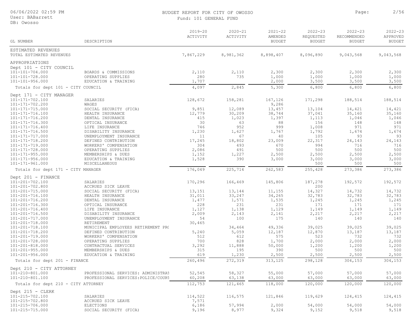DB: Owosso

#### BUDGET REPORT FOR CITY OF OWOSSO **Page:** 2/56 Fund: 101 GENERAL FUND

|                                                |                                            | $2019 - 20$<br>ACTIVITY | $2020 - 21$<br>ACTIVITY | $2021 - 22$<br>AMENDED | 2022-23<br>REQUESTED | $2022 - 23$<br>RECOMMENDED | $2022 - 23$<br>APPROVED |
|------------------------------------------------|--------------------------------------------|-------------------------|-------------------------|------------------------|----------------------|----------------------------|-------------------------|
| GL NUMBER                                      | DESCRIPTION                                |                         |                         | <b>BUDGET</b>          | <b>BUDGET</b>        | <b>BUDGET</b>              | <b>BUDGET</b>           |
| ESTIMATED REVENUES                             |                                            |                         |                         |                        |                      |                            |                         |
| TOTAL ESTIMATED REVENUES                       |                                            | 7,867,229               | 8,981,362               | 8,898,407              | 8,096,890            | 9,043,568                  | 9,043,568               |
| APPROPRIATIONS                                 |                                            |                         |                         |                        |                      |                            |                         |
| Dept 101 - CITY COUNCIL                        |                                            |                         |                         |                        |                      |                            |                         |
| 101-101-704.000                                | BOARDS & COMMISSIONS                       | 2,110                   | 2,110                   | 2,300                  | 2,300                | 2,300                      | 2,300                   |
| 101-101-728.000<br>$101 - 101 - 956.000$       | OPERATING SUPPLIES<br>EDUCATION & TRAINING | 280<br>1,707            | 735                     | 1,000<br>2,000         | 1,000<br>3,500       | 1,000<br>3,500             | 1,000<br>3,500          |
| Totals for dept 101 - CITY COUNCIL             |                                            | 4,097                   | 2,845                   | 5,300                  | 6,800                | 6,800                      | 6,800                   |
|                                                |                                            |                         |                         |                        |                      |                            |                         |
| Dept 171 - CITY MANAGER                        | SALARIES                                   | 128,672                 |                         |                        |                      |                            |                         |
| 101-171-702.100<br>101-171-702.200             | WAGES                                      |                         | 158,281                 | 167,126<br>9,286       | 171,298              | 188,514                    | 188,514                 |
| 101-171-715.000                                | SOCIAL SECURITY (FICA)                     | 9,851                   | 12,089                  | 13,457                 | 13,104               | 14,421                     | 14,421                  |
| 101-171-716.100                                | HEALTH INSURANCE                           | 12,779                  | 30,209                  | 38,744                 | 37,041               | 35,160                     | 35,160                  |
| 101-171-716.200                                | DENTAL INSURANCE                           | 415                     | 1,023                   | 1,397                  | 1,113                | 1,046                      | 1,046                   |
| 101-171-716.300                                | OPTICAL INSURANCE                          | 30                      | 63                      | 88                     | 156                  | 148                        | 148                     |
| 101-171-716.400                                | LIFE INSURANCE                             | 746                     | 952                     | 999                    | 1,008                | 971                        | 971                     |
| 101-171-716.500                                | DISABILITY INSURANCE                       | 1,230                   | 1,627                   | 1,767                  | 1,792                | 1,674                      | 1,674                   |
| 101-171-717.000                                | UNEMPLOYMENT INSURANCE                     | 11                      | 67                      | 40                     | 105                  | 93                         | 93                      |
| 101-171-718.200                                | DEFINED CONTRIBUTION                       | 17,245                  | 18,802                  | 23,009                 | 22,317               | 24,143                     | 24,143                  |
| 101-171-719.000                                | WORKERS' COMPENSATION                      | 304                     | 493                     | 670                    | 994                  | 716                        | 716                     |
| $101 - 171 - 728.000$                          | OPERATING SUPPLIES                         | 2,086                   | 491                     | 500                    | 500                  | 500                        | 500                     |
| $101 - 171 - 955.000$                          | MEMBERSHIPS & DUES                         | 1,152                   | 1,227                   | 2,500                  | 2,500                | 2,500                      | 2,500                   |
| $101 - 171 - 956.000$                          | EDUCATION & TRAINING                       | 1,528                   | 390                     | 3,000                  | 3,000                | 3,000                      | 3,000                   |
| 101-171-961.000                                | MISCELLANEOUS                              |                         |                         |                        | 500                  | 500                        | 500                     |
| Totals for dept 171 - CITY MANAGER             |                                            | 176,049                 | 225,714                 | 262,583                | 255,428              | 273,386                    | 273,386                 |
| Dept 201 - FINANCE                             |                                            |                         |                         |                        |                      |                            |                         |
| 101-201-702.100                                | SALARIES                                   | 170,296                 | 166,469                 | 145,806                | 187,278              | 192,572                    | 192,572                 |
| $101 - 201 - 702.800$                          | ACCRUED SICK LEAVE                         |                         |                         |                        | 200                  |                            |                         |
| 101-201-715.000                                | SOCIAL SECURITY (FICA)                     | 13,151                  | 13,144                  | 11,155                 | 14,327               | 14,732                     | 14,732                  |
| 101-201-716.100                                | HEALTH INSURANCE                           | 31,011                  | 33,247                  | 34,265                 | 32,783               | 32,783                     | 32,783                  |
| 101-201-716.200                                | DENTAL INSURANCE                           | 1,477                   | 1,571                   | 1,535                  | 1,245                | 1,245                      | 1,245                   |
| 101-201-716.300                                | OPTICAL INSURANCE                          | 228                     | 231                     | 231                    | 171                  | 171                        | 171                     |
| 101-201-716.400                                | LIFE INSURANCE                             | 1,127                   | 1,138                   | 1,129                  | 1,149                | 1,149                      | 1,149                   |
| 101-201-716.500                                | DISABILITY INSURANCE                       | 2,009                   | 2,143                   | 2,141                  | 2,217                | 2,217                      | 2,217                   |
| 101-201-717.000                                | UNEMPLOYMENT INSURANCE                     | 54                      | 100                     | 175                    | 140                  | 140                        | 140                     |
| 101-201-718.000                                | RETIREMENT                                 | 30,465                  |                         |                        |                      |                            |                         |
| 101-201-718.100                                | MUNICIPAL EMPLOYEES RETIREMENT PRO         |                         | 34,464                  | 49,336                 | 39,025               | 39,025                     | 39,025                  |
| 101-201-718.200                                | DEFINED CONTRIBUTION                       | 5,240                   | 5,059                   | 12,187                 | 12,870               | 13,187                     | 13,187                  |
| 101-201-719.000                                | WORKERS' COMPENSATION                      | 512                     | 612                     | 575                    | 523                  | 732                        | 732                     |
| 101-201-728.000                                | OPERATING SUPPLIES                         | 700                     | 828                     | 1,700                  | 2,000                | 2,000                      | 2,000                   |
| 101-201-818.000                                | CONTRACTUAL SERVICES                       | 3,292                   | 11,888                  | 50,000                 | 1,200                | 1,200                      | 1,200                   |
| $101 - 201 - 955.000$<br>$101 - 201 - 956.000$ | MEMBERSHIPS & DUES                         | 315<br>619              | 195<br>1,230            | 390                    | 500                  | 500                        | 500<br>2,500            |
|                                                | EDUCATION & TRAINING                       |                         |                         | 2,500                  | 2,500                | 2,500                      |                         |
| Totals for dept 201 - FINANCE                  |                                            | 260,496                 | 272,319                 | 313,125                | 298,128              | 304,153                    | 304,153                 |
| Dept 210 - CITY ATTORNEY                       |                                            |                         |                         |                        |                      |                            |                         |
| 101-210-801.000                                | PROFESSIONAL SERVICES: ADMINISTRAT         | 52,545                  | 58,327                  | 55,000                 | 57,000               | 57,000                     | 57,000                  |
| 101-210-801.100                                | PROFESSIONAL SERVICES: POLICE/COURT        | 60,208                  | 63,138                  | 63,000                 | 63,000               | 63,000                     | 63,000                  |
| Totals for dept 210 - CITY ATTORNEY            |                                            | 112,753                 | 121,465                 | 118,000                | 120,000              | 120,000                    | 120,000                 |
| Dept $215 - CLERK$                             |                                            |                         |                         |                        |                      |                            |                         |
| 101-215-702.100                                | SALARIES                                   | 114,522                 | 116,575                 | 121,846                | 119,629              | 124,415                    | 124,415                 |
| 101-215-702.800                                | ACCRUED SICK LEAVE                         | 7,571                   |                         |                        |                      |                            |                         |
| 101-215-706.000                                | ELECTIONS                                  | 6,186                   | 57,994                  | 2,000                  | 54,000               | 54,000                     | 54,000                  |
| 101-215-715.000                                | SOCIAL SECURITY (FICA)                     | 9,196                   | 8,977                   | 9,324                  | 9,152                | 9,518                      | 9,518                   |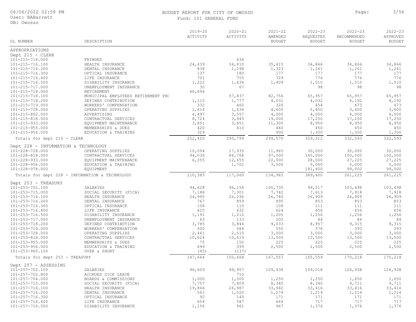User: BABarrett

### DB: Owosso

#### BUDGET REPORT FOR CITY OF OWOSSO Page: 3/56 Fund: 101 GENERAL FUND

| DB: OWOSSO                          |                                                |                         |                         |                                         |                                           |                                             |                                          |
|-------------------------------------|------------------------------------------------|-------------------------|-------------------------|-----------------------------------------|-------------------------------------------|---------------------------------------------|------------------------------------------|
| GL NUMBER                           | DESCRIPTION                                    | $2019 - 20$<br>ACTIVITY | $2020 - 21$<br>ACTIVITY | $2021 - 22$<br>AMENDED<br><b>BUDGET</b> | $2022 - 23$<br>REQUESTED<br><b>BUDGET</b> | $2022 - 23$<br>RECOMMENDED<br><b>BUDGET</b> | $2022 - 23$<br>APPROVED<br><b>BUDGET</b> |
|                                     |                                                |                         |                         |                                         |                                           |                                             |                                          |
| APPROPRIATIONS                      |                                                |                         |                         |                                         |                                           |                                             |                                          |
| Dept 215 - CLERK                    |                                                |                         |                         |                                         |                                           |                                             |                                          |
| 101-215-716.000                     | FRINGES                                        |                         | 436                     |                                         |                                           |                                             |                                          |
| 101-215-716.100                     | HEALTH INSURANCE                               | 24,439                  | 34,810                  | 35,415                                  | 34,866                                    | 34,866                                      | 34,866                                   |
| 101-215-716.200<br>101-215-716.300  | DENTAL INSURANCE                               | 838<br>137              | 1,298<br>180            | 1,323<br>177                            | 1,261<br>177                              | 1,261<br>177                                | 1,261<br>177                             |
| 101-215-716.400                     | OPTICAL INSURANCE<br>LIFE INSURANCE            | 701                     | 755                     | 729                                     | 776                                       | 776                                         | 776                                      |
| 101-215-716.500                     | DISABILITY INSURANCE                           | 1,222                   | 1,436                   | 1,409                                   | 1,510                                     | 1,510                                       | 1,510                                    |
| 101-215-717.000                     | UNEMPLOYMENT INSURANCE                         | 30                      | 67                      |                                         | 98                                        | 98                                          | 98                                       |
| 101-215-718.000                     | RETIREMENT                                     | 66,696                  |                         |                                         |                                           |                                             |                                          |
| 101-215-718.100                     | MUNICIPAL EMPLOYEES RETIREMENT PR(             |                         | 57,837                  | 82,756                                  | 65,957                                    | 65,957                                      | 65,957                                   |
| 101-215-718.200                     | DEFINED CONTRIBUTION                           | 1,115                   | 1,777                   | 4,031                                   | 4,032                                     | 4,192                                       | 4,192                                    |
| 101-215-719.000                     | WORKERS' COMPENSATION                          | 332                     | 460                     | 320                                     | 454                                       | 473                                         | 473                                      |
| 101-215-728.000                     | OPERATING SUPPLIES                             | 1,614                   | 1,434                   | 4,600                                   | 5,450                                     | 3,400                                       | 3,400                                    |
| 101-215-802.000                     | ADVERTISING                                    | 4,497                   | 3,557                   | 4,000                                   | 4,000                                     | 4,000                                       | 4,000                                    |
| 101-215-818.000                     | CONTRACTUAL SERVICES                           | 8,724                   | 3,945                   | 19,000                                  | 17,250                                    | 17,250                                      | 17,250                                   |
| $101 - 215 - 933.000$               | EQUIPMENT MAINTENANCE                          | 3,851                   | 3,851                   | 11,300                                  | 8,950                                     | 8,950                                       | 8,950                                    |
| $101 - 215 - 955.000$               | MEMBERSHIPS & DUES                             | 420                     | 410                     | 440                                     | 450                                       | 450                                         | 450                                      |
| 101-215-956.000                     | EDUCATION & TRAINING                           | 329                     |                         | 900                                     | 1,300                                     | 1,300                                       | 1,300                                    |
| Totals for dept 215 - CLERK         |                                                | 252,420                 | 295,799                 | 299,570                                 | 329,312                                   | 332,593                                     | 332,593                                  |
|                                     |                                                |                         |                         |                                         |                                           |                                             |                                          |
| Dept 228 - INFORMATION & TECHNOLOGY |                                                |                         |                         |                                         |                                           |                                             |                                          |
| 101-228-728.000                     | OPERATING SUPPLIES                             | 10,094                  | 17,935                  | 11,965                                  | 30,000                                    | 30,000                                      | 30,000                                   |
| 101-228-818.000                     | CONTRACTUAL SERVICES                           | 94,036                  | 84,768                  | 97,000                                  | 145,000                                   | 100,000                                     | 100,000                                  |
| 101-228-933.000                     | EQUIPMENT MAINTENANCE                          | 6,255                   | 12,655                  | 22,500                                  | 28,000                                    | 27,225                                      | 27,225                                   |
| $101 - 228 - 956.000$               | EDUCATION & TRAINING                           |                         | 1,702                   | 3,500                                   | 5,000                                     | 5,000                                       | 5,000                                    |
| 101-228-978.000                     | <b>EQUIPMENT</b>                               |                         |                         |                                         | 181,400                                   | 99,000                                      | 99,000                                   |
|                                     | Totals for dept 228 - INFORMATION & TECHNOLOGY | 110,385                 | 117,060                 | 134,965                                 | 389,400                                   | 261,225                                     | 261,225                                  |
| Dept 253 - TREASURY                 |                                                |                         |                         |                                         |                                           |                                             |                                          |
| 101-253-702.100                     | SALARIES                                       | 94,628                  | 96,154                  | 100,735                                 | 99,517                                    | 103,498                                     | 103,498                                  |
| 101-253-715.000                     | SOCIAL SECURITY (FICA)                         | 7,188                   | 7,301                   | 7,742                                   | 7,613                                     | 7,918                                       | 7,918                                    |
| 101-253-716.100                     | HEALTH INSURANCE                               | 24,995                  | 26,296                  | 26,740                                  | 26,909                                    | 26,909                                      | 26,909                                   |
| 101-253-716.200                     | DENTAL INSURANCE                               | 767                     | 859                     | 895                                     | 853                                       | 853                                         | 853                                      |
| 101-253-716.300                     | OPTICAL INSURANCE                              | 108                     | 110                     | 108                                     | 111                                       | 111                                         | 111                                      |
| 101-253-716.400                     | LIFE INSURANCE                                 | 625                     | 632                     | 624                                     | 656                                       | 656                                         | 656                                      |
| 101-253-716.500                     | DISABILITY INSURANCE                           | 1,191                   | 1,212                   | 1,205                                   | 1,256                                     | 1,256                                       | 1,256                                    |
| 101-253-717.000                     | UNEMPLOYMENT INSURANCE                         | 63                      | 133                     | 200                                     | 84                                        | 84                                          | 84                                       |
| 101-253-718.200                     | DEFINED CONTRIBUTION                           | 3,785                   | 3,846                   | 9,033                                   | 8,957                                     | 9,315                                       | 9,315                                    |
| 101-253-719.000                     | WORKERS' COMPENSATION                          | 500                     | 584                     | 550                                     | 378                                       | 393                                         | 393                                      |
| 101-253-728.000                     | OPERATING SUPPLIES                             | 2,461                   | 2,510                   | 3,000                                   | 3,000                                     | 3,000                                       | 3,000                                    |
| 101-253-818.000                     | CONTRACTUAL SERVICES                           | 10,624                  | 10,619                  | 13,500                                  | 13,500                                    | 13,500                                      | 13,500                                   |
| $101 - 253 - 955.000$               | MEMBERSHIPS & DUES                             | 75                      | 150                     | 225                                     | 225                                       | 225                                         | 225                                      |
| $101 - 253 - 956.000$               | EDUCATION & TRAINING                           | 699                     | 399                     | 2,500                                   | 2,500                                     | 2,500                                       | 2,500                                    |
| 101-253-960.100                     | OVER & SHORT                                   | (45)                    | (137)                   |                                         |                                           |                                             |                                          |
|                                     |                                                |                         |                         | 167,057                                 |                                           | 170,218                                     | 170,218                                  |
| Totals for dept 253 - TREASURY      |                                                | 147,664                 | 150,668                 |                                         | 165,559                                   |                                             |                                          |
| Dept 257 - ASSESSING                |                                                |                         |                         |                                         |                                           |                                             |                                          |
| 101-257-702.100                     | SALARIES                                       | 96,609                  | 99,957                  | 109,438                                 | 109,018                                   | 126,938                                     | 126,938                                  |
| 101-257-702.800                     | ACCRUED SICK LEAVE                             |                         | 710                     |                                         |                                           |                                             |                                          |
| 101-257-704.000                     | BOARDS & COMMISSIONS                           | 1,000                   | 1,000                   | 1,250                                   | 1,250                                     | 1,650                                       | 1,650                                    |
| 101-257-715.000                     | SOCIAL SECURITY (FICA)                         | 7,757                   | 7,809                   | 8,340                                   | 8,340                                     | 9,711                                       | 9,711                                    |
| 101-257-716.100                     | HEALTH INSURANCE                               | 19,866                  | 26,987                  | 33,942                                  | 33,416                                    | 33,416                                      | 33,416                                   |
| 101-257-716.200                     | DENTAL INSURANCE                               | 561                     | 1,020                   | 1,274                                   | 1,214                                     | 1,214                                       | 1,214                                    |
| 101-257-716.300                     | OPTICAL INSURANCE                              | 92                      | 145                     | 171                                     | 171                                       | 171                                         | 171                                      |
| $101 - 257 - 716.400$               | LIFE INSURANCE                                 | 654                     | 587                     | 669                                     | 717                                       | 717                                         | 717                                      |

101-257-716.500 DISABILITY INSURANCE 1,156 961 967 1,376 1,376 1,376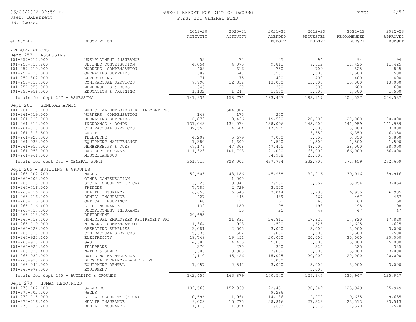User: BABarrett

DB: Owosso

## BUDGET REPORT FOR CITY OF OWOSSO Page: 4/56

2022-23 2022-23

2022-23

| Fund: 101 GENERAL FUND  |                         |                        |
|-------------------------|-------------------------|------------------------|
| $2019 - 20$<br>ACTIVITY | $2020 - 21$<br>ACTIVITY | $2021 - 22$<br>AMENDED |
|                         |                         | BUDGET'                |

|                                          |                                    | ACTIVITY | ACTIVITY | AMENDED       | REQUESTED     | RECOMMENDED   | APPROVED      |
|------------------------------------------|------------------------------------|----------|----------|---------------|---------------|---------------|---------------|
| <b>GL NUMBER</b>                         | DESCRIPTION                        |          |          | <b>BUDGET</b> | <b>BUDGET</b> | <b>BUDGET</b> | <b>BUDGET</b> |
| APPROPRIATIONS                           |                                    |          |          |               |               |               |               |
| Dept 257 - ASSESSING                     |                                    |          |          |               |               |               |               |
| 101-257-717.000                          | UNEMPLOYMENT INSURANCE             | 52       | 72       | 45            | 94            | 94            | 94            |
| 101-257-718.200                          | DEFINED CONTRIBUTION               | 4,054    | 4,075    | 9,811         | 9,812         | 11,425        | 11,425        |
| 101-257-719.000                          | WORKERS' COMPENSATION              | 408      | 616      | 750           | 709           | 825           | 825           |
| 101-257-728.000                          | OPERATING SUPPLIES                 | 389      | 648      | 1,500         | 1,500         | 1,500         | 1,500         |
| 101-257-802.000                          | ADVERTISING                        | 71       | 75       | 400           | 400           | 400           | 400           |
| 101-257-818.000                          | CONTRACTUAL SERVICES               | 7,790    | 12,812   | 13,000        | 13,000        | 13,000        | 13,000        |
| $101 - 257 - 955.000$                    | MEMBERSHIPS & DUES                 | 345      | 50       | 350           | 600           | 600           | 600           |
| $101 - 257 - 956.000$                    | EDUCATION & TRAINING               | 1,132    | 1,247    | 1,500         | 1,500         | 1,500         | 1,500         |
| Totals for dept 257 - ASSESSING          |                                    | 141,936  | 158,771  | 183,407       | 183,117       | 204,537       | 204,537       |
|                                          |                                    |          |          |               |               |               |               |
| Dept 261 - GENERAL ADMIN                 |                                    |          |          |               |               |               |               |
| 101-261-718.100                          | MUNICIPAL EMPLOYEES RETIREMENT PRO |          | 504,302  |               |               |               |               |
| 101-261-719.000                          | WORKERS' COMPENSATION              | 148      | 175      | 250           |               |               |               |
| 101-261-728.000                          | OPERATING SUPPLIES                 | 16,879   | 18,466   | 19,500        | 20,000        | 20,000        | 20,000        |
| 101-261-810.000                          | INSURANCE & BONDS                  | 131,043  | 134,074  | 138,096       | 145,000       | 141,959       | 141,959       |
| $101 - 261 - 818.000$                    | CONTRACTUAL SERVICES               | 39,557   | 14,604   | 17,975        | 15,000        | 3,000         | 3,000         |
| $101 - 261 - 818.500$                    | AUDIT                              |          |          |               | 6,350         | 6,350         | 6,350         |
| $101 - 261 - 920.300$                    | TELEPHONE                          | 4,209    | 5,679    | 7,000         | 5,850         | 5,850         | 5,850         |
| $101 - 261 - 933.000$                    | EQUIPMENT MAINTENANCE              | 1,380    | 1,600    | 1,500         | 1,500         | 1,500         | 1,500         |
| $101 - 261 - 955.000$                    | MEMBERSHIPS & DUES                 | 47,176   | 47,308   | 47,455        | 48,000        | 28,000        | 28,000        |
| $101 - 261 - 958.000$                    | BAD DEBT EXPENSE                   | 111,323  | 101,793  | 121,000       | 66,000        | 66,000        | 66,000        |
| 101-261-961.000                          | MISCELLANEOUS                      |          |          | 84,958        | 25,000        |               |               |
| Totals for dept 261 - GENERAL ADMIN      |                                    | 351,715  | 828,001  | 437,734       | 332,700       | 272,659       | 272,659       |
| Dept 265 - BUILDING & GROUNDS            |                                    |          |          |               |               |               |               |
| 101-265-702.200                          | WAGES                              | 52,605   | 48,186   | 45,958        | 39,916        | 39,916        | 39,916        |
| $101 - 265 - 703.000$                    | OTHER COMPENSATION                 |          | 1,000    |               |               |               |               |
| $101 - 265 - 715.000$                    | SOCIAL SECURITY (FICA)             | 3,225    | 3,347    | 3,580         | 3,054         | 3,054         | 3,054         |
| 101-265-716.000                          | FRINGES                            | 7,785    | 2,729    | 3,500         |               |               |               |
| 101-265-716.100                          | HEALTH INSURANCE                   | 6,655    | 6,545    | 7,044         | 6,935         | 6,935         | 6,935         |
| 101-265-716.200                          | DENTAL INSURANCE                   | 427      | 445      | 489           | 467           | 467           | 467           |
| 101-265-716.300                          | OPTICAL INSURANCE                  | 60       | 57       | 60            | 60            | 60            | 60            |
| $101 - 265 - 716.400$                    | LIFE INSURANCE                     | 139      | 189      | 198           | 198           | 198           | 198           |
| 101-265-717.000                          | UNEMPLOYMENT INSURANCE             | 5        | 33       | 25            | 47            | 47            | 47            |
| $101 - 265 - 718.000$                    | RETIREMENT                         | 29,695   |          |               |               |               |               |
| 101-265-718.100                          | MUNICIPAL EMPLOYEES RETIREMENT PRO |          | 21,831   | 26,811        | 17,820        | 17,820        | 17,820        |
| $101 - 265 - 719.000$                    | WORKERS' COMPENSATION              | 1,364    | 993      | 1,500         | 1,625         | 1,625         | 1,625         |
| 101-265-728.000                          | OPERATING SUPPLIES                 | 3,081    | 2,505    | 3,000         | 3,000         | 3,000         | 3,000         |
| $101 - 265 - 818.000$                    | CONTRACTUAL SERVICES               | 5,335    | 502      | 1,000         | 1,500         | 1,500         | 1,500         |
| 101-265-920.100                          | ELECTRICITY                        | 18,748   | 19,451   | 20,000        | 20,000        | 20,000        | 20,000        |
| 101-265-920.200                          | GAS                                | 4,387    | 4,435    | 5,000         | 5,000         | 5,000         | 5,000         |
| 101-265-920.300                          | TELEPHONE                          | 270      | 270      | 300           | 325           | 325           | 325           |
| $101 - 265 - 920.400$                    | WATER & SEWER                      | 2,606    | 3,388    | 3,000         | 3,000         | 3,000         | 3,000         |
| 101-265-930.000                          | BUILDING MAINTENANCE               | 4,110    | 45,426   | 15,075        | 20,000        | 20,000        | 20,000        |
| 101-265-930.200                          | BLDG MAINTENANCE-BALLFIELDS        |          |          | 1,000         |               |               |               |
| 101-265-940.000                          | EQUIPMENT RENTAL                   | 1,957    | 2,547    | 3,000         | 3,000         | 3,000         | 3,000         |
| 101-265-978.000                          | <b>EQUIPMENT</b>                   |          |          |               | 1,000         |               |               |
| Totals for dept 265 - BUILDING & GROUNDS |                                    | 142,454  | 163,879  | 140,540       | 126,947       | 125,947       | 125,947       |
| Dept 270 - HUMAN RESOURCES               |                                    |          |          |               |               |               |               |
| 101-270-702.100                          | SALARIES                           | 132,563  | 152,869  | 122,451       | 130,349       | 125,949       | 125,949       |
| 101-270-702.200                          | WAGES                              |          |          | 9,286         |               |               |               |
| 101-270-715.000                          | SOCIAL SECURITY (FICA)             | 10,596   | 11,964   | 14,186        | 9,972         | 9,635         | 9,635         |
| 101-270-716.100                          | HEALTH INSURANCE                   | 9,028    | 15,775   | 28,816        | 27,323        | 23,513        | 23,513        |
| 101-270-716.200                          | DENTAL INSURANCE                   | 1,113    | 1,394    | 1,693         | 1,613         | 1,570         | 1,570         |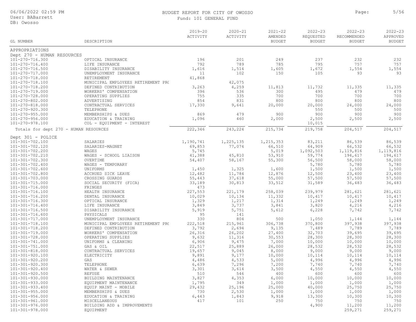### BUDGET REPORT FOR CITY OF OWOSSO Page: 5/56

| DB: Owosso<br>$2019 - 20$<br>$2020 - 21$<br>$2021 - 22$<br>$2022 - 23$<br>$2022 - 23$<br>$2022 - 23$<br>ACTIVITY<br>AMENDED<br>REQUESTED<br>RECOMMENDED<br>APPROVED<br>ACTIVITY<br>GL NUMBER<br>DESCRIPTION<br><b>BUDGET</b><br><b>BUDGET</b><br><b>BUDGET</b><br><b>BUDGET</b><br>APPROPRIATIONS<br>Dept 270 - HUMAN RESOURCES<br>201<br>101-270-716.300<br>196<br>249<br>237<br>232<br>232<br>OPTICAL INSURANCE<br>792<br>789<br>785<br>795<br>757<br>757<br>101-270-716.400<br>LIFE INSURANCE<br>101-270-716.500<br>1,616<br>1,605<br>1,672<br>1,554<br>1,554<br>DISABILITY INSURANCE<br>1,514<br>101-270-717.000<br>102<br>105<br>93<br>UNEMPLOYMENT INSURANCE<br>11<br>150<br>93<br>101-270-718.000<br>41,868<br>RETIREMENT<br>101-270-718.100<br>MUNICIPAL EMPLOYEES RETIREMENT PRO<br>42,075<br>101-270-718.200<br>4,259<br>DEFINED CONTRIBUTION<br>3,263<br>11,813<br>11,732<br>11,335<br>11,335<br>101-270-719.000<br>536<br>300<br>479<br>WORKERS' COMPENSATION<br>396<br>495<br>479<br>335<br>101-270-728.000<br>OPERATING SUPPLIES<br>755<br>700<br>700<br>700<br>700<br>101-270-802.000<br>854<br>831<br>800<br>800<br>800<br>800<br>ADVERTISING<br>101-270-818.000<br>CONTRACTUAL SERVICES<br>17,330<br>9,641<br>20,000<br>20,000<br>24,000<br>24,000<br>101-270-920.300<br>TELEPHONE<br>550<br>500<br>500<br>$101 - 270 - 955.000$<br>479<br>900<br>900<br>900<br>900<br>MEMBERSHIPS & DUES<br>869<br>101-270-956.000<br>1,096<br>460<br>2,000<br>2,500<br>2,500<br>2,500<br>EDUCATION & TRAINING<br>101-270-978.100<br>COL - EQUIPMENT - INTEREST<br>10,015<br>222,346<br>243,224<br>215,734<br>204,517<br>204,517<br>Totals for dept 270 - HUMAN RESOURCES<br>219,758<br>Dept 301 - POLICE<br>101-301-702.100<br>SALARIES<br>1,225,135<br>1,215,353<br>83,211<br>86,539<br>86,539<br>1,190,741<br>66,510<br>64,909<br>66,532<br>66,532<br>101-301-702.120<br>SALARIES-MAGNET<br>69,853<br>77,074<br>5,745<br>5,019<br>101-301-702.200<br>1,092,503<br>1,119,816<br>1,119,816<br>WAGES<br>194,617<br>101-301-702.210<br>WAGES - SCHOOL LIAISON<br>41,388<br>53,910<br>59,774<br>194,617<br>45,810<br>101-301-702.300<br>OVERTIME<br>58,000<br>54,407<br>58,167<br>55,300<br>56,500<br>58,000<br>5,780<br>$101 - 301 - 702.400$<br>WAGES - TEMPORARY<br>5,780<br>5,780<br>$101 - 301 - 702.600$<br>UNIFORMS<br>1,450<br>1,325<br>1,600<br>1,500<br>1,500<br>1,500<br>$101 - 301 - 702.800$<br>12,482<br>11,784<br>12,876<br>12,500<br>23,400<br>23,400<br>ACCRUED SICK LEAVE<br>101-301-703.000<br>CROSSING GUARDS<br>55,443<br>37,618<br>55,000<br>57,500<br>57,500<br>57,500<br>101-301-715.000<br>SOCIAL SECURITY (FICA)<br>33,189<br>30,813<br>33,512<br>31,589<br>36,483<br>36,483<br>101-301-716.000<br>FRINGES<br>473<br>227,553<br>101-301-716.100<br>HEALTH INSURANCE<br>221,179<br>258,039<br>239,979<br>281,621<br>281,621<br>101-301-716.200<br>10,029<br>10,134<br>11,332<br>10,417<br>10,417<br>10,417<br>DENTAL INSURANCE<br>101-301-716.300<br>1,329<br>1,217<br>1,314<br>1,249<br>1,249<br>1,249<br>OPTICAL INSURANCE<br>101-301-716.400<br>LIFE INSURANCE<br>3,849<br>3,737<br>3,841<br>3,820<br>4,216<br>4,216<br>101-301-716.500<br>DISABILITY INSURANCE<br>5,919<br>6,228<br>5,751<br>5,612<br>7,742<br>7,742<br>$101 - 301 - 716.600$<br>95<br>141<br>PHYSICALS<br>101-301-717.000<br>330<br>804<br>500<br>1,144<br>UNEMPLOYMENT INSURANCE<br>1,050<br>1,144<br>222,518<br>101-301-718.100<br>MUNICIPAL EMPLOYEES RETIREMENT PR(<br>215,961<br>306,738<br>370,800<br>397,938<br>397,938<br>101-301-718.200<br>DEFINED CONTRIBUTION<br>3,792<br>2,694<br>9,135<br>7,489<br>7,789<br>7,789<br>101-301-719.000<br>WORKERS' COMPENSATION<br>26,316<br>26,202<br>27,400<br>32,703<br>39,695<br>39,695<br>30,553<br>28,300<br>28,300<br>101-301-728.000<br>OPERATING SUPPLIES<br>9,632<br>11,316<br>28,300<br>101-301-741.000<br>6,906<br>10,000<br>10,000<br>UNIFORMS & CLEANING<br>9,475<br>7,000<br>10,000<br>$101 - 301 - 751.000$<br>22,517<br>25,889<br>28,532<br>28,532<br>28,532<br>GAS & OIL<br>26,000 | User: BABarrett | Fund: 101 GENERAL FUND |  |  |  |
|------------------------------------------------------------------------------------------------------------------------------------------------------------------------------------------------------------------------------------------------------------------------------------------------------------------------------------------------------------------------------------------------------------------------------------------------------------------------------------------------------------------------------------------------------------------------------------------------------------------------------------------------------------------------------------------------------------------------------------------------------------------------------------------------------------------------------------------------------------------------------------------------------------------------------------------------------------------------------------------------------------------------------------------------------------------------------------------------------------------------------------------------------------------------------------------------------------------------------------------------------------------------------------------------------------------------------------------------------------------------------------------------------------------------------------------------------------------------------------------------------------------------------------------------------------------------------------------------------------------------------------------------------------------------------------------------------------------------------------------------------------------------------------------------------------------------------------------------------------------------------------------------------------------------------------------------------------------------------------------------------------------------------------------------------------------------------------------------------------------------------------------------------------------------------------------------------------------------------------------------------------------------------------------------------------------------------------------------------------------------------------------------------------------------------------------------------------------------------------------------------------------------------------------------------------------------------------------------------------------------------------------------------------------------------------------------------------------------------------------------------------------------------------------------------------------------------------------------------------------------------------------------------------------------------------------------------------------------------------------------------------------------------------------------------------------------------------------------------------------------------------------------------------------------------------------------------------------------------------------------------------------------------------------------------------------------------------------------------------------------------------------------------------------------------------------------------------------------------------------------------------------------------------------------------------------------------------------------------------------------------------------------------------------------------------------------------------------------------------------------------------------------------------------------------------------------------------------------------------------------------------------------------------------------------------------------------------------------------------------------------------------------------------------------|-----------------|------------------------|--|--|--|
|                                                                                                                                                                                                                                                                                                                                                                                                                                                                                                                                                                                                                                                                                                                                                                                                                                                                                                                                                                                                                                                                                                                                                                                                                                                                                                                                                                                                                                                                                                                                                                                                                                                                                                                                                                                                                                                                                                                                                                                                                                                                                                                                                                                                                                                                                                                                                                                                                                                                                                                                                                                                                                                                                                                                                                                                                                                                                                                                                                                                                                                                                                                                                                                                                                                                                                                                                                                                                                                                                                                                                                                                                                                                                                                                                                                                                                                                                                                                                                                                                                                |                 |                        |  |  |  |
|                                                                                                                                                                                                                                                                                                                                                                                                                                                                                                                                                                                                                                                                                                                                                                                                                                                                                                                                                                                                                                                                                                                                                                                                                                                                                                                                                                                                                                                                                                                                                                                                                                                                                                                                                                                                                                                                                                                                                                                                                                                                                                                                                                                                                                                                                                                                                                                                                                                                                                                                                                                                                                                                                                                                                                                                                                                                                                                                                                                                                                                                                                                                                                                                                                                                                                                                                                                                                                                                                                                                                                                                                                                                                                                                                                                                                                                                                                                                                                                                                                                |                 |                        |  |  |  |
|                                                                                                                                                                                                                                                                                                                                                                                                                                                                                                                                                                                                                                                                                                                                                                                                                                                                                                                                                                                                                                                                                                                                                                                                                                                                                                                                                                                                                                                                                                                                                                                                                                                                                                                                                                                                                                                                                                                                                                                                                                                                                                                                                                                                                                                                                                                                                                                                                                                                                                                                                                                                                                                                                                                                                                                                                                                                                                                                                                                                                                                                                                                                                                                                                                                                                                                                                                                                                                                                                                                                                                                                                                                                                                                                                                                                                                                                                                                                                                                                                                                |                 |                        |  |  |  |
|                                                                                                                                                                                                                                                                                                                                                                                                                                                                                                                                                                                                                                                                                                                                                                                                                                                                                                                                                                                                                                                                                                                                                                                                                                                                                                                                                                                                                                                                                                                                                                                                                                                                                                                                                                                                                                                                                                                                                                                                                                                                                                                                                                                                                                                                                                                                                                                                                                                                                                                                                                                                                                                                                                                                                                                                                                                                                                                                                                                                                                                                                                                                                                                                                                                                                                                                                                                                                                                                                                                                                                                                                                                                                                                                                                                                                                                                                                                                                                                                                                                |                 |                        |  |  |  |
|                                                                                                                                                                                                                                                                                                                                                                                                                                                                                                                                                                                                                                                                                                                                                                                                                                                                                                                                                                                                                                                                                                                                                                                                                                                                                                                                                                                                                                                                                                                                                                                                                                                                                                                                                                                                                                                                                                                                                                                                                                                                                                                                                                                                                                                                                                                                                                                                                                                                                                                                                                                                                                                                                                                                                                                                                                                                                                                                                                                                                                                                                                                                                                                                                                                                                                                                                                                                                                                                                                                                                                                                                                                                                                                                                                                                                                                                                                                                                                                                                                                |                 |                        |  |  |  |
|                                                                                                                                                                                                                                                                                                                                                                                                                                                                                                                                                                                                                                                                                                                                                                                                                                                                                                                                                                                                                                                                                                                                                                                                                                                                                                                                                                                                                                                                                                                                                                                                                                                                                                                                                                                                                                                                                                                                                                                                                                                                                                                                                                                                                                                                                                                                                                                                                                                                                                                                                                                                                                                                                                                                                                                                                                                                                                                                                                                                                                                                                                                                                                                                                                                                                                                                                                                                                                                                                                                                                                                                                                                                                                                                                                                                                                                                                                                                                                                                                                                |                 |                        |  |  |  |
|                                                                                                                                                                                                                                                                                                                                                                                                                                                                                                                                                                                                                                                                                                                                                                                                                                                                                                                                                                                                                                                                                                                                                                                                                                                                                                                                                                                                                                                                                                                                                                                                                                                                                                                                                                                                                                                                                                                                                                                                                                                                                                                                                                                                                                                                                                                                                                                                                                                                                                                                                                                                                                                                                                                                                                                                                                                                                                                                                                                                                                                                                                                                                                                                                                                                                                                                                                                                                                                                                                                                                                                                                                                                                                                                                                                                                                                                                                                                                                                                                                                |                 |                        |  |  |  |
|                                                                                                                                                                                                                                                                                                                                                                                                                                                                                                                                                                                                                                                                                                                                                                                                                                                                                                                                                                                                                                                                                                                                                                                                                                                                                                                                                                                                                                                                                                                                                                                                                                                                                                                                                                                                                                                                                                                                                                                                                                                                                                                                                                                                                                                                                                                                                                                                                                                                                                                                                                                                                                                                                                                                                                                                                                                                                                                                                                                                                                                                                                                                                                                                                                                                                                                                                                                                                                                                                                                                                                                                                                                                                                                                                                                                                                                                                                                                                                                                                                                |                 |                        |  |  |  |
|                                                                                                                                                                                                                                                                                                                                                                                                                                                                                                                                                                                                                                                                                                                                                                                                                                                                                                                                                                                                                                                                                                                                                                                                                                                                                                                                                                                                                                                                                                                                                                                                                                                                                                                                                                                                                                                                                                                                                                                                                                                                                                                                                                                                                                                                                                                                                                                                                                                                                                                                                                                                                                                                                                                                                                                                                                                                                                                                                                                                                                                                                                                                                                                                                                                                                                                                                                                                                                                                                                                                                                                                                                                                                                                                                                                                                                                                                                                                                                                                                                                |                 |                        |  |  |  |
|                                                                                                                                                                                                                                                                                                                                                                                                                                                                                                                                                                                                                                                                                                                                                                                                                                                                                                                                                                                                                                                                                                                                                                                                                                                                                                                                                                                                                                                                                                                                                                                                                                                                                                                                                                                                                                                                                                                                                                                                                                                                                                                                                                                                                                                                                                                                                                                                                                                                                                                                                                                                                                                                                                                                                                                                                                                                                                                                                                                                                                                                                                                                                                                                                                                                                                                                                                                                                                                                                                                                                                                                                                                                                                                                                                                                                                                                                                                                                                                                                                                |                 |                        |  |  |  |
|                                                                                                                                                                                                                                                                                                                                                                                                                                                                                                                                                                                                                                                                                                                                                                                                                                                                                                                                                                                                                                                                                                                                                                                                                                                                                                                                                                                                                                                                                                                                                                                                                                                                                                                                                                                                                                                                                                                                                                                                                                                                                                                                                                                                                                                                                                                                                                                                                                                                                                                                                                                                                                                                                                                                                                                                                                                                                                                                                                                                                                                                                                                                                                                                                                                                                                                                                                                                                                                                                                                                                                                                                                                                                                                                                                                                                                                                                                                                                                                                                                                |                 |                        |  |  |  |
|                                                                                                                                                                                                                                                                                                                                                                                                                                                                                                                                                                                                                                                                                                                                                                                                                                                                                                                                                                                                                                                                                                                                                                                                                                                                                                                                                                                                                                                                                                                                                                                                                                                                                                                                                                                                                                                                                                                                                                                                                                                                                                                                                                                                                                                                                                                                                                                                                                                                                                                                                                                                                                                                                                                                                                                                                                                                                                                                                                                                                                                                                                                                                                                                                                                                                                                                                                                                                                                                                                                                                                                                                                                                                                                                                                                                                                                                                                                                                                                                                                                |                 |                        |  |  |  |
|                                                                                                                                                                                                                                                                                                                                                                                                                                                                                                                                                                                                                                                                                                                                                                                                                                                                                                                                                                                                                                                                                                                                                                                                                                                                                                                                                                                                                                                                                                                                                                                                                                                                                                                                                                                                                                                                                                                                                                                                                                                                                                                                                                                                                                                                                                                                                                                                                                                                                                                                                                                                                                                                                                                                                                                                                                                                                                                                                                                                                                                                                                                                                                                                                                                                                                                                                                                                                                                                                                                                                                                                                                                                                                                                                                                                                                                                                                                                                                                                                                                |                 |                        |  |  |  |
|                                                                                                                                                                                                                                                                                                                                                                                                                                                                                                                                                                                                                                                                                                                                                                                                                                                                                                                                                                                                                                                                                                                                                                                                                                                                                                                                                                                                                                                                                                                                                                                                                                                                                                                                                                                                                                                                                                                                                                                                                                                                                                                                                                                                                                                                                                                                                                                                                                                                                                                                                                                                                                                                                                                                                                                                                                                                                                                                                                                                                                                                                                                                                                                                                                                                                                                                                                                                                                                                                                                                                                                                                                                                                                                                                                                                                                                                                                                                                                                                                                                |                 |                        |  |  |  |
|                                                                                                                                                                                                                                                                                                                                                                                                                                                                                                                                                                                                                                                                                                                                                                                                                                                                                                                                                                                                                                                                                                                                                                                                                                                                                                                                                                                                                                                                                                                                                                                                                                                                                                                                                                                                                                                                                                                                                                                                                                                                                                                                                                                                                                                                                                                                                                                                                                                                                                                                                                                                                                                                                                                                                                                                                                                                                                                                                                                                                                                                                                                                                                                                                                                                                                                                                                                                                                                                                                                                                                                                                                                                                                                                                                                                                                                                                                                                                                                                                                                |                 |                        |  |  |  |
|                                                                                                                                                                                                                                                                                                                                                                                                                                                                                                                                                                                                                                                                                                                                                                                                                                                                                                                                                                                                                                                                                                                                                                                                                                                                                                                                                                                                                                                                                                                                                                                                                                                                                                                                                                                                                                                                                                                                                                                                                                                                                                                                                                                                                                                                                                                                                                                                                                                                                                                                                                                                                                                                                                                                                                                                                                                                                                                                                                                                                                                                                                                                                                                                                                                                                                                                                                                                                                                                                                                                                                                                                                                                                                                                                                                                                                                                                                                                                                                                                                                |                 |                        |  |  |  |
|                                                                                                                                                                                                                                                                                                                                                                                                                                                                                                                                                                                                                                                                                                                                                                                                                                                                                                                                                                                                                                                                                                                                                                                                                                                                                                                                                                                                                                                                                                                                                                                                                                                                                                                                                                                                                                                                                                                                                                                                                                                                                                                                                                                                                                                                                                                                                                                                                                                                                                                                                                                                                                                                                                                                                                                                                                                                                                                                                                                                                                                                                                                                                                                                                                                                                                                                                                                                                                                                                                                                                                                                                                                                                                                                                                                                                                                                                                                                                                                                                                                |                 |                        |  |  |  |
|                                                                                                                                                                                                                                                                                                                                                                                                                                                                                                                                                                                                                                                                                                                                                                                                                                                                                                                                                                                                                                                                                                                                                                                                                                                                                                                                                                                                                                                                                                                                                                                                                                                                                                                                                                                                                                                                                                                                                                                                                                                                                                                                                                                                                                                                                                                                                                                                                                                                                                                                                                                                                                                                                                                                                                                                                                                                                                                                                                                                                                                                                                                                                                                                                                                                                                                                                                                                                                                                                                                                                                                                                                                                                                                                                                                                                                                                                                                                                                                                                                                |                 |                        |  |  |  |
|                                                                                                                                                                                                                                                                                                                                                                                                                                                                                                                                                                                                                                                                                                                                                                                                                                                                                                                                                                                                                                                                                                                                                                                                                                                                                                                                                                                                                                                                                                                                                                                                                                                                                                                                                                                                                                                                                                                                                                                                                                                                                                                                                                                                                                                                                                                                                                                                                                                                                                                                                                                                                                                                                                                                                                                                                                                                                                                                                                                                                                                                                                                                                                                                                                                                                                                                                                                                                                                                                                                                                                                                                                                                                                                                                                                                                                                                                                                                                                                                                                                |                 |                        |  |  |  |
|                                                                                                                                                                                                                                                                                                                                                                                                                                                                                                                                                                                                                                                                                                                                                                                                                                                                                                                                                                                                                                                                                                                                                                                                                                                                                                                                                                                                                                                                                                                                                                                                                                                                                                                                                                                                                                                                                                                                                                                                                                                                                                                                                                                                                                                                                                                                                                                                                                                                                                                                                                                                                                                                                                                                                                                                                                                                                                                                                                                                                                                                                                                                                                                                                                                                                                                                                                                                                                                                                                                                                                                                                                                                                                                                                                                                                                                                                                                                                                                                                                                |                 |                        |  |  |  |
|                                                                                                                                                                                                                                                                                                                                                                                                                                                                                                                                                                                                                                                                                                                                                                                                                                                                                                                                                                                                                                                                                                                                                                                                                                                                                                                                                                                                                                                                                                                                                                                                                                                                                                                                                                                                                                                                                                                                                                                                                                                                                                                                                                                                                                                                                                                                                                                                                                                                                                                                                                                                                                                                                                                                                                                                                                                                                                                                                                                                                                                                                                                                                                                                                                                                                                                                                                                                                                                                                                                                                                                                                                                                                                                                                                                                                                                                                                                                                                                                                                                |                 |                        |  |  |  |
|                                                                                                                                                                                                                                                                                                                                                                                                                                                                                                                                                                                                                                                                                                                                                                                                                                                                                                                                                                                                                                                                                                                                                                                                                                                                                                                                                                                                                                                                                                                                                                                                                                                                                                                                                                                                                                                                                                                                                                                                                                                                                                                                                                                                                                                                                                                                                                                                                                                                                                                                                                                                                                                                                                                                                                                                                                                                                                                                                                                                                                                                                                                                                                                                                                                                                                                                                                                                                                                                                                                                                                                                                                                                                                                                                                                                                                                                                                                                                                                                                                                |                 |                        |  |  |  |
|                                                                                                                                                                                                                                                                                                                                                                                                                                                                                                                                                                                                                                                                                                                                                                                                                                                                                                                                                                                                                                                                                                                                                                                                                                                                                                                                                                                                                                                                                                                                                                                                                                                                                                                                                                                                                                                                                                                                                                                                                                                                                                                                                                                                                                                                                                                                                                                                                                                                                                                                                                                                                                                                                                                                                                                                                                                                                                                                                                                                                                                                                                                                                                                                                                                                                                                                                                                                                                                                                                                                                                                                                                                                                                                                                                                                                                                                                                                                                                                                                                                |                 |                        |  |  |  |
|                                                                                                                                                                                                                                                                                                                                                                                                                                                                                                                                                                                                                                                                                                                                                                                                                                                                                                                                                                                                                                                                                                                                                                                                                                                                                                                                                                                                                                                                                                                                                                                                                                                                                                                                                                                                                                                                                                                                                                                                                                                                                                                                                                                                                                                                                                                                                                                                                                                                                                                                                                                                                                                                                                                                                                                                                                                                                                                                                                                                                                                                                                                                                                                                                                                                                                                                                                                                                                                                                                                                                                                                                                                                                                                                                                                                                                                                                                                                                                                                                                                |                 |                        |  |  |  |
|                                                                                                                                                                                                                                                                                                                                                                                                                                                                                                                                                                                                                                                                                                                                                                                                                                                                                                                                                                                                                                                                                                                                                                                                                                                                                                                                                                                                                                                                                                                                                                                                                                                                                                                                                                                                                                                                                                                                                                                                                                                                                                                                                                                                                                                                                                                                                                                                                                                                                                                                                                                                                                                                                                                                                                                                                                                                                                                                                                                                                                                                                                                                                                                                                                                                                                                                                                                                                                                                                                                                                                                                                                                                                                                                                                                                                                                                                                                                                                                                                                                |                 |                        |  |  |  |
|                                                                                                                                                                                                                                                                                                                                                                                                                                                                                                                                                                                                                                                                                                                                                                                                                                                                                                                                                                                                                                                                                                                                                                                                                                                                                                                                                                                                                                                                                                                                                                                                                                                                                                                                                                                                                                                                                                                                                                                                                                                                                                                                                                                                                                                                                                                                                                                                                                                                                                                                                                                                                                                                                                                                                                                                                                                                                                                                                                                                                                                                                                                                                                                                                                                                                                                                                                                                                                                                                                                                                                                                                                                                                                                                                                                                                                                                                                                                                                                                                                                |                 |                        |  |  |  |
|                                                                                                                                                                                                                                                                                                                                                                                                                                                                                                                                                                                                                                                                                                                                                                                                                                                                                                                                                                                                                                                                                                                                                                                                                                                                                                                                                                                                                                                                                                                                                                                                                                                                                                                                                                                                                                                                                                                                                                                                                                                                                                                                                                                                                                                                                                                                                                                                                                                                                                                                                                                                                                                                                                                                                                                                                                                                                                                                                                                                                                                                                                                                                                                                                                                                                                                                                                                                                                                                                                                                                                                                                                                                                                                                                                                                                                                                                                                                                                                                                                                |                 |                        |  |  |  |
|                                                                                                                                                                                                                                                                                                                                                                                                                                                                                                                                                                                                                                                                                                                                                                                                                                                                                                                                                                                                                                                                                                                                                                                                                                                                                                                                                                                                                                                                                                                                                                                                                                                                                                                                                                                                                                                                                                                                                                                                                                                                                                                                                                                                                                                                                                                                                                                                                                                                                                                                                                                                                                                                                                                                                                                                                                                                                                                                                                                                                                                                                                                                                                                                                                                                                                                                                                                                                                                                                                                                                                                                                                                                                                                                                                                                                                                                                                                                                                                                                                                |                 |                        |  |  |  |
|                                                                                                                                                                                                                                                                                                                                                                                                                                                                                                                                                                                                                                                                                                                                                                                                                                                                                                                                                                                                                                                                                                                                                                                                                                                                                                                                                                                                                                                                                                                                                                                                                                                                                                                                                                                                                                                                                                                                                                                                                                                                                                                                                                                                                                                                                                                                                                                                                                                                                                                                                                                                                                                                                                                                                                                                                                                                                                                                                                                                                                                                                                                                                                                                                                                                                                                                                                                                                                                                                                                                                                                                                                                                                                                                                                                                                                                                                                                                                                                                                                                |                 |                        |  |  |  |
|                                                                                                                                                                                                                                                                                                                                                                                                                                                                                                                                                                                                                                                                                                                                                                                                                                                                                                                                                                                                                                                                                                                                                                                                                                                                                                                                                                                                                                                                                                                                                                                                                                                                                                                                                                                                                                                                                                                                                                                                                                                                                                                                                                                                                                                                                                                                                                                                                                                                                                                                                                                                                                                                                                                                                                                                                                                                                                                                                                                                                                                                                                                                                                                                                                                                                                                                                                                                                                                                                                                                                                                                                                                                                                                                                                                                                                                                                                                                                                                                                                                |                 |                        |  |  |  |
|                                                                                                                                                                                                                                                                                                                                                                                                                                                                                                                                                                                                                                                                                                                                                                                                                                                                                                                                                                                                                                                                                                                                                                                                                                                                                                                                                                                                                                                                                                                                                                                                                                                                                                                                                                                                                                                                                                                                                                                                                                                                                                                                                                                                                                                                                                                                                                                                                                                                                                                                                                                                                                                                                                                                                                                                                                                                                                                                                                                                                                                                                                                                                                                                                                                                                                                                                                                                                                                                                                                                                                                                                                                                                                                                                                                                                                                                                                                                                                                                                                                |                 |                        |  |  |  |
|                                                                                                                                                                                                                                                                                                                                                                                                                                                                                                                                                                                                                                                                                                                                                                                                                                                                                                                                                                                                                                                                                                                                                                                                                                                                                                                                                                                                                                                                                                                                                                                                                                                                                                                                                                                                                                                                                                                                                                                                                                                                                                                                                                                                                                                                                                                                                                                                                                                                                                                                                                                                                                                                                                                                                                                                                                                                                                                                                                                                                                                                                                                                                                                                                                                                                                                                                                                                                                                                                                                                                                                                                                                                                                                                                                                                                                                                                                                                                                                                                                                |                 |                        |  |  |  |
|                                                                                                                                                                                                                                                                                                                                                                                                                                                                                                                                                                                                                                                                                                                                                                                                                                                                                                                                                                                                                                                                                                                                                                                                                                                                                                                                                                                                                                                                                                                                                                                                                                                                                                                                                                                                                                                                                                                                                                                                                                                                                                                                                                                                                                                                                                                                                                                                                                                                                                                                                                                                                                                                                                                                                                                                                                                                                                                                                                                                                                                                                                                                                                                                                                                                                                                                                                                                                                                                                                                                                                                                                                                                                                                                                                                                                                                                                                                                                                                                                                                |                 |                        |  |  |  |
|                                                                                                                                                                                                                                                                                                                                                                                                                                                                                                                                                                                                                                                                                                                                                                                                                                                                                                                                                                                                                                                                                                                                                                                                                                                                                                                                                                                                                                                                                                                                                                                                                                                                                                                                                                                                                                                                                                                                                                                                                                                                                                                                                                                                                                                                                                                                                                                                                                                                                                                                                                                                                                                                                                                                                                                                                                                                                                                                                                                                                                                                                                                                                                                                                                                                                                                                                                                                                                                                                                                                                                                                                                                                                                                                                                                                                                                                                                                                                                                                                                                |                 |                        |  |  |  |
|                                                                                                                                                                                                                                                                                                                                                                                                                                                                                                                                                                                                                                                                                                                                                                                                                                                                                                                                                                                                                                                                                                                                                                                                                                                                                                                                                                                                                                                                                                                                                                                                                                                                                                                                                                                                                                                                                                                                                                                                                                                                                                                                                                                                                                                                                                                                                                                                                                                                                                                                                                                                                                                                                                                                                                                                                                                                                                                                                                                                                                                                                                                                                                                                                                                                                                                                                                                                                                                                                                                                                                                                                                                                                                                                                                                                                                                                                                                                                                                                                                                |                 |                        |  |  |  |
|                                                                                                                                                                                                                                                                                                                                                                                                                                                                                                                                                                                                                                                                                                                                                                                                                                                                                                                                                                                                                                                                                                                                                                                                                                                                                                                                                                                                                                                                                                                                                                                                                                                                                                                                                                                                                                                                                                                                                                                                                                                                                                                                                                                                                                                                                                                                                                                                                                                                                                                                                                                                                                                                                                                                                                                                                                                                                                                                                                                                                                                                                                                                                                                                                                                                                                                                                                                                                                                                                                                                                                                                                                                                                                                                                                                                                                                                                                                                                                                                                                                |                 |                        |  |  |  |
|                                                                                                                                                                                                                                                                                                                                                                                                                                                                                                                                                                                                                                                                                                                                                                                                                                                                                                                                                                                                                                                                                                                                                                                                                                                                                                                                                                                                                                                                                                                                                                                                                                                                                                                                                                                                                                                                                                                                                                                                                                                                                                                                                                                                                                                                                                                                                                                                                                                                                                                                                                                                                                                                                                                                                                                                                                                                                                                                                                                                                                                                                                                                                                                                                                                                                                                                                                                                                                                                                                                                                                                                                                                                                                                                                                                                                                                                                                                                                                                                                                                |                 |                        |  |  |  |
|                                                                                                                                                                                                                                                                                                                                                                                                                                                                                                                                                                                                                                                                                                                                                                                                                                                                                                                                                                                                                                                                                                                                                                                                                                                                                                                                                                                                                                                                                                                                                                                                                                                                                                                                                                                                                                                                                                                                                                                                                                                                                                                                                                                                                                                                                                                                                                                                                                                                                                                                                                                                                                                                                                                                                                                                                                                                                                                                                                                                                                                                                                                                                                                                                                                                                                                                                                                                                                                                                                                                                                                                                                                                                                                                                                                                                                                                                                                                                                                                                                                |                 |                        |  |  |  |
|                                                                                                                                                                                                                                                                                                                                                                                                                                                                                                                                                                                                                                                                                                                                                                                                                                                                                                                                                                                                                                                                                                                                                                                                                                                                                                                                                                                                                                                                                                                                                                                                                                                                                                                                                                                                                                                                                                                                                                                                                                                                                                                                                                                                                                                                                                                                                                                                                                                                                                                                                                                                                                                                                                                                                                                                                                                                                                                                                                                                                                                                                                                                                                                                                                                                                                                                                                                                                                                                                                                                                                                                                                                                                                                                                                                                                                                                                                                                                                                                                                                |                 |                        |  |  |  |
|                                                                                                                                                                                                                                                                                                                                                                                                                                                                                                                                                                                                                                                                                                                                                                                                                                                                                                                                                                                                                                                                                                                                                                                                                                                                                                                                                                                                                                                                                                                                                                                                                                                                                                                                                                                                                                                                                                                                                                                                                                                                                                                                                                                                                                                                                                                                                                                                                                                                                                                                                                                                                                                                                                                                                                                                                                                                                                                                                                                                                                                                                                                                                                                                                                                                                                                                                                                                                                                                                                                                                                                                                                                                                                                                                                                                                                                                                                                                                                                                                                                |                 |                        |  |  |  |
|                                                                                                                                                                                                                                                                                                                                                                                                                                                                                                                                                                                                                                                                                                                                                                                                                                                                                                                                                                                                                                                                                                                                                                                                                                                                                                                                                                                                                                                                                                                                                                                                                                                                                                                                                                                                                                                                                                                                                                                                                                                                                                                                                                                                                                                                                                                                                                                                                                                                                                                                                                                                                                                                                                                                                                                                                                                                                                                                                                                                                                                                                                                                                                                                                                                                                                                                                                                                                                                                                                                                                                                                                                                                                                                                                                                                                                                                                                                                                                                                                                                |                 |                        |  |  |  |
|                                                                                                                                                                                                                                                                                                                                                                                                                                                                                                                                                                                                                                                                                                                                                                                                                                                                                                                                                                                                                                                                                                                                                                                                                                                                                                                                                                                                                                                                                                                                                                                                                                                                                                                                                                                                                                                                                                                                                                                                                                                                                                                                                                                                                                                                                                                                                                                                                                                                                                                                                                                                                                                                                                                                                                                                                                                                                                                                                                                                                                                                                                                                                                                                                                                                                                                                                                                                                                                                                                                                                                                                                                                                                                                                                                                                                                                                                                                                                                                                                                                |                 |                        |  |  |  |
|                                                                                                                                                                                                                                                                                                                                                                                                                                                                                                                                                                                                                                                                                                                                                                                                                                                                                                                                                                                                                                                                                                                                                                                                                                                                                                                                                                                                                                                                                                                                                                                                                                                                                                                                                                                                                                                                                                                                                                                                                                                                                                                                                                                                                                                                                                                                                                                                                                                                                                                                                                                                                                                                                                                                                                                                                                                                                                                                                                                                                                                                                                                                                                                                                                                                                                                                                                                                                                                                                                                                                                                                                                                                                                                                                                                                                                                                                                                                                                                                                                                |                 |                        |  |  |  |
|                                                                                                                                                                                                                                                                                                                                                                                                                                                                                                                                                                                                                                                                                                                                                                                                                                                                                                                                                                                                                                                                                                                                                                                                                                                                                                                                                                                                                                                                                                                                                                                                                                                                                                                                                                                                                                                                                                                                                                                                                                                                                                                                                                                                                                                                                                                                                                                                                                                                                                                                                                                                                                                                                                                                                                                                                                                                                                                                                                                                                                                                                                                                                                                                                                                                                                                                                                                                                                                                                                                                                                                                                                                                                                                                                                                                                                                                                                                                                                                                                                                |                 |                        |  |  |  |
|                                                                                                                                                                                                                                                                                                                                                                                                                                                                                                                                                                                                                                                                                                                                                                                                                                                                                                                                                                                                                                                                                                                                                                                                                                                                                                                                                                                                                                                                                                                                                                                                                                                                                                                                                                                                                                                                                                                                                                                                                                                                                                                                                                                                                                                                                                                                                                                                                                                                                                                                                                                                                                                                                                                                                                                                                                                                                                                                                                                                                                                                                                                                                                                                                                                                                                                                                                                                                                                                                                                                                                                                                                                                                                                                                                                                                                                                                                                                                                                                                                                |                 |                        |  |  |  |
|                                                                                                                                                                                                                                                                                                                                                                                                                                                                                                                                                                                                                                                                                                                                                                                                                                                                                                                                                                                                                                                                                                                                                                                                                                                                                                                                                                                                                                                                                                                                                                                                                                                                                                                                                                                                                                                                                                                                                                                                                                                                                                                                                                                                                                                                                                                                                                                                                                                                                                                                                                                                                                                                                                                                                                                                                                                                                                                                                                                                                                                                                                                                                                                                                                                                                                                                                                                                                                                                                                                                                                                                                                                                                                                                                                                                                                                                                                                                                                                                                                                |                 |                        |  |  |  |

101-301-818.000 CONTRACTUAL SERVICES 19,657 9,045 8,000 9,000 9,000 9,000 101-301-920.100 ELECTRICITY 9,891 9,177 10,000 10,114 10,114 10,114 101-301-920.200 GAS 4,486 4,533 5,000 4,996 4,996 4,996 101-301-920.300 TELEPHONE 6,639 7,296 7,200 7,740 7,740 7,740 101-301-920.400 WATER & SEWER 3,301 3,614 3,500 4,550 4,550 4,550 101-301-920.500 REFUSE 510 546 400 600 600 600 101-301-930.000 BUILDING MAINTENANCE 3,827 4,353 6,000 10,000 10,000 10,000 101-301-933.000 EQUIPMENT MAINTENANCE 1,795 349 1,000 1,000 1,000 1,000 101-301-933.400 EQUIP MAINT - MOBILE 29,432 25,196 25,000 40,000 25,750 25,750 101-301-955.000 MEMBERSHIPS & DUES 730 2,530 1,000 1,000 1,000 1,000 101-301-956.000 EDUCATION & TRAINING 6,443 1,843 9,918 13,300 10,300 10,300 101-301-961.000 MISCELLANEOUS 417 101 250 750 750 750 101-301-976.000 BUILDING ADD & IMPROVEMENTS 4,900 11,200 11,200 101-301-978.000 EQUIPMENT 259,271 259,271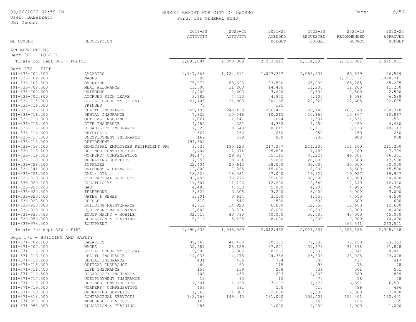User: BABarrett

DB: Owosso

#### BUDGET REPORT FOR CITY OF OWOSSO Page: 6/56 Fund: 101 GENERAL FUN

| ΝD |  |  |  |
|----|--|--|--|

| GL NUMBER                      | DESCRIPTION                        | $2019 - 20$<br>ACTIVITY | $2020 - 21$<br>ACTIVITY | $2021 - 22$<br>AMENDED<br><b>BUDGET</b> | $2022 - 23$<br>REQUESTED<br><b>BUDGET</b> | $2022 - 23$<br>RECOMMENDED<br><b>BUDGET</b> | $2022 - 23$<br>APPROVED<br><b>BUDGET</b> |
|--------------------------------|------------------------------------|-------------------------|-------------------------|-----------------------------------------|-------------------------------------------|---------------------------------------------|------------------------------------------|
| APPROPRIATIONS                 |                                    |                         |                         |                                         |                                           |                                             |                                          |
| Dept 301 - POLICE              |                                    |                         |                         |                                         |                                           |                                             |                                          |
| Totals for dept 301 - POLICE   |                                    | 2,093,084               | 2,090,809               | 2,263,812                               | 2,314,283                                 | 2,825,081                                   | 2,825,081                                |
| Dept $336 -$ FIRE              |                                    |                         |                         |                                         |                                           |                                             |                                          |
| 101-336-702.100                | SALARIES                           | 1, 147, 365             | 1, 124, 811             | 1,097,337                               | 1,086,831                                 | 86,539                                      | 86,539                                   |
| 101-336-702.200                | WAGES                              | 90                      |                         |                                         |                                           | 1,028,711                                   | 1,028,711                                |
| 101-336-702.300                | OVERTIME                           | 75,279                  | 63,693                  | 83,500                                  | 65,000                                    | 65,285                                      | 65,285                                   |
| 101-336-702.500                | MEAL ALLOWANCE                     | 13,500                  | 11,200                  | 14,400                                  | 11,200                                    | 11,200                                      | 11,200                                   |
| 101-336-702.600                | UNIFORMS                           | 2,200                   | 2,600                   | 3,600                                   | 2,500                                     | 2,500                                       | 2,500                                    |
| 101-336-702.800                | ACCRUED SICK LEAVE                 | 3,782                   | 4,410                   | 4,955                                   | 6,100                                     | 6,588                                       | 6,588                                    |
| 101-336-715.000                | SOCIAL SECURITY (FICA)             | 21,403                  | 21,903                  | 20,166                                  | 22,328                                    | 22,605                                      | 22,605                                   |
| 101-336-716.000                | FRINGES                            | 73                      |                         | 125                                     |                                           |                                             |                                          |
| 101-336-716.100                | HEALTH INSURANCE                   | 249,136                 | 246,429                 | 256,473                                 | 260,748                                   | 260,748                                     | 260,748                                  |
| 101-336-716.200                | DENTAL INSURANCE                   | 7,822                   | 10,048                  | 10,215                                  | 10,867                                    | 10,867                                      | 10,867                                   |
| 101-336-716.300                | OPTICAL INSURANCE                  | 1,061                   | 1,141                   | 1,074                                   | 1,531                                     | 1,531                                       | 1,531                                    |
| 101-336-716.400                | LIFE INSURANCE                     | 4,484                   | 4,351                   | 4,352                                   | 4,450                                     | 4,450                                       | 4,450                                    |
| 101-336-716.500                | DISABILITY INSURANCE               | 7,526                   | 8,543                   | 8,615                                   | 10,113                                    | 10,113                                      | 10,113                                   |
| 101-336-716.600                | PHYSICALS                          | 567                     | 266                     | 250                                     | 250                                       | 250                                         | 250                                      |
| 101-336-717.000                | UNEMPLOYMENT INSURANCE             | 169                     | 599                     | 800                                     | 908                                       | 908                                         | 908                                      |
| 101-336-718.000                | RETIREMENT                         | 194,504                 |                         |                                         |                                           |                                             |                                          |
| 101-336-718.100                | MUNICIPAL EMPLOYEES RETIREMENT PR( | 9,626                   | 195,120                 | 217,277                                 | 211,200                                   | 211,200                                     | 211,200                                  |
| 101-336-718.200                | DEFINED CONTRIBUTION               | 2,404                   | 2,674                   | 5,808                                   | 7,489                                     | 7,789                                       | 7,789                                    |
| 101-336-719.000                | WORKERS' COMPENSATION              | 34,175                  | 29,917                  | 35,115                                  | 45,224                                    | 46,301                                      | 46,301                                   |
| 101-336-728.000                | OPERATING SUPPLIES                 | 7,953                   | 10,624                  | 9,000                                   | 20,000                                    | 17,500                                      | 17,500                                   |
| 101-336-728.100                | SUPPLIES                           | 22,434                  | 20,642                  | 28,000                                  | 30,000                                    | 30,000                                      | 30,000                                   |
| 101-336-741.000                | UNIFORMS & CLEANING                | 12,800                  | 7,865                   | 15,000                                  | 18,000                                    | 15,500                                      | 15,500                                   |
| 101-336-751.000                | GAS & OIL                          | 18,529                  | 18,081                  | 27,000                                  | 19,927                                    | 19,927                                      | 19,927                                   |
| 101-336-818.000                | CONTRACTUAL SERVICES               | 83,493                  | 76,276                  | 85,000                                  | 80,000                                    | 80,000                                      | 80,000                                   |
| 101-336-920.100                | ELECTRICITY                        | 11,607                  | 11,196                  | 12,200                                  | 12,340                                    | 12,340                                      | 12,340                                   |
| 101-336-920.200                | GAS                                | 4,486                   | 4,533                   | 5,000                                   | 4,995                                     | 4,995                                       | 4,995                                    |
| 101-336-920.300                | TELEPHONE                          | 3,522                   | 3,305                   | 3,200                                   | 3,000                                     | 3,000                                       | 3,000                                    |
| 101-336-920.400                | WATER & SEWER                      | 3,301                   | 3,614                   | 3,500                                   | 4,550                                     | 4,550                                       | 4,550                                    |
| 101-336-920.500                | REFUSE                             | 510                     | 546                     | 500                                     | 600                                       | 600                                         | 600                                      |
| 101-336-930.000                | BUILDING MAINTENANCE               | 4,719                   | 14,923                  | 6,000                                   | 12,650                                    | 12,650                                      | 12,650                                   |
| 101-336-933.000                | EQUIPMENT MAINTENANCE              | 2,882                   | 3,534                   | 6,000                                   | 10,000                                    | 8,000                                       | 8,000                                    |
| 101-336-933.400                | EQUIP MAINT - MOBILE               | 32,515                  | 40,790                  | 40,000                                  | 50,000                                    | 45,000                                      | 45,000                                   |
| 101-336-956.000                | EDUCATION & TRAINING               | 6,916                   | 5,295                   | 8,000                                   | 12,000                                    | 10,000                                      | 10,000                                   |
| 101-336-978.000                | <b>EOUIPMENT</b>                   |                         |                         |                                         |                                           | 263,541                                     | 263,541                                  |
| Totals for dept 336 - FIRE     |                                    | 1,990,833               | 1,948,929               | 2,012,462                               | 2,024,801                                 | 2,305,188                                   | 2,305,188                                |
| Dept 371 - BUILDING AND SAFETY |                                    |                         |                         |                                         |                                           |                                             |                                          |
| 101-371-702.100                | SALARIES                           | 39,765                  | 41,460                  | 80,333                                  | 79,680                                    | 73,233                                      | 73,233                                   |
| 101-371-702.200                | WAGES                              | 32,487                  | 28,159                  | 37,271                                  | 31,878                                    | 31,878                                      | 31,878                                   |
| 101-371-715 000                | SOCIAL SECUPITY (FICA)             | 5508                    | 5 306                   | 9.063                                   | 9525                                      | 9.011                                       | 9.011                                    |

| Dept 371 - BUILDING AND SAFETY |                        |         |         |         |         |         |         |
|--------------------------------|------------------------|---------|---------|---------|---------|---------|---------|
| $101 - 371 - 702.100$          | SALARIES               | 39,765  | 41,460  | 80,333  | 79,680  | 73,233  | 73,233  |
| $101 - 371 - 702.200$          | WAGES                  | 32,487  | 28,159  | 37,271  | 31,878  | 31,878  | 31,878  |
| 101-371-715.000                | SOCIAL SECURITY (FICA) | 5,508   | 5,306   | 8,963   | 8,535   | 8,041   | 8,041   |
| 101-371-716.100                | HEALTH INSURANCE       | 14,033  | 14,278  | 24,336  | 26,838  | 23,028  | 23,028  |
| 101-371-716.200                | DENTAL INSURANCE       | 431     | 466     | 734     | 540     | 417     | 417     |
| 101-371-716.300                | OPTICAL INSURANCE      | 60      | 60      | 115     | 93      | 78      | 78      |
| 101-371-716.400                | LIFE INSURANCE         | 156     | 159     | 238     | 539     | 501     | 501     |
| 101-371-716.500                | DISABILITY INSURANCE   | 408     | 453     | 603     | 1,008   | 889     | 889     |
| 101-371-717.000                | UNEMPLOYMENT INSURANCE | 13      | 90      |         | 70      | 58      | 58      |
| 101-371-718.200                | DEFINED CONTRIBUTION   | 1,591   | 1,658   | 7,203   | 7,172   | 6,591   | 6,591   |
| 101-371-719.000                | WORKERS' COMPENSATION  | 456     | 591     | 500     | 510     | 486     | 486     |
| 101-371-728.000                | OPERATING SUPPLIES     | 1,666   | 1,307   | 2,000   | 2,000   | 2,000   | 2,000   |
| 101-371-818.000                | CONTRACTUAL SERVICES   | 142,768 | 149,440 | 181,000 | 152,401 | 152,401 | 152,401 |
| 101-371-955.000                | MEMBERSHIPS & DUES     | 163     |         | 165     | 165     | 165     | 165     |
| 101-371-956.000                | EDUCATION & TRAINING   | 285     |         | 1,000   | 1,000   | 1,000   | 1,000   |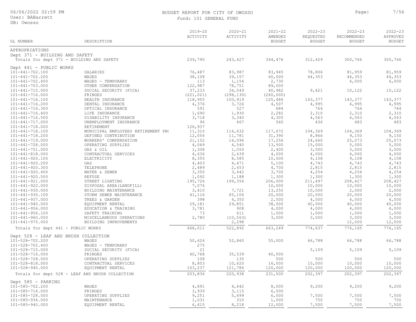#### BUDGET REPORT FOR CITY OF OWOSSO Page: 7/56 Fund: 101 GENERAL FUND

| GL NUMBER                                 | DESCRIPTION                                     | 2019-20<br>ACTIVITY | $2020 - 21$<br>ACTIVITY | $2021 - 22$<br>AMENDED<br><b>BUDGET</b> | $2022 - 23$<br>REQUESTED<br><b>BUDGET</b> | $2022 - 23$<br>RECOMMENDED<br><b>BUDGET</b> | $2022 - 23$<br>APPROVED<br><b>BUDGET</b> |
|-------------------------------------------|-------------------------------------------------|---------------------|-------------------------|-----------------------------------------|-------------------------------------------|---------------------------------------------|------------------------------------------|
| APPROPRIATIONS                            |                                                 |                     |                         |                                         |                                           |                                             |                                          |
| Dept 371 - BUILDING AND SAFETY            |                                                 |                     |                         |                                         |                                           |                                             |                                          |
| Totals for dept 371 - BUILDING AND SAFETY |                                                 | 239,790             | 243,427                 | 344,476                                 | 312,429                                   | 300,766                                     | 300,766                                  |
|                                           |                                                 |                     |                         |                                         |                                           |                                             |                                          |
| Dept 441 - PUBLIC WORKS                   |                                                 |                     |                         |                                         |                                           |                                             |                                          |
| 101-441-702.100                           | SALARIES                                        | 76,487              | 83,987                  | 83,945                                  | 78,806                                    | 81,959                                      | 81,959                                   |
| 101-441-702.200                           | WAGES                                           | 38,108              | 39,157                  | 60,000                                  | 44,353                                    | 44,353                                      | 44,353                                   |
| $101 - 441 - 702.400$                     | WAGES - TEMPORARY                               | 113                 | 1,154                   | 2,730                                   |                                           | 6,000                                       | 6,000                                    |
| 101-441-703.000                           | OTHER COMPENSATION                              | 122,987             | 78,751                  | 89,000                                  |                                           |                                             |                                          |
| $101 - 441 - 715.000$                     | SOCIAL SECURITY (FICA)                          | 37,233              | 34,549                  | 40,982                                  | 9,421                                     | 10,122                                      | 10,122                                   |
| 101-441-716.000                           | FRINGES                                         | (221, 021)          | (298, 130)              | (260, 000)                              |                                           |                                             |                                          |
| 101-441-716.100                           | HEALTH INSURANCE                                | 118,955             | 100,919                 | 125,486                                 | 143,377                                   | 143,377                                     | 143,377                                  |
| 101-441-716.200                           | DENTAL INSURANCE                                | 4,376               | 3,726                   | 4,507                                   | 4,995<br>764                              | 4,995                                       | 4,995<br>764                             |
| 101-441-716.300<br>$101 - 441 - 716.400$  | OPTICAL INSURANCE                               | 591<br>1,690        | 527<br>1,930            | 684<br>2,282                            | 2,310                                     | 764<br>2,310                                | 2,310                                    |
| $101 - 441 - 716.500$                     | LIFE INSURANCE<br>DISABILITY INSURANCE          | 3,718               | 3,340                   | 4,305                                   | 4,563                                     | 4,563                                       | 4,563                                    |
| 101-441-717.000                           | UNEMPLOYMENT INSURANCE                          | 96                  | 467                     | 560                                     | 436                                       | 483                                         | 483                                      |
| 101-441-718.000                           | RETIREMENT                                      | 126,937             |                         |                                         |                                           |                                             |                                          |
| $101 - 441 - 718.100$                     | MUNICIPAL EMPLOYEES RETIREMENT PR(              | 11,310              | 116,632                 | 117,672                                 | 104,369                                   | 104,369                                     | 104,369                                  |
| 101-441-718.200                           | DEFINED CONTRIBUTION                            | 12,056              | 11,781                  | 31,390                                  | 8,866                                     | 9,150                                       | 9,150                                    |
| 101-441-719.000                           | WORKERS' COMPENSATION                           | 21,152              | 16,096                  | 17,256                                  | 24,660                                    | 25,073                                      | 25,073                                   |
| 101-441-728.000                           | OPERATING SUPPLIES                              | 4,049               | 4,540                   | 13,500                                  | 15,000                                    | 5,000                                       | 5,000                                    |
| $101 - 441 - 751.000$                     | GAS & OIL                                       | 1,308               | 1,050                   | 2,400                                   | 3,000                                     | 3,000                                       | 3,000                                    |
| $101 - 441 - 818.000$                     | CONTRACTUAL SERVICES                            | 4,636               | 2,439                   | 4,000                                   | 4,000                                     | 4,000                                       | 4,000                                    |
| 101-441-920.100                           | ELECTRICITY                                     | 8,355               | 8,585                   | 10,000                                  | 9,108                                     | 9,108                                       | 9,108                                    |
| 101-441-920.200                           | GAS                                             | 4,403               | 4,471                   | 5,100                                   | 4,743                                     | 4,743                                       | 4,743                                    |
| 101-441-920.300                           | TELEPHONE                                       | 2,489               | 2,653                   | 4,700                                   | 2,815                                     | 2,815                                       | 2,815                                    |
| 101-441-920.400                           | WATER & SEWER                                   | 3,350               | 3,442                   | 3,700                                   | 4,254                                     | 4,254                                       | 4,254                                    |
| $101 - 441 - 920.500$                     | REFUSE                                          | 1,092               | 1,188                   | 1,300                                   | 1,300                                     | 1,300                                       | 1,300                                    |
| 101-441-921.000                           | STREET LIGHTING                                 | 195,726             | 199,356                 | 206,000                                 | 211,497                                   | 208,427                                     | 208,427                                  |
| $101 - 441 - 922.000$                     | DISPOSAL AREA (LANDFILL)                        | 7,076               |                         | 10,000                                  | 10,000                                    | 10,000                                      | 10,000                                   |
| 101-441-930.000                           | BUILDING MAINTENANCE                            | 3,410               | 7,721                   | 13,250                                  | 10,000                                    | 2,000                                       | 2,000                                    |
| 101-441-930.100                           | STORM SEWER MAINTENANCE                         | 41,116              | 65,106                  | 20,000                                  | 20,000                                    | 20,000                                      | 20,000                                   |
| 101-441-937.000                           | TREES & GARDEN                                  | 398                 | 4,350                   | 2,500                                   | 4,000                                     | 4,000                                       | 4,000                                    |
| $101 - 441 - 940.000$                     | EQUIPMENT RENTAL                                | 29,181              | 29,851                  | 38,000                                  | 40,000                                    | 40,000                                      | 40,000                                   |
| $101 - 441 - 956.000$                     | EDUCATION & TRAINING                            | 3,781               | 908                     | 4,000                                   | 4,000                                     | 4,000                                       | 4,000                                    |
| $101 - 441 - 956.100$                     | SAFETY TRAINING                                 | 73                  | 611                     | 1,000                                   | 1,000                                     | 1,000                                       | 1,000                                    |
| 101-441-960.000                           | MISCELLANEOUS OPERATIONS                        | 2,780               | (10, 563)               | 3,000                                   | 3,000                                     | 3,000                                       | 3,000                                    |
| $101 - 441 - 975.000$                     | BUILDING IMPROVEMENTS                           |                     | 2,298                   |                                         |                                           | 12,000                                      | 12,000                                   |
| Totals for dept 441 - PUBLIC WORKS        |                                                 | 668,011             | 522,892                 | 663,249                                 | 774,637                                   | 776,165                                     | 776,165                                  |
| Dept 528 - LEAF AND BRUSH COLLECTION      |                                                 |                     |                         |                                         |                                           |                                             |                                          |
| 101-528-702.200                           | WAGES                                           | 50,624              | 52,860                  | 55,000                                  | 66,788                                    | 66,788                                      | 66,788                                   |
| $101 - 528 - 702.400$                     | WAGES - TEMPORARY                               | 275                 |                         |                                         |                                           |                                             |                                          |
| 101-528-715.000                           | SOCIAL SECURITY (FICA)                          | 21                  |                         |                                         | 5,109                                     | 5,109                                       | 5,109                                    |
| 101-528-716.000                           | FRINGES                                         | 40,768              | 35,539                  | 40,000                                  |                                           |                                             |                                          |
| 101-528-728.000                           | OPERATING SUPPLIES                              | 108                 | 135                     | 500                                     | 500                                       | 500                                         | 500                                      |
| 101-528-818.000                           | CONTRACTUAL SERVICES                            | 8,803               | 10,620                  | 16,000                                  | 10,000                                    | 10,000                                      | 10,000                                   |
| 101-528-940.000                           | EQUIPMENT RENTAL                                | 103,237             | 121,784                 | 120,000                                 | 120,000                                   | 120,000                                     | 120,000                                  |
|                                           | Totals for dept 528 - LEAF AND BRUSH COLLECTION | 203,836             | 220,938                 | 231,500                                 | 202,397                                   | 202,397                                     | 202,397                                  |
| Dept 585 - PARKING                        |                                                 |                     |                         |                                         |                                           |                                             |                                          |
| 101-585-702.200                           | WAGES                                           | 4,891               | 4,642                   | 8,000                                   | 9,200                                     | 9,200                                       | 9,200                                    |
| 101-585-716.000                           | FRINGES                                         | 3,939               | 3,115                   | 6,000                                   |                                           |                                             |                                          |
| 101-585-728.000                           | OPERATING SUPPLIES                              | 9,251               | 5,699                   | 6,000                                   | 7,500                                     | 7,500                                       | 7,500                                    |
| 101-585-934.000                           | MAINTENANCE                                     | 1,031               | 310                     | 1,000                                   | 750                                       | 750                                         | 750                                      |
| 101-585-940.000                           | EQUIPMENT RENTAL                                | 6,415               | 8,218                   | 12,000                                  | 7,500                                     | 7,500                                       | 7,500                                    |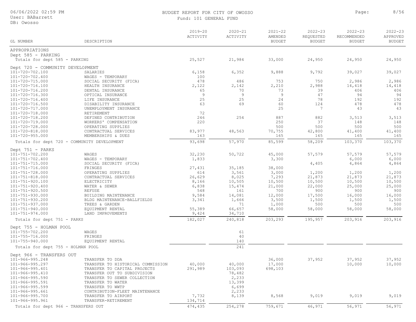#### BUDGET REPORT FOR CITY OF OWOSSO **Page:** 8/56 FUND<sup>.</sup>

| Fund: 101 GENERAL FUNI |
|------------------------|
|------------------------|

| GL NUMBER                                      | DESCRIPTION                                                 | $2019 - 20$<br>ACTIVITY | $2020 - 21$<br>ACTIVITY | $2021 - 22$<br>AMENDED<br><b>BUDGET</b> | $2022 - 23$<br>REQUESTED<br><b>BUDGET</b> | $2022 - 23$<br>RECOMMENDED<br><b>BUDGET</b> | $2022 - 23$<br>APPROVED<br><b>BUDGET</b> |
|------------------------------------------------|-------------------------------------------------------------|-------------------------|-------------------------|-----------------------------------------|-------------------------------------------|---------------------------------------------|------------------------------------------|
|                                                |                                                             |                         |                         |                                         |                                           |                                             |                                          |
| APPROPRIATIONS                                 |                                                             |                         |                         |                                         |                                           |                                             |                                          |
| Dept 585 - PARKING                             |                                                             |                         |                         |                                         |                                           |                                             |                                          |
| Totals for dept 585 - PARKING                  |                                                             | 25,527                  | 21,984                  | 33,000                                  | 24,950                                    | 24,950                                      | 24,950                                   |
| Dept 720 - COMMUNITY DEVELOPMENT               |                                                             |                         |                         |                                         |                                           |                                             |                                          |
| 101-720-702.100                                | SALARIES                                                    | 6,158                   | 6,352                   | 9,888                                   | 9,792                                     | 39,027                                      | 39,027                                   |
| 101-720-702.400                                | WAGES - TEMPORARY                                           | 100                     |                         |                                         |                                           |                                             |                                          |
| 101-720-715.000                                | SOCIAL SECURITY (FICA)                                      | 478                     | 486                     | 753                                     | 750                                       | 2,986                                       | 2,986                                    |
| 101-720-716.100<br>101-720-716.200             | HEALTH INSURANCE<br>DENTAL INSURANCE                        | 2,122<br>65             | 2,142<br>70             | 2,210<br>73                             | 2,988<br>39                               | 14,418<br>406                               | 14,418<br>406                            |
| 101-720-716.300                                | OPTICAL INSURANCE                                           | 9                       | 9                       | 9                                       | 47                                        | 94                                          | 94                                       |
| 101-720-716.400                                | LIFE INSURANCE                                              | 25                      | 25                      | 24                                      | 78                                        | 192                                         | 192                                      |
| 101-720-716.500                                | DISABILITY INSURANCE                                        | 63                      | 69                      | 60                                      | 124                                       | 478                                         | 478                                      |
| 101-720-717.000                                | UNEMPLOYMENT INSURANCE                                      |                         |                         | 25                                      | 7                                         | 43                                          | 43                                       |
| 101-720-718.000                                | RETIREMENT                                                  | 72                      |                         |                                         |                                           |                                             |                                          |
| 101-720-718.200                                | DEFINED CONTRIBUTION                                        | 246                     | 254                     | 887                                     | 882                                       | 3,513                                       | 3,513                                    |
| 101-720-719.000                                | WORKERS' COMPENSATION                                       | 220                     |                         | 250                                     | 37                                        | 148                                         | 148                                      |
| 101-720-728.000<br>101-720-818.000             | OPERATING SUPPLIES<br>CONTRACTUAL SERVICES                  | 83,977                  | 48,563                  | 500<br>70,755                           | 500                                       | 500<br>41,400                               | 500<br>41,400                            |
| $101 - 720 - 955.000$                          | MEMBERSHIPS & DUES                                          | 163                     |                         | 165                                     | 42,800<br>165                             | 165                                         | 165                                      |
| Totals for dept 720 - COMMUNITY DEVELOPMENT    |                                                             | 93,698                  | 57,970                  | 85,599                                  | 58,209                                    | 103,370                                     | 103,370                                  |
|                                                |                                                             |                         |                         |                                         |                                           |                                             |                                          |
| Dept 751 - PARKS                               |                                                             |                         |                         |                                         |                                           |                                             |                                          |
| 101-751-702.200                                | WAGES                                                       | 32,230                  | 50,722                  | 45,000                                  | 57,579                                    | 57,579                                      | 57,579                                   |
| 101-751-702.400                                | WAGES - TEMPORARY                                           | 1,833                   |                         | 3,300                                   |                                           | 6,000                                       | 6,000                                    |
| $101 - 751 - 715.000$<br>$101 - 751 - 716.000$ | SOCIAL SECURITY (FICA)<br>FRINGES                           | 27,431                  | 35,185                  | 38,000                                  | 4,405                                     | 4,864                                       | 4,864                                    |
| 101-751-728.000                                | OPERATING SUPPLIES                                          | 614                     | 3,561                   | 3,000                                   | 1,200                                     | 1,200                                       | 1,200                                    |
| $101 - 751 - 818.000$                          | CONTRACTUAL SERVICES                                        | 26,629                  | 8,025                   | 7,293                                   | 21,873                                    | 21,873                                      | 21,873                                   |
| 101-751-920.100                                | ELECTRICITY                                                 | 8,166                   | 10,505                  | 10,500                                  | 10,500                                    | 10,500                                      | 10,500                                   |
| $101 - 751 - 920.400$                          | WATER & SEWER                                               | 6,838                   | 15,474                  | 21,000                                  | 22,000                                    | 25,000                                      | 25,000                                   |
| $101 - 751 - 920.500$                          | <b>REFUSE</b>                                               | 548                     | 161                     | 700                                     | 900                                       | 900                                         | 900                                      |
| $101 - 751 - 930.000$                          | BUILDING MAINTENANCE                                        | 9,584                   | 14,081                  | 12,000                                  | 17,500                                    | 16,000                                      | 16,000                                   |
| 101-751-930.200                                | BLDG MAINTENANCE-BALLFIELDS                                 | 3,341                   | 1,666                   | 3,500                                   | 1,500                                     | 1,500                                       | 1,500                                    |
| 101-751-937.000                                | TREES & GARDEN                                              |                         | 71                      | 1,000                                   | 500                                       | 500                                         | 500                                      |
| 101-751-940.000<br>$101 - 751 - 974.000$       | EQUIPMENT RENTAL<br>LAND IMPROVEMENTS                       | 55,389<br>9,424         | 66,657<br>34,710        | 58,000                                  | 58,000                                    | 58,000                                      | 58,000                                   |
|                                                |                                                             |                         |                         |                                         |                                           |                                             |                                          |
| Totals for dept 751 - PARKS                    |                                                             | 182,027                 | 240,818                 | 203,293                                 | 195,957                                   | 203,916                                     | 203,916                                  |
| Dept 755 - HOLMAN POOL                         |                                                             |                         |                         |                                         |                                           |                                             |                                          |
| 101-755-702.200                                | WAGES                                                       |                         | 61                      |                                         |                                           |                                             |                                          |
| 101-755-716.000                                | FRINGES                                                     |                         | 40                      |                                         |                                           |                                             |                                          |
| 101-755-940.000                                | EQUIPMENT RENTAL                                            |                         | 140                     |                                         |                                           |                                             |                                          |
| Totals for dept 755 - HOLMAN POOL              |                                                             |                         | 241                     |                                         |                                           |                                             |                                          |
| Dept 966 - TRANSFERS OUT                       |                                                             |                         |                         |                                         |                                           |                                             |                                          |
| $101 - 966 - 995.248$                          | TRANSFER TO DDA                                             |                         |                         | 36,000                                  | 37,952                                    | 37,952                                      | 37,952                                   |
| 101-966-995.297                                | TRANSFER TO HISTORICAL COMMISSION                           | 40,000                  | 40,000                  | 17,000                                  |                                           | 10,000                                      | 10,000                                   |
| 101-966-995.401                                | TRANSFER TO CAPITAL PROJECTS                                | 291,989                 | 103,093                 | 698,103                                 |                                           |                                             |                                          |
| 101-966-995.410<br>$101 - 966 - 995.590$       | TRANSFER OUT TO SUBDIVISION<br>TRANSFER TO SEWER COLLECTION |                         | 78,482                  |                                         |                                           |                                             |                                          |
| $101 - 966 - 995.591$                          | TRANSFER TO WATER                                           |                         | 2,233<br>13,399         |                                         |                                           |                                             |                                          |
| $101 - 966 - 995.599$                          | TRANSFER TO WWTP                                            |                         | 6,699                   |                                         |                                           |                                             |                                          |
| $101 - 966 - 995.661$                          | CONTRIBUTION-FLEET MAINTENANCE                              |                         | 2,233                   |                                         |                                           |                                             |                                          |
| 101-966-995.700                                | TRANSFER TO AIRPORT                                         | 7,732                   | 8,139                   | 8,568                                   | 9,019                                     | 9,019                                       | 9,019                                    |
| 101-966-995.961                                | TRANSFER-RETIREMENT                                         | 134,714                 |                         |                                         |                                           |                                             |                                          |
| Totals for dept 966 - TRANSFERS OUT            |                                                             | 474,435                 | 254,278                 | 759,671                                 | 46,971                                    | 56,971                                      | 56,971                                   |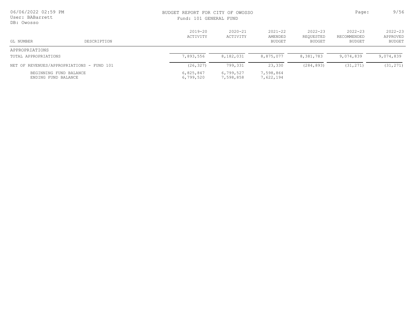| 06/06/2022 02:59 PM<br>User: BABarrett<br>DB: Owosso |             |                         | BUDGET REPORT FOR CITY OF OWOSSO<br>Fund: 101 GENERAL FUND |                                  |                                    |                                      |                                   |
|------------------------------------------------------|-------------|-------------------------|------------------------------------------------------------|----------------------------------|------------------------------------|--------------------------------------|-----------------------------------|
| GL NUMBER                                            | DESCRIPTION | $2019 - 20$<br>ACTIVITY | $2020 - 21$<br>ACTIVITY                                    | $2021 - 22$<br>AMENDED<br>BUDGET | $2022 - 23$<br>REOUESTED<br>BUDGET | $2022 - 23$<br>RECOMMENDED<br>BUDGET | $2022 - 23$<br>APPROVED<br>BUDGET |
| APPROPRIATIONS                                       |             |                         |                                                            |                                  |                                    |                                      |                                   |
| TOTAL APPROPRIATIONS                                 |             | 7,893,556               | 8,182,031                                                  | 8,875,077                        | 8,381,783                          | 9,074,839                            | 9,074,839                         |
| NET OF REVENUES/APPROPRIATIONS - FUND 101            |             | (26, 327)               | 799,331                                                    | 23,330                           | (284, 893)                         | (31, 271)                            | (31, 271)                         |
| BEGINNING FUND BALANCE<br>ENDING FUND BALANCE        |             | 6,825,847<br>6,799,520  | 6,799,527<br>7,598,858                                     | 7,598,864<br>7,622,194           |                                    |                                      |                                   |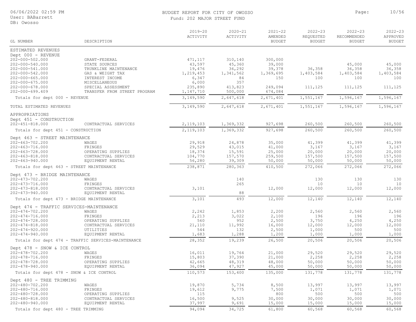#### User: BABarrett

DB: Owosso

#### BUDGET REPORT FOR CITY OF OWOSSO **Page:** 10/56 Fund: 202 MAJOR STREET FUND

| GL NUMBER                                      | DESCRIPTION                                        | $2019 - 20$<br>ACTIVITY | $2020 - 21$<br>ACTIVITY | $2021 - 22$<br>AMENDED<br><b>BUDGET</b> | $2022 - 23$<br>REQUESTED<br><b>BUDGET</b> | $2022 - 23$<br>RECOMMENDED<br><b>BUDGET</b> | $2022 - 23$<br>APPROVED<br><b>BUDGET</b> |
|------------------------------------------------|----------------------------------------------------|-------------------------|-------------------------|-----------------------------------------|-------------------------------------------|---------------------------------------------|------------------------------------------|
| ESTIMATED REVENUES                             |                                                    |                         |                         |                                         |                                           |                                             |                                          |
| Dept 000 - REVENUE                             |                                                    |                         |                         |                                         |                                           |                                             |                                          |
| 202-000-502.000                                | GRANT-FEDERAL                                      | 471,117                 | 310,140                 | 300,000                                 |                                           |                                             |                                          |
| 202-000-540.000                                | STATE SOURCES                                      | 43,597                  | 45,360                  | 39,000                                  |                                           | 45,000                                      | 45,000                                   |
| 202-000-541.000                                | TRUNKLINE MAINTENANCE                              | 19,476                  | 36,292                  | 39,378                                  | 36,358                                    | 36,358                                      | 36,358                                   |
| 202-000-542.000                                | GAS & WEIGHT TAX                                   | 1,219,453               | 1,341,562               | 1,369,695                               | 1,403,584                                 | 1,403,584                                   | 1,403,584                                |
| $202 - 000 - 665.000$                          | INTEREST INCOME                                    | 6,347                   | 84<br>357               | 150                                     | 100                                       | 100                                         | 100                                      |
| $202 - 000 - 675.000$                          | <b>MISCELLANEOUS</b>                               | 6,000                   |                         |                                         |                                           |                                             | 111,125                                  |
| $202 - 000 - 678.000$<br>$202 - 000 - 699.409$ | SPECIAL ASSESSMENT<br>TRANSFER FROM STREET PROGRAM | 235,890<br>1,147,710    | 413,823<br>500,000      | 249,094<br>674,084                      | 111,125                                   | 111,125                                     |                                          |
| Totals for dept 000 - REVENUE                  |                                                    | 3, 149, 590             | 2,647,618               | 2,671,401                               | 1,551,167                                 | 1,596,167                                   | 1,596,167                                |
|                                                |                                                    |                         |                         |                                         |                                           |                                             |                                          |
| TOTAL ESTIMATED REVENUES                       |                                                    | 3, 149, 590             | 2,647,618               | 2,671,401                               | 1,551,167                                 | 1,596,167                                   | 1,596,167                                |
| APPROPRIATIONS                                 |                                                    |                         |                         |                                         |                                           |                                             |                                          |
| Dept 451 - CONSTRUCTION                        |                                                    |                         |                         |                                         |                                           |                                             |                                          |
| $202 - 451 - 818.000$                          | CONTRACTUAL SERVICES                               | 2, 119, 103             | 1,369,332               | 927,698                                 | 260,500                                   | 260,500                                     | 260,500                                  |
| Totals for dept 451 - CONSTRUCTION             |                                                    | 2,119,103               | 1,369,332               | 927,698                                 | 260,500                                   | 260,500                                     | 260,500                                  |
| Dept 463 - STREET MAINTENANCE                  |                                                    |                         |                         |                                         |                                           |                                             |                                          |
| 202-463-702.200                                | WAGES                                              | 29,918                  | 24,878                  | 35,000                                  | 41,399                                    | 41,399                                      | 41,399                                   |
| $202 - 463 - 716.000$                          | FRINGES                                            | 29,529                  | 43,015                  | 41,000                                  | 3,167                                     | 3,167                                       | 3,167                                    |
| $202 - 463 - 728.000$                          | OPERATING SUPPLIES                                 | 18,374                  | 15,591                  | 25,000                                  | 20,000                                    | 20,000                                      | 20,000                                   |
| $202 - 463 - 818.000$                          | CONTRACTUAL SERVICES                               | 104,770                 | 157,570                 | 259,500                                 | 157,500                                   | 157,500                                     | 157,500                                  |
| $202 - 463 - 940.000$                          | EQUIPMENT RENTAL                                   | 56,280                  | 39,309                  | 50,000                                  | 50,000                                    | 50,000                                      | 50,000                                   |
| Totals for dept 463 - STREET MAINTENANCE       |                                                    | 238,871                 | 280,363                 | 410,500                                 | 272,066                                   | 272,066                                     | 272,066                                  |
| Dept 473 - BRIDGE MAINTENANCE                  |                                                    |                         |                         |                                         |                                           |                                             |                                          |
| 202-473-702.200                                | WAGES                                              |                         | 140                     |                                         | 130                                       | 130                                         | 130                                      |
| 202-473-716.000                                | FRINGES                                            |                         | 265                     |                                         | 10                                        | 10                                          | 10                                       |
| 202-473-818.000                                | CONTRACTUAL SERVICES                               | 3,101                   |                         | 12,000                                  | 12,000                                    | 12,000                                      | 12,000                                   |
| 202-473-940.000                                | EQUIPMENT RENTAL                                   |                         | 88                      |                                         |                                           |                                             |                                          |
| Totals for dept 473 - BRIDGE MAINTENANCE       |                                                    | 3,101                   | 493                     | 12,000                                  | 12,140                                    | 12,140                                      | 12,140                                   |
| Dept 474 - TRAFFIC SERVICES-MAINTENANCE        |                                                    |                         |                         |                                         |                                           |                                             |                                          |
| 202-474-702.200                                | WAGES                                              | 2,242                   | 1,853                   | 2,200                                   | 2,560                                     | 2,560                                       | 2,560                                    |
| $202 - 474 - 716.000$                          | FRINGES                                            | 2,213                   | 3,022                   | 2,100                                   | 196                                       | 196                                         | 196                                      |
| $202 - 474 - 728.000$                          | OPERATING SUPPLIES                                 | 560                     | 952                     | 2,500                                   | 3,750                                     | 4,250                                       | 4,250                                    |
| $202 - 474 - 818.000$                          | CONTRACTUAL SERVICES                               | 21,110                  | 11,992                  | 16,000                                  | 12,000                                    | 12,000                                      | 12,000                                   |
| $202 - 474 - 920.000$                          | UTILITIES                                          | 544                     | 132                     | 2,500                                   | 1,000                                     | 500                                         | 500                                      |
| $202 - 474 - 940.000$                          | EQUIPMENT RENTAL                                   | 1,683                   | 1,288                   | 1,200                                   | 1,000                                     | 1,000                                       | 1,000                                    |
|                                                | Totals for dept 474 - TRAFFIC SERVICES-MAINTENANCE | 28,352                  | 19,239                  | 26,500                                  | 20,506                                    | 20,506                                      | 20,506                                   |
| Dept 478 - SNOW & ICE CONTROL                  |                                                    |                         |                         |                                         |                                           |                                             |                                          |
| 202-478-702.200                                | WAGES                                              | 16,011                  | 19,764                  | 21,000                                  | 29,520                                    | 29,520                                      | 29,520                                   |
| 202-478-716.000                                | FRINGES                                            | 15,803                  | 37,390                  | 21,000                                  | 2,258                                     | 2,258                                       | 2,258                                    |
| 202-478-728.000<br>202-478-940.000             | OPERATING SUPPLIES<br>EQUIPMENT RENTAL             | 42,665                  | 48,319                  | 48,000                                  | 50,000                                    | 50,000                                      | 50,000                                   |
|                                                |                                                    | 36,094                  | 47,927                  | 45,000                                  | 50,000                                    | 50,000                                      | 50,000<br>131,778                        |
| Totals for dept 478 - SNOW & ICE CONTROL       |                                                    | 110,573                 | 153,400                 | 135,000                                 | 131,778                                   | 131,778                                     |                                          |
| Dept 480 - TREE TRIMMING                       |                                                    |                         |                         |                                         |                                           |                                             |                                          |
| 202-480-702.200                                | WAGES                                              | 19,870                  | 5,734                   | 8,500                                   | 13,997                                    | 13,997                                      | 13,997                                   |
| 202-480-716.000<br>202-480-728.000             | FRINGES<br>OPERATING SUPPLIES                      | 19,612<br>115           | 9,775                   | 7,500<br>800                            | 1,071<br>500                              | 1,071<br>500                                | 1,071<br>500                             |
| 202-480-818.000                                | CONTRACTUAL SERVICES                               | 16,500                  | 9,525                   | 30,000                                  | 30,000                                    | 30,000                                      | 30,000                                   |
| $202 - 480 - 940.000$                          | EQUIPMENT RENTAL                                   | 37,997                  | 9,691                   | 15,000                                  | 15,000                                    | 15,000                                      | 15,000                                   |
|                                                |                                                    |                         |                         |                                         |                                           |                                             |                                          |
| Totals for dept 480 - TREE TRIMMING            |                                                    | 94,094                  | 34,725                  | 61,800                                  | 60,568                                    | 60,568                                      | 60,568                                   |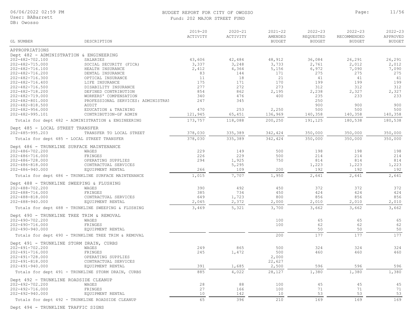#### BUDGET REPORT FOR CITY OF OWOSSO **PAGES Page:** 11/56 Fund: 202 MAJOR STREET FUND

2022-23 2022-23 2021-22 2020-21 2019-20

2022-23

| GL NUMBER                                           | DESCRIPTION                        | ACTIVITY | ACTIVITY | AMENDED<br><b>BUDGET</b> | REQUESTED<br><b>BUDGET</b> | RECOMMENDED<br><b>BUDGET</b> | APPROVED<br><b>BUDGET</b> |
|-----------------------------------------------------|------------------------------------|----------|----------|--------------------------|----------------------------|------------------------------|---------------------------|
| APPROPRIATIONS                                      |                                    |          |          |                          |                            |                              |                           |
| Dept 482 - ADMINISTRATION & ENGINEERING             |                                    |          |          |                          |                            |                              |                           |
| 202-482-702.100                                     | SALARIES                           | 43,606   | 42,484   | 48,912                   | 36,084                     | 26,291                       | 26,291                    |
| 202-482-715.000                                     | SOCIAL SECURITY (FICA)             | 3,337    | 3,248    | 3,733                    | 2,761                      | 2,012                        | 2,012                     |
| 202-482-716.100                                     | HEALTH INSURANCE                   | 2,412    | 4,364    | 5,156                    | 6,972                      | 7,090                        | 7,090                     |
| 202-482-716.200                                     | DENTAL INSURANCE                   | 83       | 144      | 171                      | 275                        | 275                          | 275                       |
| 202-482-716.300                                     | OPTICAL INSURANCE                  | 11       | 18       | 21                       | 41                         | 41                           | 41                        |
| 202-482-716.400                                     | LIFE INSURANCE                     | 175      | 171      | 170                      | 199                        | 199                          | 199                       |
| 202-482-716.500                                     | DISABILITY INSURANCE               | 277      | 272      | 273                      | 312                        | 312                          | 312                       |
| 202-482-718.200                                     | DEFINED CONTRIBUTION               | 854      | 862      | 2,195                    | 2,238                      | 2,327                        | 2,327                     |
| 202-482-719.000                                     | WORKERS' COMPENSATION              | 340      | 476      | 400                      | 235                        | 233                          | 233                       |
| 202-482-801.000                                     | PROFESSIONAL SERVICES: ADMINISTRAT | 247      | 345      |                          | 250                        |                              |                           |
| $202 - 482 - 818.500$                               | AUDIT                              |          |          |                          | 900                        | 900                          | 900                       |
| $202 - 482 - 956.000$                               | EDUCATION & TRAINING               | 470      | 253      | 2,250                    | 500                        | 500                          | 500                       |
| 202-482-995.101                                     | CONTRIBUTION-GF ADMIN              | 121,945  | 65,451   | 136,969                  | 140,358                    | 140,358                      | 140,358                   |
| Totals for dept 482 - ADMINISTRATION & ENGINEERING  |                                    | 173,757  | 118,088  | 200,250                  | 191,125                    | 180,538                      | 180,538                   |
| Dept 485 - LOCAL STREET TRANSFER                    |                                    |          |          |                          |                            |                              |                           |
| $202 - 485 - 995.203$                               | TRANSFER TO LOCAL STREET           | 378,030  | 335,389  | 342,424                  | 350,000                    | 350,000                      | 350,000                   |
| Totals for dept 485 - LOCAL STREET TRANSFER         |                                    | 378,030  | 335,389  | 342,424                  | 350,000                    | 350,000                      | 350,000                   |
| Dept 486 - TRUNKLINE SURFACE MAINTENANCE            |                                    |          |          |                          |                            |                              |                           |
| 202-486-702.200                                     | WAGES                              | 229      | 149      | 500                      | 198                        | 198                          | 198                       |
| 202-486-716.000                                     | FRINGES                            | 226      | 229      | 500                      | 214                        | 214                          | 214                       |
| 202-486-728.000                                     | OPERATING SUPPLIES                 | 294      | 1,925    | 750                      | 814                        | 814                          | 814                       |
| 202-486-818.000                                     | CONTRACTUAL SERVICES               |          | 5,295    |                          | 1,223                      | 1,223                        | 1,223                     |
| $202 - 486 - 940.000$                               | EQUIPMENT RENTAL                   | 266      | 109      | 200                      | 192                        | 192                          | 192                       |
| Totals for dept 486 - TRUNKLINE SURFACE MAINTENANCE |                                    | 1,015    | 7,707    | 1,950                    | 2,641                      | 2,641                        | 2,641                     |
| Dept 488 - TRUNKLINE SWEEPING & FLUSHING            |                                    |          |          |                          |                            |                              |                           |
|                                                     | WAGES                              | 390      | 492      | 450                      | 372                        | 372                          | 372                       |
| 202-488-702.200<br>202-488-716.000                  | FRINGES                            | 385      | 734      | 450                      | 424                        | 424                          | 424                       |
| 202-488-818.000                                     | CONTRACTUAL SERVICES               | 649      |          | 800                      | 856                        | 856                          | 856                       |
|                                                     |                                    |          | 1,723    |                          |                            |                              |                           |
| 202-488-940.000                                     | EQUIPMENT RENTAL                   | 2,045    | 2,372    | 2,000                    | 2,010                      | 2,010                        | 2,010                     |
| Totals for dept 488 - TRUNKLINE SWEEPING & FLUSHING |                                    | 3,469    | 5,321    | 3,700                    | 3,662                      | 3,662                        | 3,662                     |
| Dept 490 - TRUNKLINE TREE TRIM & REMOVAL            |                                    |          |          |                          |                            |                              |                           |
| 202-490-702.200                                     | WAGES                              |          |          | 100                      | 65                         | 65                           | 65                        |
| 202-490-716.000                                     | FRINGES                            |          |          | 100                      | 62                         | 62                           | 62                        |
| $202 - 490 - 940.000$                               | EQUIPMENT RENTAL                   |          |          |                          | 50                         | 50                           | 50                        |
| Totals for dept 490 - TRUNKLINE TREE TRIM & REMOVAL |                                    |          |          | 200                      | 177                        | 177                          | 177                       |
| Dept 491 - TRUNKLINE STORM DRAIN, CURBS             |                                    |          |          |                          |                            |                              |                           |
| 202-491-702.200                                     | WAGES                              | 249      | 865      | 500                      | 324                        | 324                          | 324                       |
| 202-491-716.000                                     | FRINGES                            | 245      | 1,472    | 500                      | 460                        | 460                          | 460                       |
| 202-491-728.000                                     | OPERATING SUPPLIES                 |          |          | 2,000                    |                            |                              |                           |
| $202 - 491 - 818.000$                               | CONTRACTUAL SERVICES               |          |          | 22,627                   |                            |                              |                           |
| 202-491-940.000                                     | EQUIPMENT RENTAL                   | 391      | 1,685    | 2,500                    | 596                        | 596                          | 596                       |
| Totals for dept 491 - TRUNKLINE STORM DRAIN, CURBS  |                                    | 885      | 4,022    | 28,127                   | 1,380                      | 1,380                        | 1,380                     |
| Dept 492 - TRUNKLINE ROADSIDE CLEANUP               |                                    |          |          |                          |                            |                              |                           |
| 202-492-702.200                                     | WAGES                              | 28       | 88       | 100                      | 45                         | 45                           | 45                        |
| 202-492-716.000                                     | FRINGES                            | 27       | 166      | 100                      | 71                         | 71                           | 71                        |
| $202 - 492 - 940.000$                               | EQUIPMENT RENTAL                   | 10       | 142      | 10                       | 53                         | 53                           | 53                        |
| Totals for dept 492 - TRUNKLINE ROADSIDE CLEANUP    |                                    | 65       | 396      | 210                      | 169                        | 169                          | 169                       |

Dept 494 - TRUNKLINE TRAFFIC SIGNS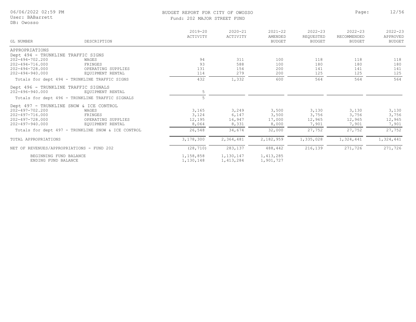#### BUDGET REPORT FOR CITY OF OWOSSO **Page:** 12/56 Fund: 202 MAJOR STREET FUND

|                                               |                                                    | $2019 - 20$<br>ACTIVITY | $2020 - 21$<br>ACTIVITY | $2021 - 22$<br>AMENDED | $2022 - 23$<br>REQUESTED | $2022 - 23$<br>RECOMMENDED | $2022 - 23$<br>APPROVED |
|-----------------------------------------------|----------------------------------------------------|-------------------------|-------------------------|------------------------|--------------------------|----------------------------|-------------------------|
| GL NUMBER                                     | DESCRIPTION                                        |                         |                         | <b>BUDGET</b>          | <b>BUDGET</b>            | <b>BUDGET</b>              | <b>BUDGET</b>           |
| APPROPRIATIONS                                |                                                    |                         |                         |                        |                          |                            |                         |
| Dept 494 - TRUNKLINE TRAFFIC SIGNS            |                                                    |                         |                         |                        |                          |                            |                         |
| 202-494-702.200                               | WAGES                                              | 94                      | 311                     | 100                    | 118                      | 118                        | 118                     |
| $202 - 494 - 716.000$                         | FRINGES                                            | 93                      | 588                     | 100                    | 180                      | 180                        | 180                     |
| 202-494-728.000                               | OPERATING SUPPLIES                                 | 131                     | 154                     | 200                    | 141                      | 141                        | 141                     |
| $202 - 494 - 940.000$                         | EOUIPMENT RENTAL                                   | 114                     | 279                     | 200                    | 125                      | 125                        | 125                     |
|                                               | Totals for dept 494 - TRUNKLINE TRAFFIC SIGNS      | 432                     | 1,332                   | 600                    | 564                      | 564                        | 564                     |
| Dept 496 - TRUNKLINE TRAFFIC SIGNALS          |                                                    |                         |                         |                        |                          |                            |                         |
| 202-496-940.000                               | EOUIPMENT RENTAL                                   | 5                       |                         |                        |                          |                            |                         |
|                                               | Totals for dept 496 - TRUNKLINE TRAFFIC SIGNALS    | $\overline{5}$          |                         |                        |                          |                            |                         |
| Dept 497 - TRUNKLINE SNOW & ICE CONTROL       |                                                    |                         |                         |                        |                          |                            |                         |
| 202-497-702.200                               | WAGES                                              | 3,165                   | 3,249                   | 3,500                  | 3,130                    | 3,130                      | 3,130                   |
| $202 - 497 - 716.000$                         | FRINGES                                            | 3,124                   | 6,147                   | 3,500                  | 3,756                    | 3,756                      | 3,756                   |
| $202 - 497 - 728.000$                         | OPERATING SUPPLIES                                 | 12,195                  | 16,947                  | 17,000                 | 12,965                   | 12,965                     | 12,965                  |
| 202-497-940.000                               | EQUIPMENT RENTAL                                   | 8,064                   | 8,331                   | 8,000                  | 7,901                    | 7,901                      | 7,901                   |
|                                               | Totals for dept 497 - TRUNKLINE SNOW & ICE CONTROL | 26,548                  | 34,674                  | 32,000                 | 27,752                   | 27,752                     | 27,752                  |
| TOTAL APPROPRIATIONS                          |                                                    | 3,178,300               | 2,364,481               | 2,182,959              | 1,335,028                | 1,324,441                  | 1,324,441               |
| NET OF REVENUES/APPROPRIATIONS - FUND 202     |                                                    | (28, 710)               | 283,137                 | 488,442                | 216,139                  | 271,726                    | 271,726                 |
|                                               |                                                    |                         |                         |                        |                          |                            |                         |
| BEGINNING FUND BALANCE<br>ENDING FUND BALANCE |                                                    | 1,158,858<br>1,130,148  | 1,130,147<br>1,413,284  | 1,413,285<br>1,901,727 |                          |                            |                         |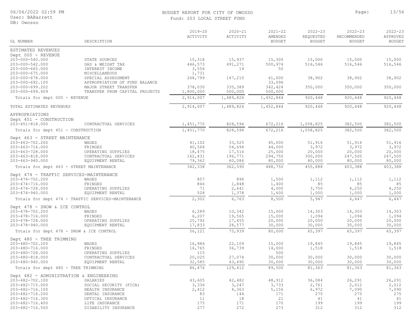#### User: BABarrett

DB: Owosso

#### BUDGET REPORT FOR CITY OF OWOSSO **Page:** 13/56 Fund: 203 LOCAL STREET FUND

| 'I IND |  |  |  |
|--------|--|--|--|

| DB: OWOSSO                               |                                                        |                         |                         |                                         |                                           |                                             |                                          |
|------------------------------------------|--------------------------------------------------------|-------------------------|-------------------------|-----------------------------------------|-------------------------------------------|---------------------------------------------|------------------------------------------|
| GL NUMBER                                | DESCRIPTION                                            | $2019 - 20$<br>ACTIVITY | $2020 - 21$<br>ACTIVITY | $2021 - 22$<br>AMENDED<br><b>BUDGET</b> | $2022 - 23$<br>REQUESTED<br><b>BUDGET</b> | $2022 - 23$<br>RECOMMENDED<br><b>BUDGET</b> | $2022 - 23$<br>APPROVED<br><b>BUDGET</b> |
| ESTIMATED REVENUES                       |                                                        |                         |                         |                                         |                                           |                                             |                                          |
| Dept 000 - REVENUE                       |                                                        |                         |                         |                                         |                                           |                                             |                                          |
| 203-000-540.000                          | STATE SOURCES                                          | 15,318                  | 15,937                  | 15,300                                  | 15,000                                    | 15,000                                      | 15,000                                   |
| 203-000-542.000                          | GAS & WEIGHT TAX                                       | 446,573                 | 491,271                 | 500,974                                 | 516,546                                   | 516,546                                     | 516,546                                  |
| $203 - 000 - 665.000$                    | INTEREST INCOME                                        | 3,556                   | 19                      | 50                                      |                                           |                                             |                                          |
| 203-000-675.000                          | <b>MISCELLANEOUS</b>                                   | 1,731                   |                         |                                         |                                           |                                             |                                          |
| 203-000-678.000<br>203-000-692.100       | SPECIAL ASSESSMENT                                     | 268,799                 | 147,210                 | 61,000                                  | 38,902                                    | 38,902                                      | 38,902                                   |
| 203-000-699.202                          | APPROPRIATION OF FUND BALANCE<br>MAJOR STREET TRANSFER | 378,030                 | 335,389                 | 33,096<br>342,424                       | 350,000                                   | 350,000                                     | 350,000                                  |
| $203 - 000 - 699.409$                    | TRANSFER FROM CAPITAL PROJECTS                         | 1,800,000               | 500,000                 | 500,000                                 |                                           |                                             |                                          |
|                                          |                                                        |                         |                         |                                         |                                           |                                             |                                          |
| Totals for dept 000 - REVENUE            |                                                        | 2,914,007               | 1,489,826               | 1,452,844                               | 920,448                                   | 920,448                                     | 920,448                                  |
| TOTAL ESTIMATED REVENUES                 |                                                        | 2,914,007               | 1,489,826               | 1,452,844                               | 920,448                                   | 920,448                                     | 920,448                                  |
| APPROPRIATIONS                           |                                                        |                         |                         |                                         |                                           |                                             |                                          |
| Dept 451 - CONSTRUCTION                  |                                                        |                         |                         |                                         |                                           |                                             |                                          |
| 203-451-818.000                          | CONTRACTUAL SERVICES                                   | 1,451,770               | 828,594                 | 672,216                                 | 1,058,825                                 | 382,500                                     | 382,500                                  |
| Totals for dept 451 - CONSTRUCTION       |                                                        | 1,451,770               | 828,594                 | 672,216                                 | 1,058,825                                 | 382,500                                     | 382,500                                  |
| Dept 463 - STREET MAINTENANCE            |                                                        |                         |                         |                                         |                                           |                                             |                                          |
| 203-463-702.200                          | WAGES                                                  | 41,102                  | 33,525                  | 45,000                                  | 51,916                                    | 51,916                                      | 51,916                                   |
| 203-463-716.000                          | FRINGES                                                | 40,568                  | 54,694                  | 44,000                                  | 3,972                                     | 3,972                                       | 3,972                                    |
| 203-463-728.000                          | OPERATING SUPPLIES                                     | 18,475                  | 17,516                  | 25,000                                  | 20,000                                    | 20,000                                      | 20,000                                   |
| 203-463-818.000                          | CONTRACTUAL SERVICES                                   | 162,831                 | 196,771                 | 294,750                                 | 300,000                                   | 247,500                                     | 247,500                                  |
| 203-463-940.000                          | EQUIPMENT RENTAL                                       | 79,362                  | 60,084                  | 80,000                                  | 80,000                                    | 80,000                                      | 80,000                                   |
| Totals for dept 463 - STREET MAINTENANCE |                                                        | 342,338                 | 362,590                 | 488,750                                 | 455,888                                   | 403,388                                     | 403,388                                  |
| Dept 474 - TRAFFIC SERVICES-MAINTENANCE  |                                                        |                         |                         |                                         |                                           |                                             |                                          |
| 203-474-702.200                          | WAGES                                                  | 857                     | 896                     | 1,500                                   | 1,112                                     | 1,112                                       | 1,112                                    |
| 203-474-716.000                          | FRINGES                                                | 846                     | 1,848                   | 1,400                                   | 85                                        | 85                                          | 85                                       |

203-474-728.000 OPERATING SUPPLIES 71 2,641 4,000 3,750 4,250 4,250

| 203-474-940.000                         | EQUIPMENT RENTAL                                   | 528    | 1,378   | 1,600  | 1,000  | 1,000  | 1,000  |
|-----------------------------------------|----------------------------------------------------|--------|---------|--------|--------|--------|--------|
|                                         | Totals for dept 474 - TRAFFIC SERVICES-MAINTENANCE | 2,302  | 6,763   | 8,500  | 5,947  | 6,447  | 6,447  |
| Dept 478 - SNOW & ICE CONTROL           |                                                    |        |         |        |        |        |        |
| 203-478-702.200                         | WAGES                                              | 6,289  | 10,342  | 15,000 | 14,303 | 14,303 | 14,303 |
| 203-478-716.000                         | FRINGES                                            | 6,207  | 19,565  | 15,000 | 1,094  | 1,094  | 1,094  |
| 203-478-728.000                         | OPERATING SUPPLIES                                 | 25,792 | 17,455  | 20,000 | 20,000 | 20,000 | 20,000 |
| 203-478-940.000                         | EQUIPMENT RENTAL                                   | 17,833 | 28,577  | 30,000 | 30,000 | 30,000 | 30,000 |
|                                         | Totals for dept 478 - SNOW & ICE CONTROL           | 56,121 | 75,939  | 80,000 | 65,397 | 65,397 | 65,397 |
| Dept 480 - TREE TRIMMING                |                                                    |        |         |        |        |        |        |
| 203-480-702.200                         | WAGES                                              | 16,986 | 22,109  | 15,000 | 19,845 | 19,845 | 19,845 |
| 203-480-716.000                         | FRINGES                                            | 16,765 | 36,739  | 14,000 | 1,518  | 1,518  | 1,518  |
| 203-480-728.000                         | OPERATING SUPPLIES                                 | 115    |         | 500    |        |        |        |
| 203-480-818.000                         | CONTRACTUAL SERVICES                               | 20,025 | 27,074  | 30,000 | 30,000 | 30,000 | 30,000 |
| 203-480-940.000                         | EQUIPMENT RENTAL                                   | 32,585 | 43,490  | 30,000 | 30,000 | 30,000 | 30,000 |
| Totals for dept 480 - TREE TRIMMING     |                                                    | 86,476 | 129,412 | 89,500 | 81,363 | 81,363 | 81,363 |
| Dept 482 - ADMINISTRATION & ENGINEERING |                                                    |        |         |        |        |        |        |
| 203-482-702.100                         | SALARIES                                           | 43,605 | 42,482  | 48,912 | 36,084 | 26,291 | 26,291 |
| 203-482-715.000                         | SOCIAL SECURITY (FICA)                             | 3,336  | 3,247   | 3,733  | 2,761  | 2,012  | 2,012  |
| 203-482-716.100                         | HEALTH INSURANCE                                   | 2,412  | 4,363   | 5,156  | 6,972  | 7,090  | 7,090  |
| 203-482-716.200                         | DENTAL INSURANCE                                   | 83     | 144     | 171    | 275    | 275    | 275    |
| 203-482-716.300                         | OPTICAL INSURANCE                                  | 11     | 18      | 21     | 41     | 41     | 41     |
| 203-482-716.400                         | LIFE INSURANCE                                     | 175    | 171     | 170    | 199    | 199    | 199    |
| 203-482-716.500                         | DISABILITY INSURANCE                               | 277    | 272     | 273    | 312    | 312    | 312    |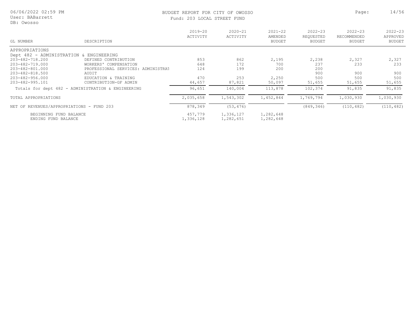DB: Owosso

## BUDGET REPORT FOR CITY OF OWOSSO **Page:** 14/56

Fund: 203 LOCAL STREET FUND

| GL NUMBER                                 | DESCRIPTION                                        | $2019 - 20$<br>ACTIVITY | $2020 - 21$<br>ACTIVITY | $2021 - 22$<br>AMENDED<br><b>BUDGET</b> | $2022 - 23$<br>REQUESTED<br><b>BUDGET</b> | $2022 - 23$<br>RECOMMENDED<br><b>BUDGET</b> | $2022 - 23$<br>APPROVED<br><b>BUDGET</b> |
|-------------------------------------------|----------------------------------------------------|-------------------------|-------------------------|-----------------------------------------|-------------------------------------------|---------------------------------------------|------------------------------------------|
| APPROPRIATIONS                            |                                                    |                         |                         |                                         |                                           |                                             |                                          |
| Dept 482 - ADMINISTRATION & ENGINEERING   |                                                    |                         |                         |                                         |                                           |                                             |                                          |
| 203-482-718.200                           | DEFINED CONTRIBUTION                               | 853                     | 862                     | 2,195                                   | 2,238                                     | 2,327                                       | 2,327                                    |
| 203-482-719.000                           | COMPENSATION<br>WORKERS'                           | 648                     | 172                     | 700                                     | 237                                       | 233                                         | 233                                      |
| 203-482-801.000                           | PROFESSIONAL SERVICES: ADMINISTRAT                 | 124                     | 199                     | 200                                     | 200                                       |                                             |                                          |
| 203-482-818.500                           | AUDIT                                              |                         |                         |                                         | 900                                       | 900                                         | 900                                      |
| 203-482-956.000                           | EDUCATION & TRAINING                               | 470                     | 253                     | 2,250                                   | 500                                       | 500                                         | 500                                      |
| 203-482-995.101                           | CONTRIBUTION-GF ADMIN                              | 44,657                  | 87,821                  | 50,097                                  | 51,655                                    | 51,655                                      | 51,655                                   |
|                                           | Totals for dept 482 - ADMINISTRATION & ENGINEERING | 96,651                  | 140,004                 | 113,878                                 | 102,374                                   | 91,835                                      | 91,835                                   |
| TOTAL APPROPRIATIONS                      |                                                    | 2,035,658               | 1,543,302               | 1,452,844                               | 1,769,794                                 | 1,030,930                                   | 1,030,930                                |
| NET OF REVENUES/APPROPRIATIONS - FUND 203 |                                                    | 878,349                 | (53, 476)               |                                         | (849, 346)                                | (110, 482)                                  | (110, 482)                               |
| BEGINNING FUND BALANCE                    |                                                    | 457,779                 | 1,336,127               | 1,282,648                               |                                           |                                             |                                          |
| ENDING FUND BALANCE                       |                                                    | 1,336,128               | 1,282,651               | 1,282,648                               |                                           |                                             |                                          |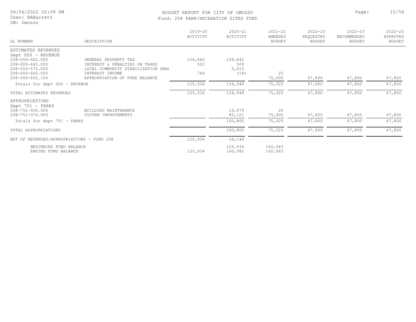User: BABarrett

### BUDGET REPORT FOR CITY OF OWOSSO **Page:** 15/56 Fund: 208 PARK/RECREATION SITES FUND

| DB: Owosso                                                                                                    |                                                                                             |                         | FUNC: 200 PARA/REUREAIION SIIES FUND |                                         |                                           |                                             |                                          |
|---------------------------------------------------------------------------------------------------------------|---------------------------------------------------------------------------------------------|-------------------------|--------------------------------------|-----------------------------------------|-------------------------------------------|---------------------------------------------|------------------------------------------|
| GL NUMBER                                                                                                     | DESCRIPTION                                                                                 | $2019 - 20$<br>ACTIVITY | $2020 - 21$<br>ACTIVITY              | $2021 - 22$<br>AMENDED<br><b>BUDGET</b> | $2022 - 23$<br>REQUESTED<br><b>BUDGET</b> | $2022 - 23$<br>RECOMMENDED<br><b>BUDGET</b> | $2022 - 23$<br>APPROVED<br><b>BUDGET</b> |
| ESTIMATED REVENUES<br>Dept 000 - REVENUE<br>$208 - 000 - 402.000$<br>$208 - 000 - 445.000$<br>208-000-573.000 | GENERAL PROPERTY TAX<br>INTEREST & PENALTIES ON TAXES<br>LOCAL COMMUNITY STABILIZATION SHAF | 124,666<br>502          | 128,842<br>509<br>5,615              |                                         |                                           |                                             |                                          |
| $208 - 000 - 665.000$<br>208-000-692.100                                                                      | INTEREST INCOME<br>APPROPRIATION OF FUND BALANCE                                            | 766                     | (18)                                 | 25<br>75,000                            | 47,800                                    | 47,800                                      | 47,800                                   |
| Totals for dept 000 - REVENUE                                                                                 |                                                                                             | 125,934                 | 134,948                              | 75,025                                  | 47,800                                    | 47,800                                      | 47,800                                   |
| TOTAL ESTIMATED REVENUES                                                                                      |                                                                                             | 125,934                 | 134,948                              | 75,025                                  | 47,800                                    | 47,800                                      | 47,800                                   |
| APPROPRIATIONS<br>Dept 751 - PARKS<br>208-751-930.000<br>$208 - 751 - 974.000$                                | BUILDING MAINTENANCE<br>SYSTEM IMPROVEMENTS                                                 |                         | 15,679<br>85,121                     | 25<br>75,000                            | 47,800                                    | 47,800                                      | 47,800                                   |
| Totals for dept 751 - PARKS                                                                                   |                                                                                             |                         | 100,800                              | 75,025                                  | 47,800                                    | 47,800                                      | 47,800                                   |
| TOTAL APPROPRIATIONS                                                                                          |                                                                                             |                         | 100,800                              | 75,025                                  | 47,800                                    | 47,800                                      | 47,800                                   |
| NET OF REVENUES/APPROPRIATIONS - FUND 208                                                                     |                                                                                             | 125,934                 | 34,148                               |                                         |                                           |                                             |                                          |
| BEGINNING FUND BALANCE<br>ENDING FUND BALANCE                                                                 |                                                                                             | 125,934                 | 125,934<br>160,082                   | 160,083<br>160,083                      |                                           |                                             |                                          |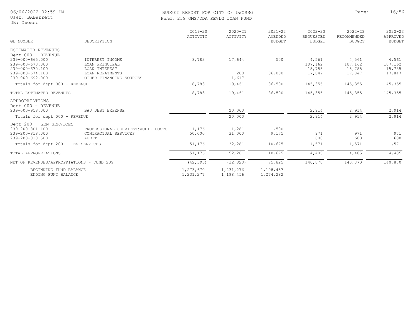User: BABarrett

#### DB: Owosso

#### BUDGET REPORT FOR CITY OF OWOSSO **Page:** 16/56 Fund: 239 OMS/DDA REVLG LOAN FUND

|  | Fund: 239 OMS/DDA REVLG LOAN FUND |  |  |
|--|-----------------------------------|--|--|
|  |                                   |  |  |
|  |                                   |  |  |

| GL NUMBER                     | DESCRIPTION             | $2019 - 20$<br>ACTIVITY | $2020 - 21$<br>ACTIVITY | $2021 - 22$<br>AMENDED<br><b>BUDGET</b> | $2022 - 23$<br>REOUESTED<br>BUDGET | $2022 - 23$<br>RECOMMENDED<br><b>BUDGET</b> | $2022 - 23$<br>APPROVED<br><b>BUDGET</b> |
|-------------------------------|-------------------------|-------------------------|-------------------------|-----------------------------------------|------------------------------------|---------------------------------------------|------------------------------------------|
| ESTIMATED REVENUES            |                         |                         |                         |                                         |                                    |                                             |                                          |
| Dept 000 - REVENUE            |                         |                         |                         |                                         |                                    |                                             |                                          |
| 239-000-665.000               | INTEREST INCOME         | 8,783                   | 17,644                  | 500                                     | 4,561                              | 4,561                                       | 4,561                                    |
| 239-000-670.000               | LOAN PRINCIPAL          |                         |                         |                                         | 107,162                            | 107,162                                     | 107,162                                  |
| 239-000-670.100               | LOAN INTEREST           |                         |                         |                                         | 15,785                             | 15,785                                      | 15,785                                   |
| 239-000-674.100               | LOAN REPAYMENTS         |                         | 200                     | 86,000                                  | 17,847                             | 17,847                                      | 17,847                                   |
| 239-000-692.000               | OTHER FINANCING SOURCES |                         | 1,617                   |                                         |                                    |                                             |                                          |
| Totals for dept 000 - REVENUE |                         | 8,783                   | 19,461                  | 86,500                                  | 145,355                            | 145,355                                     | 145,355                                  |
| TOTAL ESTIMATED REVENUES      |                         | 8,783                   | 19,461                  | 86,500                                  | 145,355                            | 145,355                                     | 145,355                                  |
| APPROPRIATIONS                |                         |                         |                         |                                         |                                    |                                             |                                          |
| Dept 000 - REVENUE            |                         |                         |                         |                                         |                                    |                                             |                                          |
| 239-000-958.000               | BAD DEBT EXPENSE        |                         | 20,000                  |                                         | 2,914                              | 2,914                                       | 2,914                                    |

| Totals for dept 000 - REVENUE                                                    |                                                                     |                        | 20,000                 |                        | 2,914      | 2,914      | 2,914      |
|----------------------------------------------------------------------------------|---------------------------------------------------------------------|------------------------|------------------------|------------------------|------------|------------|------------|
| Dept 200 - GEN SERVICES<br>239-200-801.100<br>239-200-818.000<br>239-200-818.500 | PROFESSIONAL SERVICES: AUDIT COSTS<br>CONTRACTUAL SERVICES<br>AUDIT | 1,176<br>50,000        | 1,281<br>31,000        | 1,500<br>9,175         | 971<br>600 | 971<br>600 | 971<br>600 |
| Totals for dept 200 - GEN SERVICES                                               |                                                                     | 51,176                 | 32,281                 | 10,675                 | 1,571      | 1,571      | 1,571      |
| TOTAL APPROPRIATIONS                                                             |                                                                     | 51,176                 | 52,281                 | 10,675                 | 4,485      | 4,485      | 4,485      |
| NET OF REVENUES/APPROPRIATIONS - FUND 239                                        |                                                                     | (42, 393)              | (32, 820)              | 75,825                 | 140,870    | 140,870    | 140,870    |
| BEGINNING FUND BALANCE<br>ENDING FUND BALANCE                                    |                                                                     | 1,273,670<br>1,231,277 | 1,231,276<br>1,198,456 | 1,198,457<br>1,274,282 |            |            |            |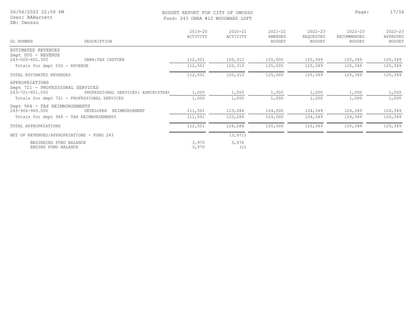| 06/06/2022 02:59 PM<br>User: BABarrett<br>DB: Owosso |                                    | BUDGET REPORT FOR CITY OF OWOSSO<br>Fund: 243 OBRA #12 WOODWARD LOFT |                         |                                         |                                           |                                             |                                   |
|------------------------------------------------------|------------------------------------|----------------------------------------------------------------------|-------------------------|-----------------------------------------|-------------------------------------------|---------------------------------------------|-----------------------------------|
| GL NUMBER                                            | DESCRIPTION                        | $2019 - 20$<br>ACTIVITY                                              | $2020 - 21$<br>ACTIVITY | $2021 - 22$<br>AMENDED<br><b>BUDGET</b> | $2022 - 23$<br>REQUESTED<br><b>BUDGET</b> | $2022 - 23$<br>RECOMMENDED<br><b>BUDGET</b> | $2022 - 23$<br>APPROVED<br>BUDGET |
| ESTIMATED REVENUES                                   |                                    |                                                                      |                         |                                         |                                           |                                             |                                   |
| Dept 000 - REVENUE<br>243-000-402.300                | OBRA: TAX CAPTURE                  | 112,501                                                              | 120,313                 | 125,000                                 | 125,349                                   | 125,349                                     | 125,349                           |
| Totals for dept 000 - REVENUE                        |                                    | 112,501                                                              | 120,313                 | 125,000                                 | 125,349                                   | 125,349                                     | 125,349                           |
| TOTAL ESTIMATED REVENUES                             |                                    | 112,501                                                              | 120,313                 | 125,000                                 | 125,349                                   | 125,349                                     | 125,349                           |
| APPROPRIATIONS<br>Dept 721 - PROFESSIONAL SERVICES   |                                    |                                                                      |                         |                                         |                                           |                                             |                                   |
| 243-721-801.000                                      | PROFESSIONAL SERVICES: ADMINISTRAT | 1,000                                                                | 1,000                   | 1,000                                   | 1,000                                     | 1,000                                       | 1,000                             |
| Totals for dept 721 - PROFESSIONAL SERVICES          |                                    | 1,000                                                                | 1,000                   | 1,000                                   | 1,000                                     | 1,000                                       | 1,000                             |
| Dept 964 - TAX REIMBURSEMENTS                        |                                    |                                                                      |                         |                                         |                                           |                                             |                                   |
| 243-964-969.000                                      | DEVELOPER REIMBURSEMENT            | 111,501                                                              | 123,284                 | 124,000                                 | 124,349                                   | 124,349                                     | 124,349                           |
| Totals for dept 964 - TAX REIMBURSEMENTS             |                                    | 111,501                                                              | 123,284                 | 124,000                                 | 124,349                                   | 124,349                                     | 124,349                           |
| TOTAL APPROPRIATIONS                                 |                                    | 112,501                                                              | 124,284                 | 125,000                                 | 125,349                                   | 125,349                                     | 125,349                           |
| NET OF REVENUES/APPROPRIATIONS - FUND 243            |                                    |                                                                      | (3, 971)                |                                         |                                           |                                             |                                   |
| BEGINNING FUND BALANCE<br>ENDING FUND BALANCE        |                                    | 3,970<br>3,970                                                       | 3,970<br>(1)            |                                         |                                           |                                             |                                   |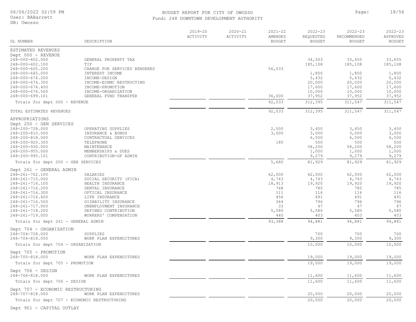#### DB: Owos:

| 06/06/2022 02:59 PM<br>User: BABarrett<br>DB: Owosso |                                         | BUDGET REPORT FOR CITY OF OWOSSO<br>Fund: 248 DOWNTOWN DEVELOPMENT AUTHORITY |                         |                                         |                                           |                                             |                                          |  |
|------------------------------------------------------|-----------------------------------------|------------------------------------------------------------------------------|-------------------------|-----------------------------------------|-------------------------------------------|---------------------------------------------|------------------------------------------|--|
| GL NUMBER                                            | DESCRIPTION                             | $2019 - 20$<br>ACTIVITY                                                      | $2020 - 21$<br>ACTIVITY | $2021 - 22$<br>AMENDED<br><b>BUDGET</b> | $2022 - 23$<br>REQUESTED<br><b>BUDGET</b> | $2022 - 23$<br>RECOMMENDED<br><b>BUDGET</b> | $2022 - 23$<br>APPROVED<br><b>BUDGET</b> |  |
|                                                      |                                         |                                                                              |                         |                                         |                                           |                                             |                                          |  |
| ESTIMATED REVENUES                                   |                                         |                                                                              |                         |                                         |                                           |                                             |                                          |  |
| Dept 000 - REVENUE                                   |                                         |                                                                              |                         |                                         |                                           |                                             |                                          |  |
| 248-000-402.000                                      | GENERAL PROPERTY TAX                    |                                                                              |                         |                                         | 34,503                                    | 33,655                                      | 33,655                                   |  |
| 248-000-402.100                                      | TIF                                     |                                                                              |                         |                                         | 185,108                                   | 185,108                                     | 185,108                                  |  |
| 248-000-605.200                                      | CHARGE FOR SERVICES RENDERED            |                                                                              |                         | 56,033                                  |                                           |                                             |                                          |  |
| 248-000-665.000                                      | INTEREST INCOME                         |                                                                              |                         |                                         | 1,800                                     | 1,800                                       | 1,800                                    |  |
| 248-000-674.200                                      | INCOME-DESIGN                           |                                                                              |                         |                                         | 5,432                                     | 5,432                                       | 5,432                                    |  |
| 248-000-674.300                                      | INCOME-ECNMC RESTRUCTING                |                                                                              |                         |                                         | 20,000                                    | 20,000                                      | 20,000                                   |  |
| 248-000-674.400<br>248-000-674.500                   | INCOME-PROMOTION<br>INCOME-ORGANIZATION |                                                                              |                         |                                         | 17,600                                    | 17,600                                      | 17,600<br>10,000                         |  |
| 248-000-699.101                                      | GENERAL FUND TRANSFER                   |                                                                              |                         | 36,000                                  | 10,000<br>37,952                          | 10,000<br>37,952                            | 37,952                                   |  |
|                                                      |                                         |                                                                              |                         |                                         |                                           |                                             |                                          |  |
| Totals for dept 000 - REVENUE                        |                                         |                                                                              |                         | 92,033                                  | 312,395                                   | 311,547                                     | 311,547                                  |  |
| TOTAL ESTIMATED REVENUES                             |                                         |                                                                              |                         | 92,033                                  | 312,395                                   | 311,547                                     | 311,547                                  |  |
| APPROPRIATIONS                                       |                                         |                                                                              |                         |                                         |                                           |                                             |                                          |  |
| Dept 200 - GEN SERVICES                              |                                         |                                                                              |                         |                                         |                                           |                                             |                                          |  |
| 248-200-728.000                                      | OPERATING SUPPLIES                      |                                                                              |                         | 2,500                                   | 3,450                                     | 3,450                                       | 3,450                                    |  |
| 248-200-810.000                                      | INSURANCE & BONDS                       |                                                                              |                         | 3,000                                   | 3,000                                     | 3,000                                       | 3,000                                    |  |
| 248-200-818.000                                      | CONTRACTUAL SERVICES                    |                                                                              |                         |                                         | 6,500                                     | 6,500                                       | 6,500                                    |  |
| 248-200-920.300                                      | TELEPHONE                               |                                                                              |                         | 180                                     | 500                                       | 500                                         | 500                                      |  |
| 248-200-930.000                                      | MAINTENANCE                             |                                                                              |                         |                                         | 58,200                                    | 58,200                                      | 58,200                                   |  |
| 248-200-955.000                                      | MEMBERSHIPS & DUES                      |                                                                              |                         |                                         | 1,000                                     | 1,000                                       | 1,000                                    |  |
| 248-200-995.101                                      | CONTRIBUTION-GF ADMIN                   |                                                                              |                         |                                         | 9,279                                     | 9,279                                       | 9,279                                    |  |
| Totals for dept 200 - GEN SERVICES                   |                                         |                                                                              |                         | 5,680                                   | 81,929                                    | 81,929                                      | 81,929                                   |  |
| Dept 261 - GENERAL ADMIN                             |                                         |                                                                              |                         |                                         |                                           |                                             |                                          |  |
| 248-261-702.100                                      | SALARIES                                |                                                                              |                         | 62,000                                  | 62,000                                    | 62,000                                      | 62,000                                   |  |
| 248-261-715.000                                      | SOCIAL SECURITY (FICA)                  |                                                                              |                         | 4,743                                   | 4,743                                     | 4,743                                       | 4,743                                    |  |
| 248-261-716.100                                      | HEALTH INSURANCE                        |                                                                              |                         | 18,913                                  | 19,920                                    | 19,920                                      | 19,920                                   |  |
| 248-261-716.200                                      | DENTAL INSURANCE                        |                                                                              |                         | 748                                     | 785                                       | 785                                         | 785                                      |  |
| 248-261-716.300                                      | OPTICAL INSURANCE                       |                                                                              |                         | 111                                     | 116                                       | 116                                         | 116                                      |  |
| 248-261-716.400                                      | LIFE INSURANCE                          |                                                                              |                         | 456                                     | 491                                       | 491                                         | 491                                      |  |
| 248-261-716.500                                      | DISABILITY INSURANCE                    |                                                                              |                         | 364                                     | 796                                       | 796                                         | 796                                      |  |
| 248-261-717.000                                      | UNEMPLOYMENT INSURANCE                  |                                                                              |                         | 33                                      | 47                                        | 47                                          | 47                                       |  |
| 248-261-718.200                                      | DEFINED CONTRIBUTION                    |                                                                              |                         | 5,580                                   | 5,580                                     | 5,580                                       | 5,580                                    |  |
| 248-261-719.000                                      | WORKERS' COMPENSATION                   |                                                                              |                         | 440                                     | 403                                       | 403                                         | 403                                      |  |

Totals for dept 261 - GENERAL ADMIN 93,388 94,881 94,881 94,881

| Dept 704 - ORGANIZATION<br>248-704-728.000<br>248-704-818.000<br>Totals for dept 704 - ORGANIZATION  | SUPPLIES<br>WORK PLAN EXPENDITURES | 700<br>9,300<br>10,000 | 700<br>9,300<br>10,000 | 700<br>9,300<br>10,000 |
|------------------------------------------------------------------------------------------------------|------------------------------------|------------------------|------------------------|------------------------|
| Dept 705 - PROMOTION<br>248-705-818.000<br>Totals for dept 705 - PROMOTION                           | WORK PLAN EXPENDITURES             | 19,000<br>19,000       | 19,000<br>19,000       | 19,000<br>19,000       |
| Dept 706 - DESIGN<br>248-706-818.000<br>Totals for dept 706 - DESIGN                                 | WORK PLAN EXPENDITURES             | 11,600<br>11,600       | 11,600<br>11,600       | 11,600<br>11,600       |
| Dept 707 - ECONOMIC RESTRUCTURING<br>248-707-818.000<br>Totals for dept 707 - ECONOMIC RESTRUCTURING | WORK PLAN EXPENDITURES             | 20,000<br>20,000       | 20,000<br>20,000       | 20,000<br>20,000       |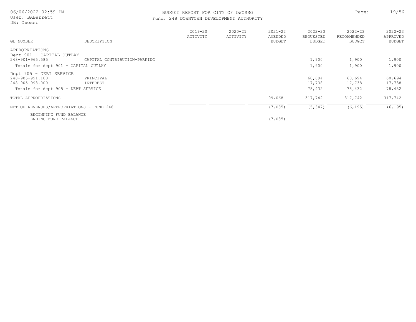06/06/2022 02:59 PM User: BABarrett

DB: Owosso

#### BUDGET REPORT FOR CITY OF OWOSSO **Page:** 19/56 Fund: 248 DOWNTOWN DEVELOPMENT AUTHORITY

| GL NUMBER                                     | DESCRIPTION                  | $2019 - 20$<br>ACTIVITY | $2020 - 21$<br>ACTIVITY | $2021 - 22$<br>AMENDED<br>BUDGET | $2022 - 23$<br>REQUESTED<br><b>BUDGET</b> | $2022 - 23$<br>RECOMMENDED<br>BUDGET | $2022 - 23$<br>APPROVED<br><b>BUDGET</b> |
|-----------------------------------------------|------------------------------|-------------------------|-------------------------|----------------------------------|-------------------------------------------|--------------------------------------|------------------------------------------|
| APPROPRIATIONS                                |                              |                         |                         |                                  |                                           |                                      |                                          |
| Dept 901 - CAPITAL OUTLAY<br>248-901-965.585  | CAPITAL CONTRIBUTION-PARKING |                         |                         |                                  | 1,900                                     | 1,900                                | 1,900                                    |
| Totals for dept 901 - CAPITAL OUTLAY          |                              |                         |                         |                                  | 1,900                                     | 1,900                                | 1,900                                    |
| Dept 905 - DEBT SERVICE                       |                              |                         |                         |                                  |                                           |                                      |                                          |
| 248-905-991.100<br>248-905-993.000            | PRINCIPAL<br>INTEREST        |                         |                         |                                  | 60,694<br>17,738                          | 60,694<br>17,738                     | 60,694<br>17,738                         |
| Totals for dept 905 - DEBT SERVICE            |                              |                         |                         |                                  | 78,432                                    | 78,432                               | 78,432                                   |
| TOTAL APPROPRIATIONS                          |                              |                         |                         | 99,068                           | 317,742                                   | 317,742                              | 317,742                                  |
| NET OF REVENUES/APPROPRIATIONS - FUND 248     |                              |                         |                         | (7, 035)                         | (5, 347)                                  | (6, 195)                             | (6, 195)                                 |
| BEGINNING FUND BALANCE<br>ENDING FUND BALANCE |                              |                         |                         | (7, 035)                         |                                           |                                      |                                          |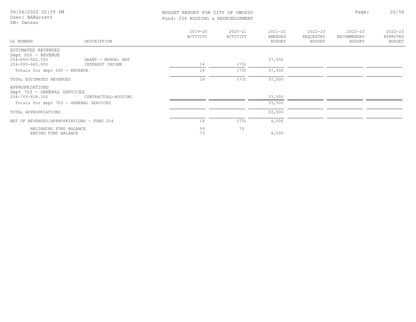| 06/06/2022 02:59 PM<br>User: BABarrett<br>DB: Owosso | BUDGET REPORT FOR CITY OF OWOSSO<br>Fund: 254 HOUSING & REDEVELOPMENT |                 |             |                  | Page:       | 20/56       |
|------------------------------------------------------|-----------------------------------------------------------------------|-----------------|-------------|------------------|-------------|-------------|
|                                                      | $2019 - 20$                                                           | $2020 - 21$     | $2021 - 22$ | $2022 - 23$      | $2022 - 23$ | $2022 - 23$ |
|                                                      | <b>ACTIVITY</b>                                                       | <b>ACTIVITY</b> | AMENDED.    | <b>REOUESTED</b> | RECOMMENDED | APPROVED    |

| GL NUMBER                                     | DESCRIPTION         | ACTIVITY | ACTIVITY | AMENDED<br><b>BUDGET</b> | REQUESTED<br>BUDGET | RECOMMENDED<br>BUDGET | APPROVED<br>BUDGET |
|-----------------------------------------------|---------------------|----------|----------|--------------------------|---------------------|-----------------------|--------------------|
| ESTIMATED REVENUES                            |                     |          |          |                          |                     |                       |                    |
| Dept 000 - REVENUE                            |                     |          |          |                          |                     |                       |                    |
| 254-000-502.550                               | GRANT - MSHDA: NEP  |          |          | 37,500                   |                     |                       |                    |
| 254-000-665.000                               | INTEREST INCOME     | 14       | (73)     |                          |                     |                       |                    |
| Totals for dept 000 - REVENUE                 |                     | 14       | (73)     | 37,500                   |                     |                       |                    |
| TOTAL ESTIMATED REVENUES                      |                     | 14       | (73)     | 37,500                   |                     |                       |                    |
| APPROPRIATIONS<br>Dept 703 - GENERAL SERVICES |                     |          |          |                          |                     |                       |                    |
| 254-703-818.100                               | CONTRACTUAL-HOUSING |          |          | 33,500                   |                     |                       |                    |
| Totals for dept 703 - GENERAL SERVICES        |                     |          |          | 33,500                   |                     |                       |                    |
| TOTAL APPROPRIATIONS                          |                     |          |          | 33,500                   |                     |                       |                    |
| NET OF REVENUES/APPROPRIATIONS - FUND 254     |                     | 14       | (73)     | 4,000                    |                     |                       |                    |
| BEGINNING FUND BALANCE                        |                     | 59       | 73       |                          |                     |                       |                    |
| ENDING FUND BALANCE                           |                     | 73       |          | 4,000                    |                     |                       |                    |

2022-23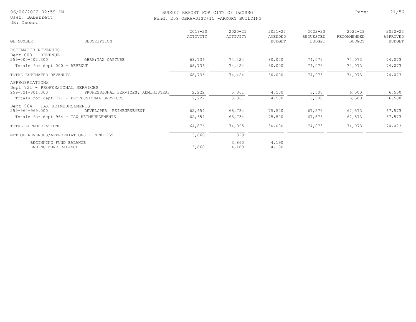#### BUDGET REPORT FOR CITY OF OWOSSO **Page:** 21/56 Fund: 259 OBRA-DIST#15 -ARMORY BUILDING

|                                                    |                                    | $2019 - 20$ | $2020 - 21$    | $2021 - 22$              | $2022 - 23$         | $2022 - 23$                  | $2022 - 23$        |
|----------------------------------------------------|------------------------------------|-------------|----------------|--------------------------|---------------------|------------------------------|--------------------|
| GL NUMBER                                          | DESCRIPTION                        | ACTIVITY    | ACTIVITY       | AMENDED<br><b>BUDGET</b> | REQUESTED<br>BUDGET | RECOMMENDED<br><b>BUDGET</b> | APPROVED<br>BUDGET |
| ESTIMATED REVENUES                                 |                                    |             |                |                          |                     |                              |                    |
| Dept 000 - REVENUE<br>259-000-402.300              | OBRA: TAX CAPTURE                  | 68,736      | 74,424         | 80,000                   | 74,073              | 74,073                       | 74,073             |
|                                                    |                                    |             |                |                          |                     |                              |                    |
| Totals for dept 000 - REVENUE                      |                                    | 68,736      | 74,424         | 80,000                   | 74,073              | 74,073                       | 74,073             |
| TOTAL ESTIMATED REVENUES                           |                                    | 68,736      | 74,424         | 80,000                   | 74,073              | 74,073                       | 74,073             |
| APPROPRIATIONS<br>Dept 721 - PROFESSIONAL SERVICES |                                    |             |                |                          |                     |                              |                    |
| 259-721-801.000                                    | PROFESSIONAL SERVICES: ADMINISTRAT | 2,222       | 5,361          | 4,500                    | 6,500               | 6,500                        | 6,500              |
| Totals for dept 721 - PROFESSIONAL SERVICES        |                                    | 2,222       | 5,361          | 4,500                    | 6,500               | 6,500                        | 6,500              |
| Dept 964 - TAX REIMBURSEMENTS                      |                                    |             |                |                          |                     |                              |                    |
| 259-964-969.000                                    | DEVELOPER<br>REIMBURSEMENT         | 62,654      | 68,734         | 75,500                   | 67,573              | 67,573                       | 67,573             |
| Totals for dept 964 - TAX REIMBURSEMENTS           |                                    | 62,654      | 68,734         | 75,500                   | 67,573              | 67,573                       | 67,573             |
| TOTAL APPROPRIATIONS                               |                                    | 64,876      | 74,095         | 80,000                   | 74,073              | 74,073                       | 74,073             |
| NET OF REVENUES/APPROPRIATIONS - FUND 259          |                                    | 3,860       | 329            |                          |                     |                              |                    |
| BEGINNING FUND BALANCE<br>ENDING FUND BALANCE      |                                    | 3,860       | 3,860<br>4,189 | 4,190<br>4,190           |                     |                              |                    |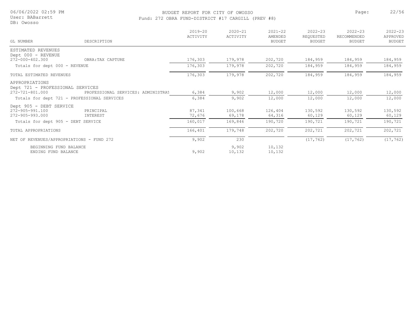#### User: BABarrett

DB: Owosso

#### BUDGET REPORT FOR CITY OF OWOSSO **Page:** 22/56 Fund: 272 OBRA FUND-DISTRICT #17 CARGILL (PREV #8)

|                                                                       |                                    | $2019 - 20$<br>ACTIVITY | $2020 - 21$<br>ACTIVITY | $2021 - 22$<br>AMENDED | $2022 - 23$<br>REQUESTED | $2022 - 23$<br>RECOMMENDED | $2022 - 23$<br>APPROVED |
|-----------------------------------------------------------------------|------------------------------------|-------------------------|-------------------------|------------------------|--------------------------|----------------------------|-------------------------|
| GL NUMBER                                                             | DESCRIPTION                        |                         |                         | <b>BUDGET</b>          | BUDGET                   | <b>BUDGET</b>              | BUDGET                  |
| ESTIMATED REVENUES<br>Dept 000 - REVENUE                              |                                    |                         |                         |                        |                          |                            |                         |
| 272-000-402.300                                                       | OBRA: TAX CAPTURE                  | 176,303                 | 179,978                 | 202,720                | 184,959                  | 184,959                    | 184,959                 |
| Totals for dept 000 - REVENUE                                         |                                    | 176,303                 | 179,978                 | 202,720                | 184,959                  | 184,959                    | 184,959                 |
| TOTAL ESTIMATED REVENUES                                              |                                    | 176,303                 | 179,978                 | 202,720                | 184,959                  | 184,959                    | 184,959                 |
| APPROPRIATIONS<br>Dept 721 - PROFESSIONAL SERVICES<br>272-721-801.000 | PROFESSIONAL SERVICES: ADMINISTRAT | 6,384                   | 9,902                   | 12,000                 | 12,000                   | 12,000                     | 12,000                  |
| Totals for dept 721 - PROFESSIONAL SERVICES                           |                                    | 6,384                   | 9,902                   | 12,000                 | 12,000                   | 12,000                     | 12,000                  |
| Dept 905 - DEBT SERVICE                                               |                                    |                         |                         |                        |                          |                            |                         |
| 272-905-991.100<br>272-905-993.000                                    | PRINCIPAL<br>INTEREST              | 87,341<br>72,676        | 100,668<br>69,178       | 126,404<br>64,316      | 130,592<br>60,129        | 130,592<br>60,129          | 130,592<br>60,129       |
| Totals for dept 905 - DEBT SERVICE                                    |                                    | 160,017                 | 169,846                 | 190,720                | 190,721                  | 190,721                    | 190,721                 |
| TOTAL APPROPRIATIONS                                                  |                                    | 166,401                 | 179,748                 | 202,720                | 202,721                  | 202,721                    | 202,721                 |
| NET OF REVENUES/APPROPRIATIONS - FUND 272                             |                                    | 9,902                   | 230                     |                        | (17, 762)                | (17, 762)                  | (17, 762)               |
| BEGINNING FUND BALANCE<br>ENDING FUND BALANCE                         |                                    | 9,902                   | 9,902<br>10,132         | 10,132<br>10,132       |                          |                            |                         |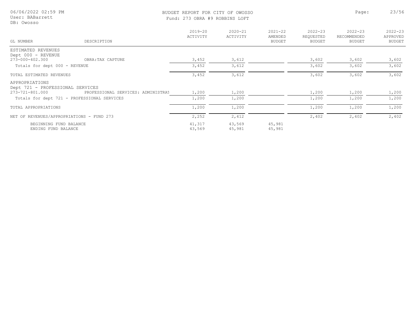| 06/06/2022 02:59 PM<br>User: BABarrett<br>DB: Owosso        |                   |                         | BUDGET REPORT FOR CITY OF OWOSSO<br>Fund: 273 OBRA #9 ROBBINS LOFT |                                         |                                           |                                             | 23/56                             |
|-------------------------------------------------------------|-------------------|-------------------------|--------------------------------------------------------------------|-----------------------------------------|-------------------------------------------|---------------------------------------------|-----------------------------------|
| GL NUMBER                                                   | DESCRIPTION       | $2019 - 20$<br>ACTIVITY | $2020 - 21$<br>ACTIVITY                                            | $2021 - 22$<br>AMENDED<br><b>BUDGET</b> | $2022 - 23$<br>REQUESTED<br><b>BUDGET</b> | $2022 - 23$<br>RECOMMENDED<br><b>BUDGET</b> | $2022 - 23$<br>APPROVED<br>BUDGET |
| ESTIMATED REVENUES<br>Dept 000 - REVENUE<br>273-000-402.300 | OBRA: TAX CAPTURE | 3,452                   | 3,612                                                              |                                         | 3,602                                     | 3,602                                       | 3,602                             |
| Totals for dept 000 - REVENUE                               |                   | 3,452                   | 3,612                                                              |                                         | 3,602                                     | 3,602                                       | 3,602                             |
| TOTAL ESTIMATED REVENUES                                    |                   | 3,452                   | 3,612                                                              |                                         | 3,602                                     | 3,602                                       | 3,602                             |

| APPROPRIATIONS<br>Dept 721 - PROFESSIONAL SERVICES<br>273-721-801.000 | PROFESSIONAL SERVICES: ADMINISTRAT | 1,200            | 1,200            |                  | 1,200 | 1,200 | 1,200 |
|-----------------------------------------------------------------------|------------------------------------|------------------|------------------|------------------|-------|-------|-------|
| Totals for dept 721 - PROFESSIONAL SERVICES                           |                                    | 1,200            | 1,200            |                  | 1,200 | 1,200 | 1,200 |
| TOTAL APPROPRIATIONS                                                  |                                    | 1,200            | 1,200            |                  | 1,200 | 1,200 | 1,200 |
| NET OF REVENUES/APPROPRIATIONS - FUND 273                             |                                    | 2,252            | 2,412            |                  | 2,402 | 2,402 | 2,402 |
| BEGINNING FUND BALANCE<br>ENDING FUND BALANCE                         |                                    | 41,317<br>43,569 | 43,569<br>45,981 | 45,981<br>45,981 |       |       |       |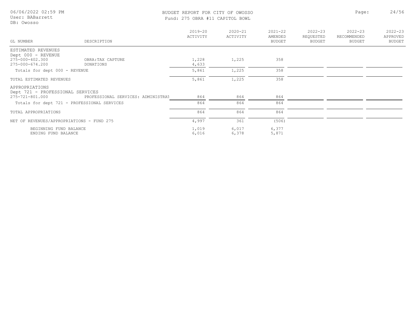# BUDGET REPORT FOR CITY OF OWOSSO Page: 24/56

| Fund: 275 OBRA #11 CAPITOL BOWL |
|---------------------------------|
|---------------------------------|

| GL NUMBER                                          | DESCRIPTION                        | $2019 - 20$<br>ACTIVITY | $2020 - 21$<br>ACTIVITY | $2021 - 22$<br>AMENDED<br>BUDGET | $2022 - 23$<br>REQUESTED<br>BUDGET | $2022 - 23$<br>RECOMMENDED<br><b>BUDGET</b> | $2022 - 23$<br>APPROVED<br><b>BUDGET</b> |
|----------------------------------------------------|------------------------------------|-------------------------|-------------------------|----------------------------------|------------------------------------|---------------------------------------------|------------------------------------------|
| ESTIMATED REVENUES                                 |                                    |                         |                         |                                  |                                    |                                             |                                          |
| Dept 000 - REVENUE                                 |                                    |                         |                         |                                  |                                    |                                             |                                          |
| 275-000-402.300                                    | OBRA: TAX CAPTURE                  | 1,228                   | 1,225                   | 358                              |                                    |                                             |                                          |
| 275-000-674.200                                    | DONATIONS                          | 4,633                   |                         |                                  |                                    |                                             |                                          |
| Totals for dept 000 - REVENUE                      |                                    | 5,861                   | 1,225                   | 358                              |                                    |                                             |                                          |
| TOTAL ESTIMATED REVENUES                           |                                    | 5,861                   | 1,225                   | 358                              |                                    |                                             |                                          |
| APPROPRIATIONS<br>Dept 721 - PROFESSIONAL SERVICES |                                    |                         |                         |                                  |                                    |                                             |                                          |
| 275-721-801.000                                    | PROFESSIONAL SERVICES: ADMINISTRAT | 864                     | 864                     | 864                              |                                    |                                             |                                          |
| Totals for dept 721 - PROFESSIONAL SERVICES        |                                    | 864                     | 864                     | 864                              |                                    |                                             |                                          |
| TOTAL APPROPRIATIONS                               |                                    | 864                     | 864                     | 864                              |                                    |                                             |                                          |
| NET OF REVENUES/APPROPRIATIONS - FUND 275          |                                    | 4,997                   | 361                     | (506)                            |                                    |                                             |                                          |
| BEGINNING FUND BALANCE                             |                                    | 1,019                   | 6,017                   | 6,377                            |                                    |                                             |                                          |
| ENDING FUND BALANCE                                |                                    | 6,016                   | 6,378                   | 5,871                            |                                    |                                             |                                          |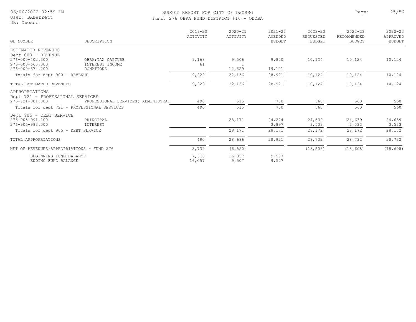#### User: BABarrett

DB: Owosso

#### BUDGET REPORT FOR CITY OF OWOSSO **Page:** 25/56 Fund: 276 OBRA FUND DISTRICT #16 - QDOBA

| GL NUMBER                                 | DESCRIPTION                                 | $2019 - 20$<br>ACTIVITY | $2020 - 21$<br>ACTIVITY | $2021 - 22$<br>AMENDED<br><b>BUDGET</b> | $2022 - 23$<br>REQUESTED<br><b>BUDGET</b> | $2022 - 23$<br>RECOMMENDED<br><b>BUDGET</b> | $2022 - 23$<br>APPROVED<br><b>BUDGET</b> |
|-------------------------------------------|---------------------------------------------|-------------------------|-------------------------|-----------------------------------------|-------------------------------------------|---------------------------------------------|------------------------------------------|
| ESTIMATED REVENUES                        |                                             |                         |                         |                                         |                                           |                                             |                                          |
| Dept 000 - REVENUE                        |                                             |                         |                         |                                         |                                           |                                             |                                          |
| 276-000-402.300                           | OBRA: TAX CAPTURE                           | 9,168                   | 9,506                   | 9,800                                   | 10,124                                    | 10,124                                      | 10,124                                   |
| 276-000-665.000                           | INTEREST INCOME                             | 61                      |                         |                                         |                                           |                                             |                                          |
| 276-000-674.200                           | DONATIONS                                   |                         | 12,629                  | 19,121                                  |                                           |                                             |                                          |
| Totals for dept 000 - REVENUE             |                                             | 9,229                   | 22,136                  | 28,921                                  | 10,124                                    | 10,124                                      | 10,124                                   |
| TOTAL ESTIMATED REVENUES                  |                                             | 9,229                   | 22,136                  | 28,921                                  | 10,124                                    | 10,124                                      | 10,124                                   |
| APPROPRIATIONS                            |                                             |                         |                         |                                         |                                           |                                             |                                          |
| Dept 721 - PROFESSIONAL SERVICES          |                                             |                         |                         |                                         |                                           |                                             |                                          |
| 276-721-801.000                           | PROFESSIONAL SERVICES: ADMINISTRAT          | 490                     | 515                     | 750                                     | 560                                       | 560                                         | 560                                      |
|                                           | Totals for dept 721 - PROFESSIONAL SERVICES | 490                     | 515                     | 750                                     | 560                                       | 560                                         | 560                                      |
| Dept 905 - DEBT SERVICE                   |                                             |                         |                         |                                         |                                           |                                             |                                          |
| 276-905-991.100                           | PRINCIPAL                                   |                         | 28,171                  | 24,274                                  | 24,639                                    | 24,639                                      | 24,639                                   |
| 276-905-993.000                           | INTEREST                                    |                         |                         | 3,897                                   | 3,533                                     | 3,533                                       | 3,533                                    |
| Totals for dept 905 - DEBT SERVICE        |                                             |                         | 28,171                  | 28,171                                  | 28,172                                    | 28,172                                      | 28,172                                   |
| TOTAL APPROPRIATIONS                      |                                             | 490                     | 28,686                  | 28,921                                  | 28,732                                    | 28,732                                      | 28,732                                   |
| NET OF REVENUES/APPROPRIATIONS - FUND 276 |                                             | 8,739                   | (6, 550)                |                                         | (18, 608)                                 | (18, 608)                                   | (18, 608)                                |
| BEGINNING FUND BALANCE                    |                                             | 7,318                   | 16,057                  | 9,507                                   |                                           |                                             |                                          |
| ENDING FUND BALANCE                       |                                             | 16,057                  | 9,507                   | 9,507                                   |                                           |                                             |                                          |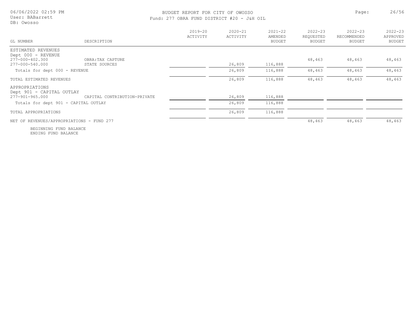User: BABarrett DB: Owosso

#### BUDGET REPORT FOR CITY OF OWOSSO **Page:** 26/56 Fund: 277 OBRA FUND DISTRICT #20 - J&H OIL

| GL NUMBER                                    | DESCRIPTION                  | $2019 - 20$<br>ACTIVITY | $2020 - 21$<br>ACTIVITY | $2021 - 22$<br>AMENDED<br><b>BUDGET</b> | $2022 - 23$<br>REQUESTED<br>BUDGET | $2022 - 23$<br>RECOMMENDED<br>BUDGET | $2022 - 23$<br>APPROVED<br>BUDGET |
|----------------------------------------------|------------------------------|-------------------------|-------------------------|-----------------------------------------|------------------------------------|--------------------------------------|-----------------------------------|
| ESTIMATED REVENUES                           |                              |                         |                         |                                         |                                    |                                      |                                   |
| Dept 000 - REVENUE<br>277-000-402.300        | OBRA: TAX CAPTURE            |                         |                         |                                         | 48,463                             | 48,463                               | 48,463                            |
| 277-000-540.000                              | STATE SOURCES                |                         | 26,809                  | 116,888                                 |                                    |                                      |                                   |
| Totals for dept 000 - REVENUE                |                              |                         | 26,809                  | 116,888                                 | 48,463                             | 48,463                               | 48,463                            |
| TOTAL ESTIMATED REVENUES                     |                              |                         | 26,809                  | 116,888                                 | 48,463                             | 48,463                               | 48,463                            |
| APPROPRIATIONS                               |                              |                         |                         |                                         |                                    |                                      |                                   |
| Dept 901 - CAPITAL OUTLAY<br>277-901-965.000 | CAPITAL CONTRIBUTION-PRIVATE |                         | 26,809                  | 116,888                                 |                                    |                                      |                                   |
| Totals for dept 901 - CAPITAL OUTLAY         |                              |                         | 26,809                  | 116,888                                 |                                    |                                      |                                   |
| TOTAL APPROPRIATIONS                         |                              |                         | 26,809                  | 116,888                                 |                                    |                                      |                                   |
| NET OF REVENUES/APPROPRIATIONS - FUND 277    |                              |                         |                         |                                         | 48,463                             | 48,463                               | 48,463                            |
|                                              |                              |                         |                         |                                         |                                    |                                      |                                   |

ENDING FUND BALANCE BEGINNING FUND BALANCE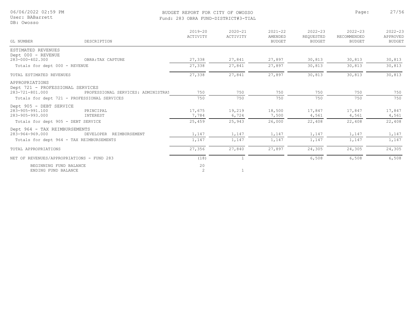DB: Owosso

#### BUDGET REPORT FOR CITY OF OWOSSO **Page:** 27/56 Fund: 283 OBRA FUND-DISTRICT#3-TIAL

| GL NUMBER                                          | DESCRIPTION                                 | $2019 - 20$<br>ACTIVITY | $2020 - 21$<br>ACTIVITY | $2021 - 22$<br>AMENDED<br><b>BUDGET</b> | $2022 - 23$<br>REQUESTED<br><b>BUDGET</b> | $2022 - 23$<br>RECOMMENDED<br><b>BUDGET</b> | $2022 - 23$<br>APPROVED<br><b>BUDGET</b> |
|----------------------------------------------------|---------------------------------------------|-------------------------|-------------------------|-----------------------------------------|-------------------------------------------|---------------------------------------------|------------------------------------------|
| ESTIMATED REVENUES                                 |                                             |                         |                         |                                         |                                           |                                             |                                          |
| Dept 000 - REVENUE                                 |                                             |                         |                         |                                         |                                           |                                             |                                          |
| 283-000-402.300                                    | OBRA: TAX CAPTURE                           | 27,338                  | 27,841                  | 27,897                                  | 30,813                                    | 30,813                                      | 30,813                                   |
| Totals for dept 000 - REVENUE                      |                                             | 27,338                  | 27,841                  | 27,897                                  | 30,813                                    | 30,813                                      | 30,813                                   |
| TOTAL ESTIMATED REVENUES                           |                                             | 27,338                  | 27,841                  | 27,897                                  | 30,813                                    | 30,813                                      | 30,813                                   |
| APPROPRIATIONS<br>Dept 721 - PROFESSIONAL SERVICES |                                             |                         |                         |                                         |                                           |                                             |                                          |
| 283-721-801.000                                    | PROFESSIONAL SERVICES: ADMINISTRAT          | 750                     | 750                     | 750                                     | 750                                       | 750                                         | 750                                      |
|                                                    | Totals for dept 721 - PROFESSIONAL SERVICES | 750                     | 750                     | 750                                     | 750                                       | 750                                         | 750                                      |
| Dept 905 - DEBT SERVICE                            |                                             |                         |                         |                                         |                                           |                                             |                                          |
| 283-905-991.100                                    | PRINCIPAL                                   | 17,675                  | 19,219                  | 18,500                                  | 17,847                                    | 17,847                                      | 17,847                                   |
| 283-905-993.000                                    | INTEREST                                    | 7,784                   | 6,724                   | 7,500                                   | 4,561                                     | 4,561                                       | 4,561                                    |
| Totals for dept 905 - DEBT SERVICE                 |                                             | 25,459                  | 25,943                  | 26,000                                  | 22,408                                    | 22,408                                      | 22,408                                   |
| Dept 964 - TAX REIMBURSEMENTS                      |                                             |                         |                         |                                         |                                           |                                             |                                          |
| 283-964-969.000                                    | DEVELOPER<br>REIMBURSEMENT                  | 1,147                   | 1,147                   | 1,147                                   | 1,147                                     | 1,147                                       | 1,147                                    |
| Totals for dept 964 - TAX REIMBURSEMENTS           |                                             | 1,147                   | 1,147                   | 1,147                                   | 1,147                                     | 1,147                                       | 1,147                                    |
| TOTAL APPROPRIATIONS                               |                                             | 27,356                  | 27,840                  | 27,897                                  | 24,305                                    | 24,305                                      | 24,305                                   |
| NET OF REVENUES/APPROPRIATIONS - FUND 283          |                                             | (18)                    |                         |                                         | 6,508                                     | 6,508                                       | 6,508                                    |
| BEGINNING FUND BALANCE                             |                                             | 20                      |                         |                                         |                                           |                                             |                                          |
| ENDING FUND BALANCE                                |                                             | 2                       |                         |                                         |                                           |                                             |                                          |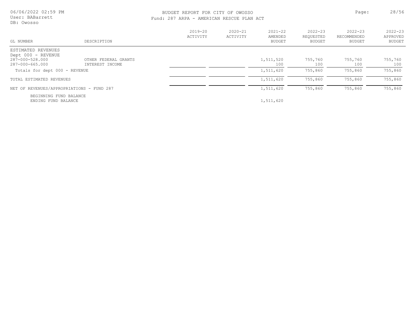06/06/2022 02:59 PM User: BABarrett

DB: Owosso

### BUDGET REPORT FOR CITY OF OWOSSO **Page:** 28/56 Fund: 287 ARPA - AMERICAN RESCUE PLAN ACT

| GL NUMBER                                                                      | DESCRIPTION                             | $2019 - 20$<br>ACTIVITY | $2020 - 21$<br>ACTIVITY | $2021 - 22$<br>AMENDED<br>BUDGET | $2022 - 23$<br>REOUESTED<br>BUDGET | $2022 - 23$<br>RECOMMENDED<br><b>BUDGET</b> | $2022 - 23$<br>APPROVED<br>BUDGET |
|--------------------------------------------------------------------------------|-----------------------------------------|-------------------------|-------------------------|----------------------------------|------------------------------------|---------------------------------------------|-----------------------------------|
| ESTIMATED REVENUES<br>Dept 000 - REVENUE<br>287-000-528.000<br>287-000-665.000 | OTHER FEDERAL GRANTS<br>INTEREST INCOME |                         |                         | 1,511,520<br>100                 | 755,760<br>100                     | 755,760<br>100                              | 755,760<br>100                    |
| Totals for dept 000 - REVENUE                                                  |                                         |                         |                         | 1,511,620                        | 755,860                            | 755,860                                     | 755,860                           |
| TOTAL ESTIMATED REVENUES                                                       |                                         |                         |                         | 1,511,620                        | 755,860                            | 755,860                                     | 755,860                           |
| NET OF REVENUES/APPROPRIATIONS - FUND 287                                      |                                         |                         |                         | 1,511,620                        | 755,860                            | 755,860                                     | 755,860                           |
| BEGINNING FUND BALANCE<br>ENDING FUND BALANCE                                  |                                         |                         |                         | 1,511,620                        |                                    |                                             |                                   |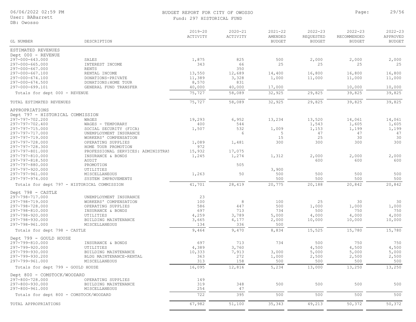#### BUDGET REPORT FOR CITY OF OWOSSO **Page:** 29/56 Fund: 297 HISTORICAL FUND

| GL NUMBER                                   | DESCRIPTION                                 | $2019 - 20$<br>ACTIVITY | $2020 - 21$<br>ACTIVITY | $2021 - 22$<br>AMENDED<br><b>BUDGET</b> | $2022 - 23$<br>REQUESTED<br><b>BUDGET</b> | $2022 - 23$<br>RECOMMENDED<br><b>BUDGET</b> | $2022 - 23$<br>APPROVED<br><b>BUDGET</b> |
|---------------------------------------------|---------------------------------------------|-------------------------|-------------------------|-----------------------------------------|-------------------------------------------|---------------------------------------------|------------------------------------------|
|                                             |                                             |                         |                         |                                         |                                           |                                             |                                          |
| ESTIMATED REVENUES                          |                                             |                         |                         |                                         |                                           |                                             |                                          |
| Dept 000 - REVENUE                          |                                             |                         |                         |                                         |                                           |                                             |                                          |
| 297-000-643.000                             | SALES                                       | 1,875                   | 825                     | 500                                     | 2,000                                     | 2,000                                       | 2,000                                    |
| 297-000-665.000<br>297-000-667.000          | INTEREST INCOME<br>RENTS                    | 343                     | 66<br>350               | 25                                      | 25                                        | 25                                          | 25                                       |
| 297-000-667.100                             | RENTAL INCOME                               | 13,550                  | 12,689                  | 14,400                                  | 16,800                                    | 16,800                                      | 16,800                                   |
| 297-000-674.100                             | DONATIONS-PRIVATE                           | 11,389                  | 3,328                   | 1,000                                   | 11,000                                    | 11,000                                      | 11,000                                   |
| 297-000-674.500                             | DONATIONS: HOME TOUR                        | 8,570                   | 831                     |                                         |                                           |                                             |                                          |
| 297-000-699.101                             | GENERAL FUND TRANSFER                       | 40,000                  | 40,000                  | 17,000                                  |                                           | 10,000                                      | 10,000                                   |
| Totals for dept 000 - REVENUE               |                                             | 75,727                  | 58,089                  | 32,925                                  | 29,825                                    | 39,825                                      | 39,825                                   |
| TOTAL ESTIMATED REVENUES                    |                                             | 75,727                  | 58,089                  | 32,925                                  | 29,825                                    | 39,825                                      | 39,825                                   |
| APPROPRIATIONS                              |                                             |                         |                         |                                         |                                           |                                             |                                          |
| Dept 797 - HISTORICAL COMMISSION            |                                             |                         |                         |                                         |                                           |                                             |                                          |
| 297-797-702.200                             | WAGES                                       | 19,293                  | 6,952                   | 13,234                                  | 13,520                                    | 14,061                                      | 14,061                                   |
| 297-797-702.400                             | WAGES - TEMPORARY                           | 400                     | 544                     |                                         | 1,543                                     | 1,605                                       | 1,605                                    |
| 297-797-715.000                             | SOCIAL SECURITY (FICA)                      | 1,507                   | 532                     | 1,009                                   | 1,153                                     | 1,199                                       | 1,199                                    |
| 297-797-717.000                             | UNEMPLOYMENT INSURANCE                      |                         | 6                       | 5                                       | 47                                        | 47                                          | 47                                       |
| 297-797-719.000<br>297-797-728.000          | WORKERS' COMPENSATION<br>OPERATING SUPPLIES | 1,089                   | 1,481                   | 15<br>300                               | 25<br>300                                 | 30<br>300                                   | 30<br>300                                |
| 297-797-728.300                             | HOME TOUR PROMOTION                         | 972                     |                         |                                         |                                           |                                             |                                          |
| 297-797-801.000                             | PROFESSIONAL SERVICES: ADMINISTRAT          | 15,932                  | 17,075                  |                                         |                                           |                                             |                                          |
| 297-797-810.000                             | INSURANCE & BONDS                           | 1,245                   | 1,274                   | 1,312                                   | 2,000                                     | 2,000                                       | 2,000                                    |
| 297-797-818.500                             | AUDIT                                       |                         |                         |                                         | 600                                       | 600                                         | 600                                      |
| 297-797-880.000                             | PROMOTION                                   |                         | 505                     |                                         |                                           |                                             |                                          |
| 297-797-920.000                             | UTILITIES                                   |                         |                         | 3,900                                   |                                           |                                             |                                          |
| 297-797-961.000<br>297-797-974.000          | MISCELLANEOUS<br>SYSTEM IMPROVEMENTS        | 1,263                   | 50                      | 500<br>500                              | 500<br>500                                | 500<br>500                                  | 500<br>500                               |
| Totals for dept 797 - HISTORICAL COMMISSION |                                             | 41,701                  | 28,419                  | 20,775                                  | 20,188                                    | 20,842                                      | 20,842                                   |
|                                             |                                             |                         |                         |                                         |                                           |                                             |                                          |
| Dept 798 - CASTLE                           |                                             |                         |                         |                                         |                                           |                                             |                                          |
| 297-798-717.000                             | UNEMPLOYMENT INSURANCE                      | 23                      |                         |                                         |                                           |                                             |                                          |
| 297-798-719.000<br>297-798-728.000          | WORKERS' COMPENSATION<br>OPERATING SUPPLIES | 100<br>586              | $\,8\,$<br>447          | 100<br>500                              | 25<br>1,000                               | 30<br>1,000                                 | 30<br>1,000                              |
| 297-798-810.000                             | INSURANCE & BONDS                           | 697                     | 713                     | 734                                     | 500                                       | 750                                         | 750                                      |
| 297-798-920.000                             | UTILITIES                                   | 4,259                   | 3,789                   | 5,000                                   | 4,000                                     | 4,000                                       | 4,000                                    |
| 297-798-930.000                             | BUILDING MAINTENANCE                        | 3,665                   | 4,177                   | 2,000                                   | 10,000                                    | 10,000                                      | 10,000                                   |
| 297-798-961.000                             | MISCELLANEOUS                               | 134                     | 336                     | 500                                     |                                           |                                             |                                          |
| Totals for dept 798 - CASTLE                |                                             | 9,464                   | 9,470                   | 8,834                                   | 15,525                                    | 15,780                                      | 15,780                                   |
| Dept 799 - GOULD HOUSE                      |                                             |                         |                         |                                         |                                           |                                             |                                          |
| 297-799-810.000                             | INSURANCE & BONDS                           | 697                     | 713                     | 734                                     | 500                                       | 750                                         | 750                                      |
| 297-799-920.000                             | UTILITIES                                   | 4,389                   | 3,760                   |                                         | 4,500                                     | 4,500                                       | 4,500                                    |
| 297-799-930.000                             | BUILDING MAINTENANCE                        | 10,333                  | 7,913                   | 3,000                                   | 5,000                                     | 5,000                                       | 5,000                                    |
| 297-799-930.200                             | BLDG MAINTENANCE-RENTAL                     | 363                     | 272                     | 1,000                                   | 2,500                                     | 2,500                                       | 2,500                                    |
| 297-799-961.000                             | <b>MISCELLANEOUS</b>                        | 313                     | 158                     | 500                                     | 500                                       | 500                                         | 500                                      |
| Totals for dept 799 - GOULD HOUSE           |                                             | 16,095                  | 12,816                  | 5,234                                   | 13,000                                    | 13,250                                      | 13,250                                   |
| Dept 800 - COMSTOCK/WOODARD                 |                                             |                         |                         |                                         |                                           |                                             |                                          |
| 297-800-728.000                             | OPERATING SUPPLIES                          | 149                     |                         |                                         |                                           |                                             |                                          |
| 297-800-930.000                             | BUILDING MAINTENANCE                        | 319                     | 348                     | 500                                     | 500                                       | 500                                         | 500                                      |
| 297-800-961.000                             | MISCELLANEOUS                               | 254                     | 47                      |                                         |                                           |                                             |                                          |
| Totals for dept 800 - COMSTOCK/WOODARD      |                                             | 722                     | 395                     | 500                                     | 500                                       | 500                                         | 500                                      |
| TOTAL APPROPRIATIONS                        |                                             | 67,982                  | 51,100                  | 35, 343                                 | 49,213                                    | 50,372                                      | 50,372                                   |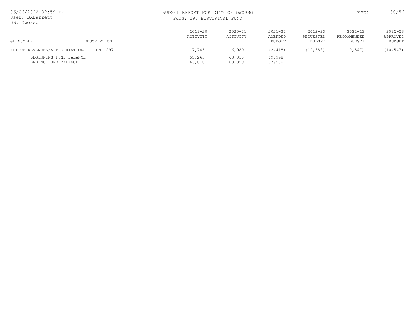| 06/06/2022 02:59 PM<br>User: BABarrett<br>DB: Owosso |                                           |                         | BUDGET REPORT FOR CITY OF OWOSSO<br>Fund: 297 HISTORICAL FUND |                                  |                                    |                                      | 30/56                             |  |
|------------------------------------------------------|-------------------------------------------|-------------------------|---------------------------------------------------------------|----------------------------------|------------------------------------|--------------------------------------|-----------------------------------|--|
| GL NUMBER                                            | DESCRIPTION                               | $2019 - 20$<br>ACTIVITY | $2020 - 21$<br>ACTIVITY                                       | $2021 - 22$<br>AMENDED<br>BUDGET | $2022 - 23$<br>REOUESTED<br>BUDGET | $2022 - 23$<br>RECOMMENDED<br>BUDGET | $2022 - 23$<br>APPROVED<br>BUDGET |  |
|                                                      | NET OF REVENUES/APPROPRIATIONS - FUND 297 | 7,745                   | 6,989                                                         | (2, 418)                         | (19, 388)                          | (10, 547)                            | (10, 547)                         |  |
| BEGINNING FUND BALANCE<br>ENDING FUND BALANCE        |                                           | 55,265<br>63,010        | 63,010<br>69,999                                              | 69,998<br>67,580                 |                                    |                                      |                                   |  |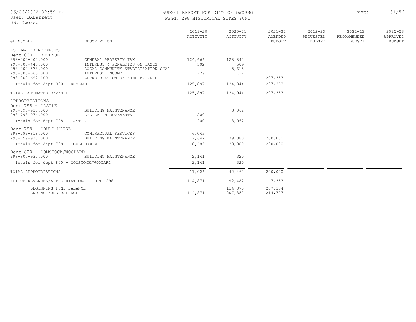User: BABarrett

#### DB: Owosso

#### BUDGET REPORT FOR CITY OF OWOSSO Page: 31/56 Fund: 298 HISTORICAL SITES FUND

| 298 HISTORICAL SITES FUND |  |  |
|---------------------------|--|--|
|                           |  |  |

|                                               |                                                                     | $2019 - 20$<br>ACTIVITY | $2020 - 21$<br>ACTIVITY | $2021 - 22$<br>AMENDED | $2022 - 23$<br>REQUESTED | $2022 - 23$<br>RECOMMENDED | $2022 - 23$<br>APPROVED |
|-----------------------------------------------|---------------------------------------------------------------------|-------------------------|-------------------------|------------------------|--------------------------|----------------------------|-------------------------|
| GL NUMBER                                     | DESCRIPTION                                                         |                         |                         | <b>BUDGET</b>          | BUDGET                   | <b>BUDGET</b>              | <b>BUDGET</b>           |
| ESTIMATED REVENUES<br>Dept 000 - REVENUE      |                                                                     |                         |                         |                        |                          |                            |                         |
| 298-000-402.000                               | GENERAL PROPERTY TAX                                                | 124,666                 | 128,842                 |                        |                          |                            |                         |
| 298-000-445.000<br>298-000-573.000            | INTEREST & PENALTIES ON TAXES<br>LOCAL COMMUNITY STABILIZATION SHAF | 502                     | 509<br>5,615            |                        |                          |                            |                         |
| 298-000-665.000<br>298-000-692.100            | INTEREST INCOME<br>APPROPRIATION OF FUND BALANCE                    | 729                     | (22)                    | 207,353                |                          |                            |                         |
| Totals for dept 000 - REVENUE                 |                                                                     | 125,897                 | 134,944                 | 207,353                |                          |                            |                         |
| TOTAL ESTIMATED REVENUES                      |                                                                     | 125,897                 | 134,944                 | 207,353                |                          |                            |                         |
| APPROPRIATIONS                                |                                                                     |                         |                         |                        |                          |                            |                         |
| Dept 798 - CASTLE<br>298-798-930.000          | BUILDING MAINTENANCE                                                |                         | 3,062                   |                        |                          |                            |                         |
| 298-798-974.000                               | SYSTEM IMPROVEMENTS                                                 | 200                     |                         |                        |                          |                            |                         |
| Totals for dept 798 - CASTLE                  |                                                                     | 200                     | 3,062                   |                        |                          |                            |                         |
| Dept 799 - GOULD HOUSE                        |                                                                     |                         |                         |                        |                          |                            |                         |
| 298-799-818.000<br>298-799-930.000            | CONTRACTUAL SERVICES<br>BUILDING MAINTENANCE                        | 6,043<br>2,642          | 39,080                  | 200,000                |                          |                            |                         |
| Totals for dept 799 - GOULD HOUSE             |                                                                     | 8,685                   | 39,080                  | 200,000                |                          |                            |                         |
| Dept 800 - COMSTOCK/WOODARD                   |                                                                     |                         |                         |                        |                          |                            |                         |
| 298-800-930.000                               | BUILDING MAINTENANCE                                                | 2,141                   | 320                     |                        |                          |                            |                         |
| Totals for dept 800 - COMSTOCK/WOODARD        |                                                                     | 2,141                   | 320                     |                        |                          |                            |                         |
| TOTAL APPROPRIATIONS                          |                                                                     | 11,026                  | 42,462                  | 200,000                |                          |                            |                         |
| NET OF REVENUES/APPROPRIATIONS - FUND 298     |                                                                     | 114,871                 | 92,482                  | 7,353                  |                          |                            |                         |
| BEGINNING FUND BALANCE<br>ENDING FUND BALANCE |                                                                     | 114,871                 | 114,870<br>207,352      | 207,354<br>214,707     |                          |                            |                         |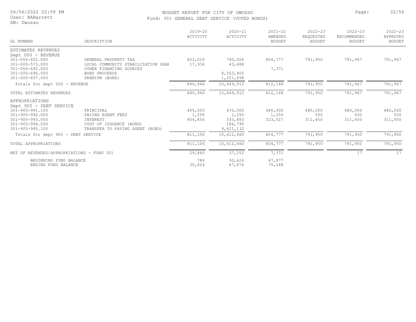User: BABarrett DB: Owosso

#### BUDGET REPORT FOR CITY OF OWOSSO **Page:** 32/56 Fund: 301 GENERAL DEBT SERVICE (VOTED BONDS)

| GL NUMBER                                      | DESCRIPTION                              | $2019 - 20$<br>ACTIVITY | $2020 - 21$<br>ACTIVITY | $2021 - 22$<br>AMENDED<br><b>BUDGET</b> | $2022 - 23$<br>REQUESTED<br><b>BUDGET</b> | $2022 - 23$<br>RECOMMENDED<br><b>BUDGET</b> | $2022 - 23$<br>APPROVED<br><b>BUDGET</b> |
|------------------------------------------------|------------------------------------------|-------------------------|-------------------------|-----------------------------------------|-------------------------------------------|---------------------------------------------|------------------------------------------|
| ESTIMATED REVENUES                             |                                          |                         |                         |                                         |                                           |                                             |                                          |
| Dept 000 - REVENUE                             |                                          |                         |                         |                                         |                                           |                                             |                                          |
| $301 - 000 - 402.000$                          | GENERAL PROPERTY TAX                     | 823,010                 | 790,926                 | 804,777                                 | 791,950                                   | 791,967                                     | 791,967                                  |
| $301 - 000 - 573.000$<br>$301 - 000 - 692.000$ | LOCAL COMMUNITY STABILIZATION SHAF       | 17,936                  | 43,688                  |                                         |                                           |                                             |                                          |
| $301 - 000 - 696.000$                          | OTHER FINANCING SOURCES<br>BOND PROCEEDS |                         | 8,563,400               | 7,371                                   |                                           |                                             |                                          |
| $301 - 000 - 697.000$                          | PREMIUM (BOND)                           |                         | 1,251,898               |                                         |                                           |                                             |                                          |
| Totals for dept 000 - REVENUE                  |                                          | 840,946                 | 10,649,912              | 812,148                                 | 791,950                                   | 791,967                                     | 791,967                                  |
| TOTAL ESTIMATED REVENUES                       |                                          | 840,946                 | 10,649,912              | 812,148                                 | 791,950                                   | 791,967                                     | 791,967                                  |
| APPROPRIATIONS                                 |                                          |                         |                         |                                         |                                           |                                             |                                          |
| Dept 905 - DEBT SERVICE                        |                                          |                         |                         |                                         |                                           |                                             |                                          |
| $301 - 905 - 991.100$<br>$301 - 905 - 992.000$ | PRINCIPAL                                | 405,000                 | 470,000                 | 480,000                                 | 480,000<br>500                            | 480,000<br>500                              | 480,000                                  |
| $301 - 905 - 993.000$                          | PAYING AGENT FEES<br>INTEREST            | 1,250<br>404,856        | 1,250<br>333,483        | 1,250<br>323,527                        | 311,450                                   | 311,450                                     | 500<br>311,450                           |
| $301 - 905 - 994.000$                          | COST OF ISSUANCE (BOND)                  |                         | 186,795                 |                                         |                                           |                                             |                                          |
| $301 - 905 - 995.100$                          | TRANSFER TO PAYING AGENT<br>(BOND)       |                         | 9,621,132               |                                         |                                           |                                             |                                          |
| Totals for dept 905 - DEBT SERVICE             |                                          | 811,106                 | 10,612,660              | 804,777                                 | 791,950                                   | 791,950                                     | 791,950                                  |
| TOTAL APPROPRIATIONS                           |                                          | 811,106                 | 10,612,660              | 804,777                                 | 791,950                                   | 791,950                                     | 791,950                                  |
| NET OF REVENUES/APPROPRIATIONS - FUND 301      |                                          | 29,840                  | 37,252                  | 7,371                                   |                                           | 17                                          | 17                                       |
| BEGINNING FUND BALANCE                         |                                          | 784                     | 30,624                  | 67,877                                  |                                           |                                             |                                          |
| ENDING FUND BALANCE                            |                                          | 30,624                  | 67,876                  | 75,248                                  |                                           |                                             |                                          |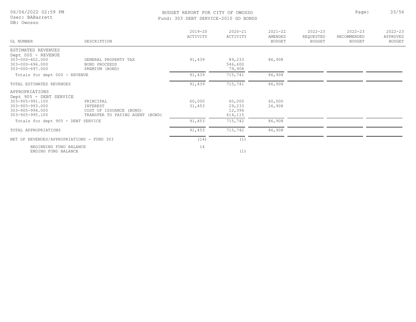#### BUDGET REPORT FOR CITY OF OWOSSO **Page:** 33/56 Fund: 303 DEBT SERVICE-2010 GO BONDS

User: BABarrett DB: Owosso

| GL NUMBER                                                                               | DESCRIPTION                                                                         | $2019 - 20$<br>ACTIVITY | $2020 - 21$<br>ACTIVITY               | $2021 - 22$<br>AMENDED<br><b>BUDGET</b> | $2022 - 23$<br>REQUESTED<br>BUDGET | $2022 - 23$<br>RECOMMENDED<br><b>BUDGET</b> | $2022 - 23$<br>APPROVED<br><b>BUDGET</b> |
|-----------------------------------------------------------------------------------------|-------------------------------------------------------------------------------------|-------------------------|---------------------------------------|-----------------------------------------|------------------------------------|---------------------------------------------|------------------------------------------|
| ESTIMATED REVENUES                                                                      |                                                                                     |                         |                                       |                                         |                                    |                                             |                                          |
| Dept 000 - REVENUE<br>303-000-402.000<br>$303 - 000 - 696.000$<br>$303 - 000 - 697.000$ | GENERAL PROPERTY TAX<br>BOND PROCEEDS<br>PREMIUM (BOND)                             | 91,439                  | 89,233<br>546,600<br>79,908           | 86,908                                  |                                    |                                             |                                          |
| Totals for dept 000 - REVENUE                                                           |                                                                                     | 91,439                  | 715,741                               | 86,908                                  |                                    |                                             |                                          |
| TOTAL ESTIMATED REVENUES                                                                |                                                                                     | 91,439                  | 715,741                               | 86,908                                  |                                    |                                             |                                          |
| APPROPRIATIONS<br>Dept 905 - DEBT SERVICE                                               |                                                                                     |                         |                                       |                                         |                                    |                                             |                                          |
| 303-905-991.100<br>$303 - 905 - 993.000$<br>303-905-994.000<br>$303 - 905 - 995.100$    | PRINCIPAL<br>INTEREST<br>COST OF ISSUANCE (BOND)<br>TRANSFER TO PAYING AGENT (BOND) | 60,000<br>31,453        | 60,000<br>29,233<br>12,394<br>614,115 | 60,000<br>26,908                        |                                    |                                             |                                          |
| Totals for dept 905 - DEBT SERVICE                                                      |                                                                                     | 91,453                  | 715,742                               | 86,908                                  |                                    |                                             |                                          |
| TOTAL APPROPRIATIONS                                                                    |                                                                                     | 91,453                  | 715,742                               | 86,908                                  |                                    |                                             |                                          |
| NET OF REVENUES/APPROPRIATIONS - FUND 303                                               |                                                                                     | (14)                    | (1)                                   |                                         |                                    |                                             |                                          |

ENDING FUND BALANCE (1) (1) BEGINNING FUND BALANCE 14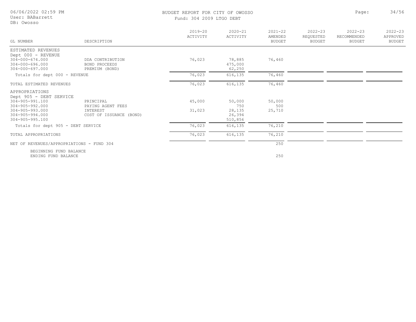| 06/06/2022 02:59 PM<br>User: BABarrett<br>DB: Owosso                    |                                                            | BUDGET REPORT FOR CITY OF OWOSSO<br>Fund: 304 2009 LTGO DEBT |                             |                                         |                                           | Page:                                       | 34/56                                    |
|-------------------------------------------------------------------------|------------------------------------------------------------|--------------------------------------------------------------|-----------------------------|-----------------------------------------|-------------------------------------------|---------------------------------------------|------------------------------------------|
| GL NUMBER                                                               | DESCRIPTION                                                | $2019 - 20$<br>ACTIVITY                                      | $2020 - 21$<br>ACTIVITY     | $2021 - 22$<br>AMENDED<br><b>BUDGET</b> | $2022 - 23$<br>REQUESTED<br><b>BUDGET</b> | $2022 - 23$<br>RECOMMENDED<br><b>BUDGET</b> | $2022 - 23$<br>APPROVED<br><b>BUDGET</b> |
| ESTIMATED REVENUES<br>Dept 000 - REVENUE                                |                                                            |                                                              |                             |                                         |                                           |                                             |                                          |
| $304 - 000 - 674.000$<br>$304 - 000 - 696.000$<br>$304 - 000 - 697.000$ | DDA CONTRIBUTION<br><b>BOND PROCEEDS</b><br>PREMIUM (BOND) | 76,023                                                       | 78,885<br>475,000<br>62,250 | 76,460                                  |                                           |                                             |                                          |
| Totals for dept 000 - REVENUE                                           |                                                            | 76,023                                                       | 616,135                     | 76,460                                  |                                           |                                             |                                          |
| TOTAL ESTIMATED REVENUES                                                |                                                            | 76,023                                                       | 616,135                     | 76,460                                  |                                           |                                             |                                          |
| APPROPRIATIONS<br>Dept 905 - DEBT SERVICE                               |                                                            |                                                              |                             |                                         |                                           |                                             |                                          |
| $304 - 905 - 991.100$<br>$304 - 905 - 992.000$                          | PRINCIPAL<br>PAYING AGENT FEES                             | 45,000                                                       | 50,000<br>750               | 50,000<br>500                           |                                           |                                             |                                          |
| $304 - 905 - 993.000$<br>$304 - 905 - 994.000$<br>$304 - 905 - 995.100$ | INTEREST<br>COST OF ISSUANCE (BOND)                        | 31,023                                                       | 28,135<br>26,394<br>510,856 | 25,710                                  |                                           |                                             |                                          |
| Totals for dept 905 - DEBT SERVICE                                      |                                                            | 76,023                                                       | 616, 135                    | 76,210                                  |                                           |                                             |                                          |
| TOTAL APPROPRIATIONS                                                    |                                                            | 76,023                                                       | 616,135                     | 76,210                                  |                                           |                                             |                                          |
| NET OF REVENUES/APPROPRIATIONS - FUND 304                               |                                                            |                                                              |                             | 250                                     |                                           |                                             |                                          |

ENDING FUND BALANCE 250 BEGINNING FUND BALANCE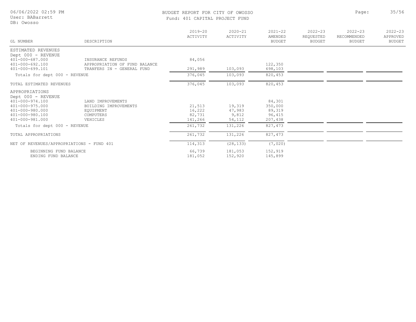| 06/06/2022 02:59 PM<br>User: BABarrett<br>DB: Owosso | BUDGET REPORT FOR CITY OF OWOSSO<br>Fund: 401 CAPITAL PROJECT FUND | Page:                   | 35/56                   |                                         |                                           |                                             |                                          |
|------------------------------------------------------|--------------------------------------------------------------------|-------------------------|-------------------------|-----------------------------------------|-------------------------------------------|---------------------------------------------|------------------------------------------|
| GL NUMBER                                            | DESCRIPTION                                                        | $2019 - 20$<br>ACTIVITY | $2020 - 21$<br>ACTIVITY | $2021 - 22$<br>AMENDED<br><b>BUDGET</b> | $2022 - 23$<br>REQUESTED<br><b>BUDGET</b> | $2022 - 23$<br>RECOMMENDED<br><b>BUDGET</b> | $2022 - 23$<br>APPROVED<br><b>BUDGET</b> |
|                                                      |                                                                    |                         |                         |                                         |                                           |                                             |                                          |
| ESTIMATED REVENUES<br>Dept 000 - REVENUE             |                                                                    |                         |                         |                                         |                                           |                                             |                                          |
| $401 - 000 - 687.000$                                | INSURANCE REFUNDS                                                  | 84,056                  |                         |                                         |                                           |                                             |                                          |
| $401 - 000 - 692.100$                                | APPROPRIATION OF FUND BALANCE                                      |                         |                         | 122,350                                 |                                           |                                             |                                          |
| 401-000-699.101                                      | TRANFERS IN - GENERAL FUND                                         | 291,989                 | 103,093                 | 698,103                                 |                                           |                                             |                                          |
| Totals for dept 000 - REVENUE                        |                                                                    | 376,045                 | 103,093                 | 820,453                                 |                                           |                                             |                                          |
| TOTAL ESTIMATED REVENUES                             |                                                                    | 376,045                 | 103,093                 | 820,453                                 |                                           |                                             |                                          |
| APPROPRIATIONS<br>Dept 000 - REVENUE                 |                                                                    |                         |                         |                                         |                                           |                                             |                                          |
| $401 - 000 - 974.100$                                | LAND IMPROVEMENTS                                                  |                         |                         | 84,301                                  |                                           |                                             |                                          |
| $401 - 000 - 975.000$                                | BUILDING IMPROVEMENTS                                              | 21,513                  | 19,319                  | 350,000                                 |                                           |                                             |                                          |
| 401-000-980.000                                      | EOUIPMENT                                                          | 16,222                  | 47,983                  | 89,319                                  |                                           |                                             |                                          |
| 401-000-980.100                                      | COMPUTERS                                                          | 82,731                  | 9,812                   | 96,415                                  |                                           |                                             |                                          |
| 401-000-981.000                                      | VEHICLES                                                           | 141,266                 | 54,112                  | 207,438                                 |                                           |                                             |                                          |
| Totals for dept 000 - REVENUE                        |                                                                    | 261,732                 | 131,226                 | 827, 473                                |                                           |                                             |                                          |
| TOTAL APPROPRIATIONS                                 |                                                                    | 261,732                 | 131,226                 | 827,473                                 |                                           |                                             |                                          |
| NET OF REVENUES/APPROPRIATIONS - FUND 401            |                                                                    | 114,313                 | (28, 133)               | (7,020)                                 |                                           |                                             |                                          |
| BEGINNING FUND BALANCE                               |                                                                    | 66,739                  | 181,053                 | 152,919                                 |                                           |                                             |                                          |
| ENDING FUND BALANCE                                  |                                                                    | 181,052                 | 152,920                 | 145,899                                 |                                           |                                             |                                          |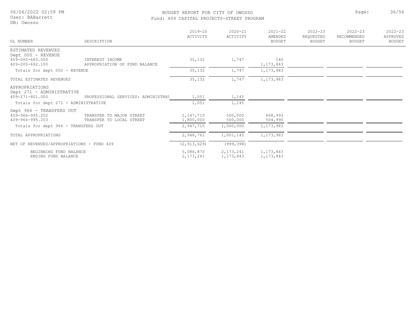#### BUDGET REPORT FOR CITY OF OWOSSO **Page:** 36/56 Fund: 409 CAPITAL PROJECTS-STREET PROGRAM

|                                               |                                                      | $2019 - 20$<br>ACTIVITY  | $2020 - 21$<br>ACTIVITY    | $2021 - 22$<br>AMENDED     | $2022 - 23$<br>REQUESTED | $2022 - 23$<br>RECOMMENDED | $2022 - 23$<br>APPROVED |
|-----------------------------------------------|------------------------------------------------------|--------------------------|----------------------------|----------------------------|--------------------------|----------------------------|-------------------------|
| GL NUMBER                                     | DESCRIPTION                                          |                          |                            | <b>BUDGET</b>              | <b>BUDGET</b>            | <b>BUDGET</b>              | <b>BUDGET</b>           |
| ESTIMATED REVENUES<br>Dept 000 - REVENUE      |                                                      |                          |                            |                            |                          |                            |                         |
| $409 - 000 - 665.000$<br>409-000-692.100      | INTEREST INCOME<br>APPROPRIATION OF FUND BALANCE     | 35,132                   | 1,747                      | 140<br>1, 173, 843         |                          |                            |                         |
| Totals for dept 000 - REVENUE                 |                                                      | 35,132                   | 1,747                      | 1,173,983                  |                          |                            |                         |
| TOTAL ESTIMATED REVENUES                      |                                                      | 35,132                   | 1,747                      | 1,173,983                  |                          |                            |                         |
| APPROPRIATIONS<br>Dept 271 - ADMINISTRATIVE   |                                                      |                          |                            |                            |                          |                            |                         |
| 409-271-801.000                               | PROFESSIONAL SERVICES: ADMINISTRAT                   | 1,051                    | 1,145                      |                            |                          |                            |                         |
| Totals for dept 271 - ADMINISTRATIVE          |                                                      | 1,051                    | 1,145                      |                            |                          |                            |                         |
| Dept 966 - TRANSFERS OUT                      |                                                      |                          |                            |                            |                          |                            |                         |
| 409-966-995.202<br>409-966-995.203            | TRANSFER TO MAJOR STREET<br>TRANSFER TO LOCAL STREET | 1,147,710<br>1,800,000   | 500,000<br>500,000         | 668,993<br>504,990         |                          |                            |                         |
| Totals for dept 966 - TRANSFERS OUT           |                                                      | 2,947,710                | 1,000,000                  | 1,173,983                  |                          |                            |                         |
| TOTAL APPROPRIATIONS                          |                                                      | 2,948,761                | 1,001,145                  | 1, 173, 983                |                          |                            |                         |
| NET OF REVENUES/APPROPRIATIONS - FUND 409     |                                                      | (2, 913, 629)            | (999, 398)                 |                            |                          |                            |                         |
| BEGINNING FUND BALANCE<br>ENDING FUND BALANCE |                                                      | 5,086,870<br>2, 173, 241 | 2, 173, 241<br>1, 173, 843 | 1, 173, 843<br>1, 173, 843 |                          |                            |                         |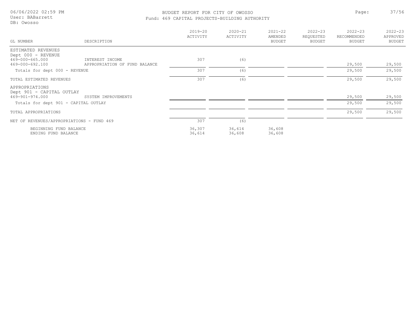### User: BABarrett

DB: Owosso

# BUDGET REPORT FOR CITY OF OWOSSO **Page:** 37/56

|  |  | Fund: 469 CAPITAL PROJECTS-BUILDING AUTHORITY |  |
|--|--|-----------------------------------------------|--|
|--|--|-----------------------------------------------|--|

|                                             |                               | $2019 - 20$<br>ACTIVITY | $2020 - 21$<br>ACTIVITY | $2021 - 22$<br>AMENDED | $2022 - 23$<br>REQUESTED | $2022 - 23$<br>RECOMMENDED | $2022 - 23$<br>APPROVED |
|---------------------------------------------|-------------------------------|-------------------------|-------------------------|------------------------|--------------------------|----------------------------|-------------------------|
| GL NUMBER                                   | DESCRIPTION                   |                         |                         | <b>BUDGET</b>          | <b>BUDGET</b>            | <b>BUDGET</b>              | BUDGET                  |
| ESTIMATED REVENUES                          |                               |                         |                         |                        |                          |                            |                         |
| Dept 000 - REVENUE                          |                               |                         |                         |                        |                          |                            |                         |
| 469-000-665.000                             | INTEREST INCOME               | 307                     | (6)                     |                        |                          |                            |                         |
| 469-000-692.100                             | APPROPRIATION OF FUND BALANCE |                         |                         |                        |                          | 29,500                     | 29,500                  |
| Totals for dept 000 - REVENUE               |                               | 307                     | (6)                     |                        |                          | 29,500                     | 29,500                  |
| TOTAL ESTIMATED REVENUES                    |                               | 307                     | (6)                     |                        |                          | 29,500                     | 29,500                  |
| APPROPRIATIONS<br>Dept 901 - CAPITAL OUTLAY |                               |                         |                         |                        |                          |                            |                         |
| 469-901-974.000                             | SYSTEM IMPROVEMENTS           |                         |                         |                        |                          | 29,500                     | 29,500                  |
| Totals for dept 901 - CAPITAL OUTLAY        |                               |                         |                         |                        |                          | 29,500                     | 29,500                  |
| TOTAL APPROPRIATIONS                        |                               |                         |                         |                        |                          | 29,500                     | 29,500                  |
| NET OF REVENUES/APPROPRIATIONS - FUND 469   |                               | 307                     | (6)                     |                        |                          |                            |                         |
| BEGINNING FUND BALANCE                      |                               | 36,307                  | 36,614                  | 36,608                 |                          |                            |                         |
| ENDING FUND BALANCE                         |                               | 36,614                  | 36,608                  | 36,608                 |                          |                            |                         |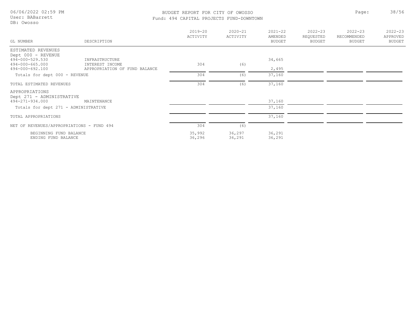User: BABarrett DB: Owosso

#### BUDGET REPORT FOR CITY OF OWOSSO **Page:** 38/56 Fund: 494 CAPITAL PROJECTS FUND-DOWNTOWN

| GL NUMBER                                    | DESCRIPTION                   | $2019 - 20$<br>ACTIVITY | $2020 - 21$<br>ACTIVITY | $2021 - 22$<br>AMENDED<br>BUDGET | $2022 - 23$<br>REQUESTED<br>BUDGET | $2022 - 23$<br>RECOMMENDED<br><b>BUDGET</b> | $2022 - 23$<br>APPROVED<br><b>BUDGET</b> |
|----------------------------------------------|-------------------------------|-------------------------|-------------------------|----------------------------------|------------------------------------|---------------------------------------------|------------------------------------------|
| ESTIMATED REVENUES                           |                               |                         |                         |                                  |                                    |                                             |                                          |
| Dept 000 - REVENUE<br>494-000-529.530        | INFRASTRUCTURE                |                         |                         | 34,665                           |                                    |                                             |                                          |
| 494-000-665.000                              | INTEREST INCOME               | 304                     | (6)                     |                                  |                                    |                                             |                                          |
| 494-000-692.100                              | APPROPRIATION OF FUND BALANCE |                         |                         | 2,495                            |                                    |                                             |                                          |
| Totals for dept 000 - REVENUE                |                               | 304                     | (6)                     | 37,160                           |                                    |                                             |                                          |
| TOTAL ESTIMATED REVENUES                     |                               | 304                     | (6)                     | 37,160                           |                                    |                                             |                                          |
| APPROPRIATIONS                               |                               |                         |                         |                                  |                                    |                                             |                                          |
| Dept 271 - ADMINISTRATIVE<br>494-271-934.000 |                               |                         |                         | 37,160                           |                                    |                                             |                                          |
|                                              | MAINTENANCE                   |                         |                         |                                  |                                    |                                             |                                          |
| Totals for dept 271 - ADMINISTRATIVE         |                               |                         |                         | 37,160                           |                                    |                                             |                                          |
| TOTAL APPROPRIATIONS                         |                               |                         |                         | 37,160                           |                                    |                                             |                                          |
| NET OF REVENUES/APPROPRIATIONS - FUND 494    |                               | 304                     | (6)                     |                                  |                                    |                                             |                                          |
| BEGINNING FUND BALANCE                       |                               | 35,992                  | 36,297                  | 36,291                           |                                    |                                             |                                          |
| ENDING FUND BALANCE                          |                               | 36,296                  | 36,291                  | 36,291                           |                                    |                                             |                                          |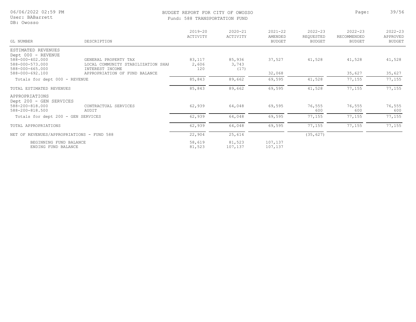## BUDGET REPORT FOR CITY OF OWOSSO Page: 39/56

2022-23 RECOMMENDED BUDGET

2022-23 APPROVED BUDGET

| User: BABarrett<br>DB: Owosso            | Fund: 588 TRANSPORTATION FUND                              |                         |                         |                                         |                                    |  |  |
|------------------------------------------|------------------------------------------------------------|-------------------------|-------------------------|-----------------------------------------|------------------------------------|--|--|
| GL NUMBER                                | DESCRIPTION                                                | $2019 - 20$<br>ACTIVITY | $2020 - 21$<br>ACTIVITY | $2021 - 22$<br>AMENDED<br><b>BUDGET</b> | $2022 - 23$<br>REQUESTED<br>BUDGET |  |  |
| ESTIMATED REVENUES<br>Dept 000 - REVENUE |                                                            |                         |                         |                                         |                                    |  |  |
| 588-000-402.000<br>588-000-573.000       | GENERAL PROPERTY TAX<br>LOCAL COMMUNITY STARILIZATION SHAF | 83,117<br>2.606         | 85,936<br>3.743         | 37,527                                  | 41,528                             |  |  |

| ESTIMATED REVENUES                                                              |                                                                               |                        |                         |                    |               |               |               |
|---------------------------------------------------------------------------------|-------------------------------------------------------------------------------|------------------------|-------------------------|--------------------|---------------|---------------|---------------|
| Dept 000 - REVENUE<br>588-000-402.000<br>588-000-573.000<br>588-000-665.000     | GENERAL PROPERTY TAX<br>LOCAL COMMUNITY STABILIZATION SHAF<br>INTEREST INCOME | 83,117<br>2,606<br>120 | 85,936<br>3,743<br>(17) | 37,527             | 41,528        | 41,528        | 41,528        |
| 588-000-692.100                                                                 | APPROPRIATION OF FUND BALANCE                                                 |                        |                         | 32,068             |               | 35,627        | 35,627        |
| Totals for dept 000 - REVENUE                                                   |                                                                               | 85,843                 | 89,662                  | 69,595             | 41,528        | 77,155        | 77,155        |
| TOTAL ESTIMATED REVENUES                                                        |                                                                               | 85,843                 | 89,662                  | 69,595             | 41,528        | 77,155        | 77,155        |
| APPROPRIATIONS<br>Dept 200 - GEN SERVICES<br>588-200-818.000<br>588-200-818.500 | CONTRACTUAL SERVICES<br>AUDIT                                                 | 62,939                 | 64,048                  | 69,595             | 76,555<br>600 | 76,555<br>600 | 76,555<br>600 |
| Totals for dept 200 - GEN SERVICES                                              |                                                                               | 62,939                 | 64,048                  | 69,595             | 77,155        | 77,155        | 77,155        |
| TOTAL APPROPRIATIONS                                                            |                                                                               | 62,939                 | 64,048                  | 69,595             | 77,155        | 77,155        | 77,155        |
| NET OF REVENUES/APPROPRIATIONS - FUND 588                                       |                                                                               | 22,904                 | 25,614                  |                    | (35, 627)     |               |               |
| BEGINNING FUND BALANCE<br>ENDING FUND BALANCE                                   |                                                                               | 58,619<br>81,523       | 81,523<br>107,137       | 107,137<br>107,137 |               |               |               |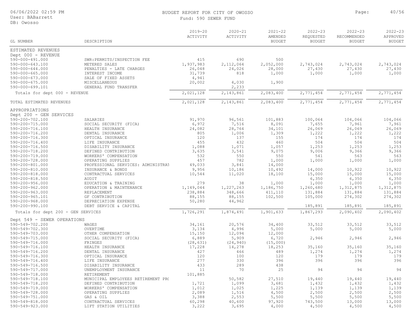| 06/06/2022 02:59 PM |  |  |
|---------------------|--|--|
|---------------------|--|--|

#### User: BABarrett

DB: Owosso

#### BUDGET REPORT FOR CITY OF OWOSSO **Page:** 40/56 Fund: 590 SEWER FUND

|  |  | 4 | U |  |
|--|--|---|---|--|
|  |  |   |   |  |

| DB: Owosso                                     |                                              |                         |                         |                                         |                                           |                                             |                                          |
|------------------------------------------------|----------------------------------------------|-------------------------|-------------------------|-----------------------------------------|-------------------------------------------|---------------------------------------------|------------------------------------------|
| GL NUMBER                                      | DESCRIPTION                                  | $2019 - 20$<br>ACTIVITY | $2020 - 21$<br>ACTIVITY | $2021 - 22$<br>AMENDED<br><b>BUDGET</b> | $2022 - 23$<br>REQUESTED<br><b>BUDGET</b> | $2022 - 23$<br>RECOMMENDED<br><b>BUDGET</b> | $2022 - 23$<br>APPROVED<br><b>BUDGET</b> |
| ESTIMATED REVENUES                             |                                              |                         |                         |                                         |                                           |                                             |                                          |
| Dept 000 - REVENUE                             |                                              |                         |                         |                                         |                                           |                                             |                                          |
| 590-000-491.000                                | SWR: PERMITS/INSPECTION FEE                  | 415                     | 690                     | 500                                     |                                           |                                             |                                          |
| $590 - 000 - 643.100$                          | METERED SALES                                | 1,937,983               | 2,112,064               | 2,052,000                               | 2,743,024                                 | 2,743,024                                   | 2,743,024                                |
| $590 - 000 - 644.000$                          | PENALTIES - LATE CHARGES                     | 26,048                  | 24,026                  | 28,000                                  | 27,430                                    | 27,430                                      | 27,430                                   |
| $590 - 000 - 665.000$<br>$590 - 000 - 673.000$ | INTEREST INCOME                              | 31,739<br>4,941         | 818                     | 1,000                                   | 1,000                                     | 1,000                                       | 1,000                                    |
| $590 - 000 - 675.000$                          | SALE OF FIXED ASSETS<br><b>MISCELLANEOUS</b> | 20,002                  | 4,030                   | 1,900                                   |                                           |                                             |                                          |
| 590-000-699.101                                | GENERAL FUND TRANSFER                        |                         | 2,233                   |                                         |                                           |                                             |                                          |
| Totals for dept 000 - REVENUE                  |                                              | 2,021,128               | 2,143,861               | 2,083,400                               | 2,771,454                                 | 2,771,454                                   | 2,771,454                                |
| TOTAL ESTIMATED REVENUES                       |                                              | 2,021,128               | 2,143,861               | 2,083,400                               | 2,771,454                                 | 2,771,454                                   | 2,771,454                                |
| APPROPRIATIONS                                 |                                              |                         |                         |                                         |                                           |                                             |                                          |
| Dept 200 - GEN SERVICES                        |                                              |                         |                         |                                         |                                           |                                             |                                          |
| 590-200-702.100                                | SALARIES                                     | 91,970                  | 96,561                  | 101,883                                 | 100,064                                   | 104,066                                     | 104,066                                  |
| 590-200-715.000                                | SOCIAL SECURITY (FICA)                       | 6,972                   | 7,516                   | 8,091                                   | 7,655                                     | 7,961                                       | 7,961                                    |
| 590-200-716.100                                | HEALTH INSURANCE                             | 24,082                  | 28,764                  | 34,101                                  | 26,069                                    | 26,069                                      | 26,069                                   |
| 590-200-716.200                                | DENTAL INSURANCE                             | 805                     | 1,006                   | 1,309                                   | 1,222                                     | 1,222                                       | 1,222                                    |
| 590-200-716.300                                | OPTICAL INSURANCE                            | 120                     | 137                     | 155                                     | 174                                       | 174                                         | 174                                      |
| 590-200-716.400                                | LIFE INSURANCE                               | 455                     | 432                     | 460                                     | 504                                       | 504                                         | 504                                      |
| 590-200-716.500                                | DISABILITY INSURANCE                         | 1,088                   | 1,071                   | 1,057                                   | 1,253                                     | 1,253                                       | 1,253                                    |
| 590-200-718.200                                | DEFINED CONTRIBUTION                         | 3,635                   | 3,541                   | 9,075                                   | 9,006                                     | 9,366                                       | 9,366                                    |
| 590-200-719.000                                | WORKERS' COMPENSATION                        | 532                     | 550                     | 550                                     | 541                                       | 563                                         | 563                                      |
| 590-200-728.000                                | OPERATING SUPPLIES                           | 457                     | 782                     | 1,000                                   | 1,000                                     | 1,000                                       | 1,000                                    |
| 590-200-801.000                                | PROFESSIONAL SERVICES: ADMINISTRAT           | 49,033                  | 3,841                   | 14,000                                  |                                           |                                             |                                          |
| 590-200-810.000                                | INSURANCE & BONDS<br>CONTRACTUAL SERVICES    | 9,956                   | 10,186                  | 10,492                                  | 14,000                                    | 10,922                                      | 10,922<br>15,000                         |
| 590-200-818.000<br>590-200-818.500             | AUDIT                                        | 10,544                  | 11,020                  | 18,100                                  | 15,000<br>6,350                           | 15,000<br>6,350                             | 6,350                                    |
| 590-200-956.000                                | EDUCATION & TRAINING                         | 279                     | 38                      | 1,000                                   | 1,000                                     | 1,000                                       | 1,000                                    |
| 590-200-962.000                                | OPERATION & MAINTENANCE                      | 1,149,044               | 1,227,263               | 1,186,750                               | 1,260,680                                 | 1,312,875                                   | 1,312,875                                |
| $590 - 200 - 963.000$                          | REPLACEMENT                                  | 238,884                 | 348,666                 | 411,110                                 | 131,884                                   | 131,884                                     | 131,884                                  |
| 590-200-965.101                                | GF CONTRIBUTION                              | 88,155                  | 88,155                  | 102,500                                 | 105,000                                   | 274,302                                     | 274,302                                  |
| 590-200-968.000                                | DEPRECIATION EXPENSE                         | 50,280                  | 44,962                  |                                         |                                           |                                             |                                          |
| 590-200-990.100                                | DEBT SERVICE & CAPITAL                       |                         |                         |                                         | 185,891                                   | 185,891                                     | 185,891                                  |
| Totals for dept 200 - GEN SERVICES             |                                              | 1,726,291               | 1,874,491               | 1,901,633                               | 1,867,293                                 | 2,090,402                                   | 2,090,402                                |
| Dept 549 - SEWER OPERATIONS                    |                                              |                         |                         |                                         |                                           |                                             |                                          |
| 590-549-702.200                                | WAGES                                        | 34,161                  | 20,576                  | 34,400                                  | 33,512                                    | 33,512                                      | 33,512                                   |
| 590-549-702.300                                | OVERTIME                                     | 3,134                   | 4,996                   | 5,000                                   | 5,000                                     | 5,000                                       | 5,000                                    |
| 590-549-703.000                                | OTHER COMPENSATION                           | 15,150                  | 12,094                  | 12,000                                  |                                           |                                             |                                          |
| 590-549-715.000                                | SOCIAL SECURITY (FICA)                       | 6,889                   | 5,909                   | 6,720                                   | 2,946                                     | 2,946                                       | 2,946                                    |
| 590-549-716.000                                | FRINGES                                      | (28, 631)               | (24, 940)               | (15,000)                                |                                           |                                             |                                          |
| 590-549-716.100                                | HEALTH INSURANCE                             | 17,228                  | 14,278                  | 18,253                                  | 35,160                                    | 35,160                                      | 35,160                                   |
| 590-549-716.200<br>590-549-716.300             | DENTAL INSURANCE<br>OPTICAL INSURANCE        | 427<br>120              | 466<br>100              | 489<br>120                              | 1,274<br>179                              | 1,274<br>179                                | 1,274<br>179                             |
| 590-549-716.400                                | LIFE INSURANCE                               | 277                     | 330                     | 396                                     | 396                                       | 396                                         | 396                                      |
| 590-549-716.500                                | DISABILITY INSURANCE                         | 433                     | 289                     | 438                                     |                                           |                                             |                                          |
| 590-549-717.000                                | UNEMPLOYMENT INSURANCE                       | 11                      | 70                      | 25                                      | 94                                        | 94                                          | 94                                       |
| 590-549-718.000                                | RETIREMENT                                   | 101,885                 |                         |                                         |                                           |                                             |                                          |
| 590-549-718.100                                | MUNICIPAL EMPLOYEES RETIREMENT PRO           |                         | 50,582                  | 27,510                                  | 19,440                                    | 19,440                                      | 19,440                                   |
| 590-549-718.200                                | DEFINED CONTRIBUTION                         | 1,721                   | 1,099                   | 3,681                                   | 1,432                                     | 1,432                                       | 1,432                                    |
| 590-549-719.000                                | WORKERS' COMPENSATION                        | 1,012                   | 1,025                   | 1,225                                   | 1,139                                     | 1,139                                       | 1,139                                    |
| 590-549-728.000                                | OPERATING SUPPLIES                           | 2,089                   | 1,516                   | 4,500                                   | 2,500                                     | 2,500                                       | 2,500                                    |

590-549-728.000 OPERATING SUPPLIES 2,089 1,516 4,500 2,500 2,500 2,500 590-549-751.000 GAS & OIL 3,388 2,553 5,500 5,500 5,500 5,500 590-549-818.000 CONTRACTUAL SERVICES 60,298 40,600 97,920 743,500 13,000 13,000

LIFT STATION UTILITIES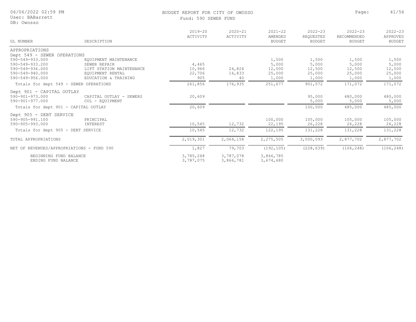#### Fund: 590 SEWER FUND

BUDGET REPORT FOR CITY OF OWOSSO **Page:** 41/56

| GL NUMBER                                                                | DESCRIPTION                                                                           | $2019 - 20$<br>ACTIVITY   | $2020 - 21$<br>ACTIVITY | $2021 - 22$<br>AMENDED<br><b>BUDGET</b> | $2022 - 23$<br>REQUESTED<br>BUDGET | $2022 - 23$<br>RECOMMENDED<br><b>BUDGET</b> | $2022 - 23$<br>APPROVED<br><b>BUDGET</b> |
|--------------------------------------------------------------------------|---------------------------------------------------------------------------------------|---------------------------|-------------------------|-----------------------------------------|------------------------------------|---------------------------------------------|------------------------------------------|
|                                                                          |                                                                                       |                           |                         |                                         |                                    |                                             |                                          |
| APPROPRIATIONS<br>Dept 549 - SEWER OPERATIONS                            |                                                                                       |                           |                         |                                         |                                    |                                             |                                          |
| 590-549-933.000<br>590-549-933.200<br>590-549-936.000<br>590-549-940.000 | EQUIPMENT MAINTENANCE<br>SEWER REPAIR<br>LIFT STATION MAINTENANCE<br>EQUIPMENT RENTAL | 4,465<br>10,966<br>22,706 | 24,824<br>16,833        | 1,500<br>5,000<br>12,000<br>25,000      | 1,500<br>5,000<br>12,500<br>25,000 | 1,500<br>5,000<br>12,500<br>25,000          | 1,500<br>5,000<br>12,500<br>25,000       |
| 590-549-956.000                                                          | EDUCATION & TRAINING                                                                  | 905                       | 40                      | 1,000                                   | 1,000                              | 1,000                                       | 1,000                                    |
| Totals for dept 549 - SEWER OPERATIONS                                   |                                                                                       | 261,856                   | 176,935                 | 251,677                                 | 901,572                            | 171,072                                     | 171,072                                  |
| Dept 901 - CAPITAL OUTLAY<br>$590 - 901 - 973.000$<br>590-901-977.000    | CAPITAL OUTLAY - SEWERS<br>COL - EOUIPMENT                                            | 20,609                    |                         |                                         | 95,000<br>5,000                    | 480,000<br>5,000                            | 480,000<br>5,000                         |
| Totals for dept 901 - CAPITAL OUTLAY                                     |                                                                                       | 20,609                    |                         |                                         | 100,000                            | 485,000                                     | 485,000                                  |
| Dept 905 - DEBT SERVICE<br>590-905-991.100<br>590-905-993.000            | PRINCIPAL<br>INTEREST                                                                 | 10,545                    | 12,732                  | 100,000<br>22,195                       | 105,000<br>26,228                  | 105,000<br>26,228                           | 105,000<br>26,228                        |
| Totals for dept 905 - DEBT SERVICE                                       |                                                                                       | 10,545                    | 12,732                  | 122,195                                 | 131,228                            | 131,228                                     | 131,228                                  |
| TOTAL APPROPRIATIONS                                                     |                                                                                       | 2,019,301                 | 2,064,158               | 2,275,505                               | 3,000,093                          | 2,877,702                                   | 2,877,702                                |
| NET OF REVENUES/APPROPRIATIONS - FUND 590                                |                                                                                       | 1,827                     | 79,703                  | (192, 105)                              | (228, 639)                         | (106, 248)                                  | (106, 248)                               |
| BEGINNING FUND BALANCE<br>ENDING FUND BALANCE                            |                                                                                       | 3,785,248<br>3,787,075    | 3,787,078<br>3,866,781  | 3,866,785<br>3,674,680                  |                                    |                                             |                                          |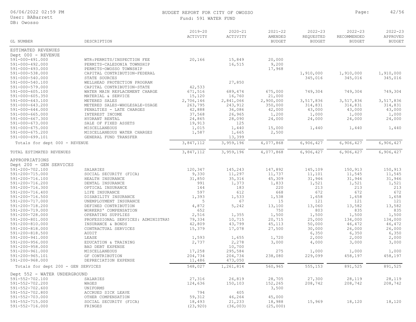User: BABarrett

DB: Owosso

### BUDGET REPORT FOR CITY OF OWOSSO **Page:** 42/56

Fund: 591 WATER FUND

| GL NUMBER                                | DESCRIPTION                                                 | $2019 - 20$<br>ACTIVITY | $2020 - 21$<br>ACTIVITY | $2021 - 22$<br>AMENDED<br><b>BUDGET</b> | $2022 - 23$<br>REQUESTED<br><b>BUDGET</b> | $2022 - 23$<br>RECOMMENDED<br><b>BUDGET</b> | $2022 - 23$<br>APPROVED<br><b>BUDGET</b> |
|------------------------------------------|-------------------------------------------------------------|-------------------------|-------------------------|-----------------------------------------|-------------------------------------------|---------------------------------------------|------------------------------------------|
|                                          |                                                             |                         |                         |                                         |                                           |                                             |                                          |
| ESTIMATED REVENUES                       |                                                             |                         |                         |                                         |                                           |                                             |                                          |
| Dept 000 - REVENUE                       |                                                             |                         |                         |                                         |                                           |                                             |                                          |
| 591-000-491.000                          | WTR: PERMITS/INSPECTION FEE                                 | 20,166                  | 15,849                  | 20,000                                  |                                           |                                             |                                          |
| $591 - 000 - 492.000$                    | PERMITS-CALEDONIA TOWNSHIP                                  |                         | 16,515                  | 9,200                                   |                                           |                                             |                                          |
| $591 - 000 - 493.000$                    | PERMITS-OWOSSO TOWNSHIP                                     |                         |                         | 17,968                                  |                                           |                                             |                                          |
| 591-000-538.000                          | CAPITAL CONTRIBUTION-FEDERAL                                |                         |                         |                                         | 1,910,000                                 | 1,910,000                                   | 1,910,000                                |
| 591-000-540.000                          | STATE SOURCES                                               |                         |                         |                                         | 345,016                                   | 345,016                                     | 345,016                                  |
| 591-000-540.100                          | WELLHEAD PROTECTION PROGRAM                                 |                         | 27,850                  |                                         |                                           |                                             |                                          |
| 591-000-579.000<br>$591 - 000 - 605.100$ | CAPITAL CONTRIBUTION-STATE<br>WATER MAIN REPLACEMENT CHARGE | 42,533<br>671,516       | 689,474                 | 675,000                                 | 749,304                                   | 749,304                                     | 749,304                                  |
| $591 - 000 - 605.350$                    | MATERIAL & SERVICE                                          | 15,120                  | 16,760                  | 21,000                                  |                                           |                                             |                                          |
| 591-000-643.100                          | METERED SALES                                               | 2,706,146               | 2,841,066               | 2,900,000                               | 3,517,836                                 | 3,517,836                                   | 3,517,836                                |
| 591-000-643.200                          | METERED SALES-WHOLESALE-USAGE                               | 263,795                 | 243,912                 | 350,000                                 | 314,831                                   | 314,831                                     | 314,831                                  |
| $591 - 000 - 644.000$                    | PENALTIES - LATE CHARGES                                    | 42,888                  | 36,086                  | 42,000                                  | 43,000                                    | 43,000                                      | 43,000                                   |
| $591 - 000 - 665.000$                    | INTEREST INCOME                                             | 37,568                  | 26,965                  | 1,200                                   | 1,000                                     | 1,000                                       | 1,000                                    |
| $591 - 000 - 667.300$                    | HYDRANT RENTAL                                              | 24,865                  | 28,090                  | 24,000                                  | 24,000                                    | 24,000                                      | 24,000                                   |
| $591 - 000 - 673.000$                    | SALE OF FIXED ASSETS                                        | 19,913                  | 125                     |                                         |                                           |                                             |                                          |
| $591 - 000 - 675.000$                    | MISCELLANEOUS                                               | 1,015                   | 1,440                   | 15,000                                  | 1,440                                     | 1,440                                       | 1,440                                    |
| 591-000-675.200                          | MISCELLANEOUS WATER CHARGES                                 | 1,587                   | 1,665                   | 2,500                                   |                                           |                                             |                                          |
| 591-000-699.101                          | GENERAL FUND TRANSFER                                       |                         | 13,399                  |                                         |                                           |                                             |                                          |
| Totals for dept 000 - REVENUE            |                                                             | 3,847,112               | 3,959,196               | 4,077,868                               | 6,906,427                                 | 6,906,427                                   | 6,906,427                                |
| TOTAL ESTIMATED REVENUES                 |                                                             | 3,847,112               | 3,959,196               | 4,077,868                               | 6,906,427                                 | 6,906,427                                   | 6,906,427                                |
| APPROPRIATIONS                           |                                                             |                         |                         |                                         |                                           |                                             |                                          |
| Dept 200 - GEN SERVICES                  |                                                             |                         |                         |                                         |                                           |                                             |                                          |
| 591-200-702.100                          | SALARIES                                                    | 120,347                 | 145,243                 | 147,892                                 | 145,109                                   | 150,913                                     | 150,913                                  |
| 591-200-715.000                          | SOCIAL SECURITY (FICA)                                      | 9,330                   | 11,297                  | 11,737                                  | 11,101                                    | 11,545                                      | 11,545                                   |
| 591-200-716.100                          | HEALTH INSURANCE                                            | 31,850                  | 35,316                  | 45,309                                  | 31,946                                    | 31,946                                      | 31,946                                   |
| 591-200-716.200                          | DENTAL INSURANCE                                            | 991                     | 1,373                   | 1,833                                   | 1,521                                     | 1,521                                       | 1,521                                    |
| 591-200-716.300                          | OPTICAL INSURANCE                                           | 144                     | 183                     | 220                                     | 213                                       | 213                                         | 213                                      |
| 591-200-716.400                          | LIFE INSURANCE                                              | 597                     | 612                     | 668                                     | 672                                       | 672                                         | 672                                      |
| 591-200-716.500                          | DISABILITY INSURANCE                                        | 1,393                   | 1,533                   | 1,538                                   | 1,658                                     | 1,658                                       | 1,658                                    |
| 591-200-717.000                          | UNEMPLOYMENT INSURANCE                                      | 5                       | 67                      | 15                                      | 121                                       | 121                                         | 121                                      |
| 591-200-718.200                          | DEFINED CONTRIBUTION                                        | 4,872                   | 5,242                   | 13,100                                  | 13,060                                    | 13,582                                      | 13,582                                   |
| 591-200-719.000                          | WORKERS' COMPENSATION                                       | 652                     |                         | 750                                     | 803                                       | 835                                         | 835                                      |
| 591-200-728.000                          | OPERATING SUPPLIES                                          | 2,516                   | 1,355                   | 1,500                                   | 1,500                                     | 1,500                                       | 1,500                                    |
| 591-200-801.000                          | PROFESSIONAL SERVICES: ADMINISTRAT                          | 79,334                  | 10,715                  | 20,715                                  | 25,000                                    | 134,000                                     | 134,000                                  |
| 591-200-810.000<br>591-200-818.000       | INSURANCE & BONDS                                           | 42,809<br>15,379        | 43,799<br>17,078        | 45,113                                  | 50,000<br>30,000                          | 46,472                                      | 46,472                                   |
| 591-200-818.500                          | CONTRACTUAL SERVICES<br>AUDIT                               |                         |                         | 27,500                                  | 6,350                                     | 26,000<br>6,350                             | 26,000<br>6,350                          |
| 591-200-941.000                          | LEASE                                                       | 1,593                   | 1,655                   | 1,720                                   | 2,000                                     | 2,000                                       | 2,000                                    |
| $591 - 200 - 956.000$                    | EDUCATION & TRAINING                                        | 2,737                   | 2,278                   | 3,000                                   | 4,000                                     | 3,000                                       | 3,000                                    |
| 591-200-958.000                          | BAD DEBT EXPENSE                                            |                         | 10,700                  |                                         |                                           |                                             |                                          |
| 591-200-961.000                          | MISCELLANEOUS                                               | 17,258                  | 295,584                 | 275                                     | 1,000                                     | 1,000                                       | 1,000                                    |
| 591-200-965.101                          | GF CONTRIBUTION                                             | 204,734                 | 204,734                 | 238,080                                 | 229,099                                   | 458,197                                     | 458,197                                  |
| $591 - 200 - 968.000$                    | DEPRECIATION EXPENSE                                        | 11,486                  | 473,050                 |                                         |                                           |                                             |                                          |
| Totals for dept 200 - GEN SERVICES       |                                                             | 548,027                 | 1,261,814               | 560,965                                 | 555,153                                   | 891,525                                     | 891,525                                  |
| Dept 552 - WATER UNDERGROUND             |                                                             |                         |                         |                                         |                                           |                                             |                                          |
| 591-552-702.100                          | SALARIES                                                    | 27,316                  | 26,819                  | 28,705                                  | 27,300                                    | 28,119                                      | 28,119                                   |
| 591-552-702.200                          | WAGES                                                       | 124,636                 | 150,103                 | 152,265                                 | 208,742                                   | 208,742                                     | 208,742                                  |
| $591 - 552 - 702.600$                    | UNIFORMS                                                    |                         |                         | 3,500                                   |                                           |                                             |                                          |
| 591-552-702.800                          | ACCRUED SICK LEAVE                                          | 794                     | 405                     |                                         |                                           |                                             |                                          |
| 591-552-703.000                          | OTHER COMPENSATION                                          | 59,312                  | 46,264                  | 45,000                                  |                                           |                                             |                                          |
| 591-552-715.000                          | SOCIAL SECURITY (FICA)                                      | 18,493                  | 21,233                  | 18,988                                  | 15,969                                    | 18,120                                      | 18,120                                   |
| 591-552-716.000                          | FRINGES                                                     | (23, 920)               | (36, 003)               | (25,000)                                |                                           |                                             |                                          |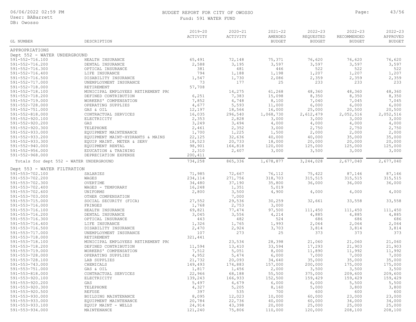User: BABarrett DB: Owosso

### BUDGET REPORT FOR CITY OF OWOSSO **Page:** 43/56

Fund: 591 WATER FUND

| GL NUMBER                                      | DESCRIPTION                                    | $2019 - 20$<br>ACTIVITY | $2020 - 21$<br>ACTIVITY | $2021 - 22$<br>AMENDED<br><b>BUDGET</b> | $2022 - 23$<br>REQUESTED<br><b>BUDGET</b> | $2022 - 23$<br>RECOMMENDED<br><b>BUDGET</b> | $2022 - 23$<br>APPROVED<br><b>BUDGET</b> |
|------------------------------------------------|------------------------------------------------|-------------------------|-------------------------|-----------------------------------------|-------------------------------------------|---------------------------------------------|------------------------------------------|
|                                                |                                                |                         |                         |                                         |                                           |                                             |                                          |
| APPROPRIATIONS                                 |                                                |                         |                         |                                         |                                           |                                             |                                          |
| Dept 552 - WATER UNDERGROUND                   |                                                |                         |                         |                                         |                                           |                                             |                                          |
| 591-552-716.100                                | HEALTH INSURANCE                               | 65,491                  | 72,148                  | 75,371                                  | 76,620                                    | 76,620                                      | 76,620                                   |
| 591-552-716.200                                | DENTAL INSURANCE                               | 2,588                   | 3,195                   | 3,597                                   | 3,597                                     | 3,597                                       | 3,597                                    |
| 591-552-716.300                                | OPTICAL INSURANCE                              | 381                     | 481                     | 446                                     | 522                                       | 522                                         | 522                                      |
| 591-552-716.400                                | LIFE INSURANCE                                 | 794                     | 1,188                   | 1,198                                   | 1,207                                     | 1,207                                       | 1,207                                    |
| 591-552-716.500                                | DISABILITY INSURANCE                           | 1,547                   | 1,730                   | 2,086                                   | 2,359                                     | 2,359                                       | 2,359                                    |
| 591-552-717.000<br>591-552-718.000             | UNEMPLOYMENT INSURANCE<br>RETIREMENT           | 73<br>57,708            | 177                     | 25                                      | 233                                       | 233                                         | 233                                      |
| 591-552-718.100                                | MUNICIPAL EMPLOYEES RETIREMENT PRO             |                         | 14,275                  | 61,268                                  | 48,360                                    | 48,360                                      | 48,360                                   |
| 591-552-718.200                                | DEFINED CONTRIBUTION                           | 6,251                   | 7,383                   | 15,098                                  | 8,350                                     | 8,350                                       | 8,350                                    |
| 591-552-719.000                                | WORKERS' COMPENSATION                          | 7,852                   | 4,748                   | 8,100                                   | 7,040                                     | 7,045                                       | 7,045                                    |
| 591-552-728.000                                | OPERATING SUPPLIES                             | 4,677                   | 5,593                   | 11,000                                  | 6,000                                     | 6,000                                       | 6,000                                    |
| $591 - 552 - 751.000$                          | GAS & OIL                                      | 12,197                  | 18,564                  | 16,000                                  | 25,000                                    | 20,500                                      | 20,500                                   |
| $591 - 552 - 818.000$                          | CONTRACTUAL SERVICES                           | 16,035                  | 296,540                 | 1,068,730                               | 2,612,479                                 | 2,052,516                                   | 2,052,516                                |
| 591-552-920.100                                | ELECTRICITY                                    | 2,353                   | 2,828                   | 3,000                                   | 3,000                                     | 3,000                                       | 3,000                                    |
| $591 - 552 - 920.200$                          | GAS                                            | 3,249                   | 3,494                   | 4,000                                   | 4,000                                     | 4,000                                       | 4,000                                    |
| $591 - 552 - 920.300$                          | TELEPHONE                                      | 2,461                   | 2,352                   | 3,000                                   | 2,750                                     | 2,750                                       | 2,750                                    |
| $591 - 552 - 933.000$                          | EQUIPMENT MAINTENANCE                          | 1,700                   | 1,225                   | 1,500                                   | 2,000                                     | 2,000                                       | 2,000                                    |
| 591-552-933.200                                | EQUIPMENT MAINT-HYDRANTS & MAINS               | 22,125                  | 32,636                  | 40,000                                  | 40,000                                    | 35,000                                      | 35,000                                   |
| $591 - 552 - 933.300$<br>$591 - 552 - 940.000$ | EQUIP MAINT. METER & SERV<br>EQUIPMENT RENTAL  | 18,523<br>98,901        | 20,733<br>164,818       | 18,000<br>120,000                       | 20,000<br>125,000                         | 20,000<br>125,000                           | 20,000<br>125,000                        |
| $591 - 552 - 956.000$                          | EDUCATION & TRAINING                           | 2,310                   | 2,407                   | 3,000                                   | 3,500                                     | 3,000                                       | 3,000                                    |
| $591 - 552 - 968.000$                          | DEPRECIATION EXPENSE                           | 200,411                 |                         |                                         |                                           |                                             |                                          |
| Totals for dept 552 - WATER UNDERGROUND        |                                                | 734,258                 | 865,336                 | 1,678,877                               | 3,244,028                                 | 2,677,040                                   | 2,677,040                                |
|                                                |                                                |                         |                         |                                         |                                           |                                             |                                          |
| Dept 553 - WATER FILTRATION<br>591-553-702.100 | SALARIES                                       | 71,985                  | 72,667                  | 76,112                                  | 75,422                                    | 87,146                                      | 87,146                                   |
| 591-553-702.200                                | WAGES                                          | 234,114                 | 271,756                 | 318,703                                 | 315,515                                   | 315,515                                     | 315,515                                  |
| 591-553-702.300                                | OVERTIME                                       | 34,480                  | 37,190                  | 35,800                                  | 36,000                                    | 36,000                                      | 36,000                                   |
| 591-553-702.400                                | WAGES - TEMPORARY                              | 16,248                  | 1,351                   | 5,019                                   |                                           |                                             |                                          |
| 591-553-702.600                                | UNIFORMS                                       | 2,800                   | 3,500                   | 4,900                                   | 4,000                                     | 4,000                                       | 4,000                                    |
| 591-553-703.000                                | OTHER COMPENSATION                             |                         | 7,000                   |                                         |                                           |                                             |                                          |
| 591-553-715.000                                | SOCIAL SECURITY (FICA)                         | 27,552                  | 29,536                  | 30,259                                  | 32,661                                    | 33,558                                      | 33,558                                   |
| 591-553-716.000                                | FRINGES                                        | 1,768                   | 2,753                   | 3,000                                   |                                           |                                             |                                          |
| 591-553-716.100                                | HEALTH INSURANCE                               | 69,821                  | 77,474                  | 97,500                                  | 111,450                                   | 111,450                                     | 111,450                                  |
| 591-553-716.200                                | DENTAL INSURANCE                               | 3,045                   | 3,556                   | 4,214                                   | 4,885                                     | 4,885                                       | 4,885                                    |
| 591-553-716.300                                | OPTICAL INSURANCE                              | 443                     | 482                     | 524                                     | 686                                       | 686                                         | 686                                      |
| 591-553-716.400                                | LIFE INSURANCE                                 | 1,326                   | 1,765                   | 1,993                                   | 2,064                                     | 2,064                                       | 2,064                                    |
| 591-553-716.500<br>591-553-717.000             | DISABILITY INSURANCE<br>UNEMPLOYMENT INSURANCE | 2,470<br>107            | 2,924<br>273            | 3,703<br>25                             | 3,814<br>373                              | 3,814<br>373                                | 3,814<br>373                             |
| 591-553-718.000                                | RETIREMENT                                     | 321,441                 |                         |                                         |                                           |                                             |                                          |
| 591-553-718.100                                | MUNICIPAL EMPLOYEES RETIREMENT PRO             |                         | 23,534                  | 28,398                                  | 21,060                                    | 21,060                                      | 21,060                                   |
| 591-553-718.200                                | DEFINED CONTRIBUTION                           | 11,594                  | 13,410                  | 33,594                                  | 17,293                                    | 21,903                                      | 21,903                                   |
| 591-553-719.000                                | WORKERS' COMPENSATION                          | 7,512                   | 5,051                   | 8,000                                   | 11,890                                    | 11,992                                      | 11,992                                   |
| 591-553-728.000                                | OPERATING SUPPLIES                             | 4,952                   | 5,474                   | 6,000                                   | 7,000                                     | 7,000                                       | 7,000                                    |
| 591-553-728.100                                | LAB SUPPLIES                                   | 21,732                  | 20,093                  | 34,640                                  | 35,000                                    | 35,000                                      | 35,000                                   |
| 591-553-743.000                                | CHEMICALS                                      | 149,493                 | 174,883                 | 157,000                                 | 200,000                                   | 175,000                                     | 175,000                                  |
| 591-553-751.000                                | GAS & OIL                                      | 1,817                   | 1,456                   | 2,000                                   | 3,500                                     | 3,500                                       | 3,500                                    |
| 591-553-818.000                                | CONTRACTUAL SERVICES                           | 22,966                  | 68,188                  | 55,500                                  | 375,000                                   | 209,600                                     | 209,600                                  |
| 591-553-920.100                                | ELECTRICITY                                    | 139,243                 | 166,933                 | 152,500                                 | 159,429                                   | 159,429                                     | 159,429                                  |
| 591-553-920.200                                | GAS                                            | 5,497                   | 4,679                   | 6,000                                   | 6,000                                     | 5,500                                       | 5,500                                    |
| $591 - 553 - 920.300$                          | TELEPHONE                                      | 4,327                   | 5,205                   | 8,160                                   | 5,000                                     | 3,800                                       | 3,800                                    |
| $591 - 553 - 920.500$                          | <b>REFUSE</b>                                  | 397                     | 535                     | 700                                     | 600                                       | 600                                         | 600                                      |
| $591 - 553 - 930.000$                          | BUILDING MAINTENANCE                           | 8,095                   | 12,023                  | 10,000                                  | 60,000                                    | 23,000                                      | 23,000                                   |
| $591 - 553 - 933.000$<br>591-553-933.100       | EQUIPMENT MAINTENANCE<br>EQUIP MAINT - WELLS   | 20,784<br>24,914        | 22,736<br>43,398        | 40,000<br>20,000                        | 60,000<br>25,000                          | 34,000<br>25,000                            | 34,000<br>25,000                         |

591-553-934.000 MAINTENANCE 121,240 75,806 110,000 120,000 208,100 208,100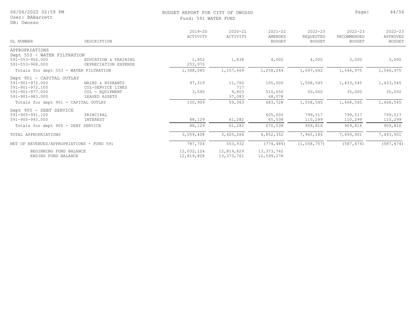| 06/06/2022 02:59 PM |  |  |
|---------------------|--|--|
|---------------------|--|--|

#### User: BABarrett

#### DB: Owosso

#### BUDGET REPORT FOR CITY OF OWOSSO **Page:** 44/56 Fund: 591

| 91 | WATER FUND |  |
|----|------------|--|
|----|------------|--|

| GL NUMBER                                 | DESCRIPTION          | $2019 - 20$<br>ACTIVITY | $2020 - 21$<br>ACTIVITY | $2021 - 22$<br>AMENDED<br><b>BUDGET</b> | $2022 - 23$<br>REQUESTED<br><b>BUDGET</b> | $2022 - 23$<br>RECOMMENDED<br><b>BUDGET</b> | $2022 - 23$<br>APPROVED<br><b>BUDGET</b> |
|-------------------------------------------|----------------------|-------------------------|-------------------------|-----------------------------------------|-------------------------------------------|---------------------------------------------|------------------------------------------|
| APPROPRIATIONS                            |                      |                         |                         |                                         |                                           |                                             |                                          |
| Dept 553 - WATER FILTRATION               |                      |                         |                         |                                         |                                           |                                             |                                          |
| $591 - 553 - 956.000$                     | EDUCATION & TRAINING | 1,952                   | 1,838                   | 4,000                                   | 4,000                                     | 3,000                                       | 3,000                                    |
| $591 - 553 - 968.000$                     | DEPRECIATION EXPENSE | 253,970                 |                         |                                         |                                           |                                             |                                          |
| Totals for dept 553 - WATER FILTRATION    |                      | 1,588,085               | 1,157,469               | 1,258,244                               | 1,697,642                                 | 1,546,975                                   | 1,546,975                                |
| Dept 901 - CAPITAL OUTLAY                 |                      |                         |                         |                                         |                                           |                                             |                                          |
| 591-901-972.000                           | MAINS & HYDRANTS     | 97,319                  | 11,760                  | 105,000                                 | 1,508,545                                 | 1,433,545                                   | 1,433,545                                |
| $591 - 901 - 972.100$                     | COL-SERVICE LINES    |                         | 717                     |                                         |                                           |                                             |                                          |
| $591 - 901 - 977.000$                     | COL - EQUIPMENT      | 3,590                   | 9,803                   | 510,650                                 | 50,000                                    | 35,000                                      | 35,000                                   |
| 591-901-983.000                           | LEASED ASSETS        |                         | 37,083                  | 68,078                                  |                                           |                                             |                                          |
| Totals for dept 901 - CAPITAL OUTLAY      |                      | 100,909                 | 59,363                  | 683,728                                 | 1,558,545                                 | 1,468,545                                   | 1,468,545                                |
| Dept 905 - DEBT SERVICE                   |                      |                         |                         |                                         |                                           |                                             |                                          |
| $591 - 905 - 991.100$                     | PRINCIPAL            |                         |                         | 605,000                                 | 799,517                                   | 799,517                                     | 799,517                                  |
| 591-905-993.000                           | INTEREST             | 88,129                  | 61,282                  | 65,538                                  | 110,299                                   | 110,299                                     | 110,299                                  |
| Totals for dept 905 - DEBT SERVICE        |                      | 88,129                  | 61,282                  | 670,538                                 | 909,816                                   | 909,816                                     | 909,816                                  |
| TOTAL APPROPRIATIONS                      |                      | 3,059,408               | 3,405,264               | 4,852,352                               | 7,965,184                                 | 7,493,901                                   | 7,493,901                                |
| NET OF REVENUES/APPROPRIATIONS - FUND 591 |                      | 787,704                 | 553,932                 | (774, 484)                              | (1, 058, 757)                             | (587, 474)                                  | (587, 474)                               |
| BEGINNING FUND BALANCE                    |                      | 12,032,124              | 12,819,829              | 13, 373, 762                            |                                           |                                             |                                          |
| ENDING FUND BALANCE                       |                      | 12,819,828              | 13, 373, 761            | 12,599,278                              |                                           |                                             |                                          |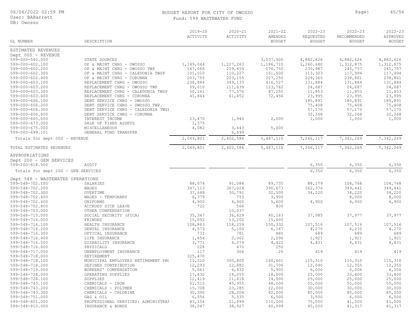User: BABarrett

DB: Owosso

#### BUDGET REPORT FOR CITY OF OWOSSO **Page:** 45/56 ATER FUND

2020-21 ACTIVITY

2022-23 RECOMMENDED

2022-23 REQUESTED

2021-22 AMENDED

2022-23 APPROVED

|          | DUDULI INILUNI LUN UL   |
|----------|-------------------------|
|          | Fund: 599 WASTEWA       |
|          |                         |
|          | $2019 - 20$<br>ACTIVITY |
| CRIPTION |                         |
|          |                         |
|          |                         |

| GL NUMBER                          | DESCRIPTION                        |           |           | <b>BUDGET</b> | <b>BUDGET</b> | <b>BUDGET</b> | <b>BUDGET</b> |
|------------------------------------|------------------------------------|-----------|-----------|---------------|---------------|---------------|---------------|
| ESTIMATED REVENUES                 |                                    |           |           |               |               |               |               |
| Dept 000 - REVENUE                 |                                    |           |           |               |               |               |               |
| 599-000-540.000                    | STATE SOURCES                      |           |           | 3,037,900     | 4,882,626     | 4,882,626     | 4,882,626     |
| 599-000-602.100                    | OP & MAINT CHRG - OWOSSO           | 1,149,044 | 1,227,263 | 1,186,710     | 1,260,680     | 1,312,875     | 1,312,875     |
| 599-000-602.200                    | OP & MAINT CHRG - OWOSSO TWP       | 167,066   | 229,659   | 176,750       | 235,987       | 245,757       | 245,757       |
| 599-000-602.300                    | OP & MAINT CHRG - CALEDONIA TWSP   | 101,010   | 110,227   | 151,500       | 113,303       | 117,994       | 117,994       |
| $599 - 000 - 602.400$              | OP & MAINT CHRG - CORUNNA          | 203,755   | 223,155   | 227,250       | 229,365       | 238,861       | 238,861       |
| 599-000-603.100                    | REPLACEMENT CHRG - OWOSSO          | 238,884   | 349,133   | 416,527       | 131,884       | 131,884       | 131,884       |
| 599-000-603.200                    | REPLACEMENT CHRG - OWOSSO TWP      | 69,010    | 111,639   | 123,762       | 24,687        | 24,687        | 24,687        |
| 599-000-603.300                    | REPLACEMENT CHRG - CALEDONIA TWSP  | 50, 261   | 77,576    | 87,255        | 11,853        | 11,853        | 11,853        |
| $599 - 000 - 603.400$              | REPLACEMENT CHRG - CORUNNA         | 41,844    | 61,652    | 72,456        | 23,995        | 23,995        | 23,995        |
| 599-000-606.100                    | DEBT SERVICE CHRG - OWOSSO         |           |           |               | 185,891       | 185,891       | 185,891       |
| 599-000-606.200                    | DEBT SERVICE CHRG - OWOSSO TWP.    |           |           |               | 75,408        | 75,408        | 75,408        |
| 599-000-606.300                    | DEBT SERVICE CHRG - CALEDONIA TWSI |           |           |               | 57,170        | 57,170        | 57,170        |
| 599-000-606.400                    | DEBT SERVICE CHRG - CORUNNA        |           |           |               | 32,268        | 32,268        | 32,268        |
| $599 - 000 - 665.000$              | INTEREST INCOME                    | 23,470    | 1,940     | 2,000         | 1,000         | 1,000         | 1,000         |
| 599-000-673.000                    | SALE OF FIXED ASSETS               | 1,375     |           |               |               |               |               |
| 599-000-675.000                    | <b>MISCELLANEOUS</b>               | 4,082     | 3,643     | 5,000         |               |               |               |
| 599-000-699.101                    | GENERAL FUND TRANSFER              |           | 6,699     |               |               |               |               |
| Totals for dept 000 - REVENUE      |                                    | 2,049,801 | 2,402,586 | 5,487,110     | 7,266,117     | 7,342,269     | 7,342,269     |
| TOTAL ESTIMATED REVENUES           |                                    | 2,049,801 | 2,402,586 | 5,487,110     | 7,266,117     | 7,342,269     | 7,342,269     |
| APPROPRIATIONS                     |                                    |           |           |               |               |               |               |
| Dept 200 - GEN SERVICES            |                                    |           |           |               |               |               |               |
| 599-200-818.500                    | AUDIT                              |           |           |               | 6,350         | 6,350         | 6,350         |
| Totals for dept 200 - GEN SERVICES |                                    |           |           |               | 6,350         | 6,350         | 6,350         |
| Dept 548 - WASTEWATER OPERATIONS   |                                    |           |           |               |               |               |               |
| 599-548-702.100                    | SALARIES                           | 88,074    | 91,084    | 89,735        | 88,179        | 104,768       | 104,768       |
| 599-548-702.200                    | WAGES                              | 347,113   | 367,024   | 390,673       | 362,376       | 349,441       | 349,441       |
| 599-548-702.300                    | OVERTIME                           | 37,648    | 30,791    | 32,500        | 34,220        | 34,220        | 34,220        |
| 599-548-702.400                    | WAGES - TEMPORARY                  | 6,379     | 753       | 3,900         |               | 8,000         | 8,000         |
| 599-548-702.600                    | UNIFORMS                           | 4,900     | 4,900     | 5,600         | 4,900         | 4,900         | 4,900         |
| 599-548-702.800                    | ACCRUED SICK LEAVE                 | 722       | 564       | 800           |               |               |               |
| 599-548-703.000                    | OTHER COMPENSATION                 |           | 10,037    |               |               |               |               |
| 599-548-715.000                    | SOCIAL SECURITY (FICA)             | 35,347    | 36,629    | 40,163        | 37,085        | 37,977        | 37,977        |
| 599-548-716.000                    | FRINGES                            | 15,092    | 13,202    | 15,000        |               |               |               |
| 599-548-716.100                    | HEALTH INSURANCE                   | 108,863   | 118,259   | 150,332       | 107,516       | 107,516       | 107,516       |
| 599-548-716.200                    | DENTAL INSURANCE                   | 4,573     | 5,100     | 6,147         | 4,270         | 4,270         | 4,270         |
| 599-548-716.300                    | OPTICAL INSURANCE                  | 731       | 781       | 880           | 689           | 689           | 689           |
| 599-548-716.400                    | LIFE INSURANCE                     | 1,654     | 2,062     | 2,296         | 1,921         | 1,921         | 1,921         |
| 599-548-716.500                    | DISABILITY INSURANCE               | 3,771     | 4,079     | 4,422         | 4,431         | 4,431         | 4,431         |
| 599-548-716.600                    | PHYSICALS                          | 228       | 470       | 250           |               |               |               |
| 599-548-717.000                    | UNEMPLOYMENT INSURANCE             | 117       | 306       | 25            | 419           | 419           | 419           |
| 599-548-718.000                    | RETIREMENT                         | 325,470   |           |               |               |               |               |
| 599-548-718.100                    | MUNICIPAL EMPLOYEES RETIREMENT PRO | 11,310    | 350,800   | 140,601       | 115,310       | 115,310       | 115,310       |
| 599-548-718.200                    | DEFINED CONTRIBUTION               | 12,293    | 12,882    | 31,706        | 12,090        | 12,355        | 12,355        |
| 599-548-719.000                    | WORKERS' COMPENSATION              | 5,661     | 4,432     | 5,900         | 6,000         | 6,006         | 6,006         |
| 599-548-728.000                    | OPERATING SUPPLIES                 | 17,430    | 14,055    | 18,000        | 25,000        | 33,400        | 33,400        |
| 599-548-728.100                    | SUPPLIES                           | 12,419    | 11,418    | 14,500        | 25,000        | 25,000        | 25,000        |
| 599-548-743.100                    | CHEMICALS - IRON                   | 51, 515   | 45,955    | 48,000        | 55,000        | 55,000        | 55,000        |
| 599-548-743.200                    | CHEMICALS - POLYMER                | 15,708    | 23,285    | 22,000        | 30,000        | 30,000        | 30,000        |
| 599-548-743.300                    | CHEMICALS - CHLORINE               | 35,395    | 28,204    | 42,000        | 85,000        | 85,000        | 85,000        |
| 599-548-751.000                    | GAS & OIL                          | 6,556     | 5,535     | 6,500         | 3,500         | 6,000         | 6,000         |
| 599-548-801.000                    | PROFESSIONAL SERVICES: ADMINISTRAT | 83,154    | 21,899    | 110,000       | 75,000        | 41,000        | 41,000        |
| 599-548-810.000                    | INSURANCE & BONDS                  | 38,047    | 38,927    | 40,099        | 45,000        | 41,317        | 41,317        |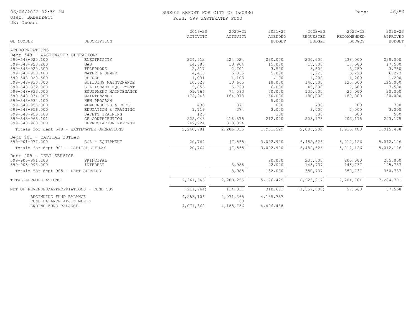06/06/2022 02:59 PM

#### BUDGET REPORT FOR CITY OF OWOSSO **Page:** 46/56 Fund: 599 WASTEWATER FUND

| GL NUMBER                                       | DESCRIPTION           | $2019 - 20$<br>ACTIVITY | $2020 - 21$<br>ACTIVITY | $2021 - 22$<br>AMENDED<br><b>BUDGET</b> | $2022 - 23$<br>REQUESTED<br><b>BUDGET</b> | $2022 - 23$<br>RECOMMENDED<br><b>BUDGET</b> | $2022 - 23$<br>APPROVED<br><b>BUDGET</b> |
|-------------------------------------------------|-----------------------|-------------------------|-------------------------|-----------------------------------------|-------------------------------------------|---------------------------------------------|------------------------------------------|
| APPROPRIATIONS                                  |                       |                         |                         |                                         |                                           |                                             |                                          |
| Dept 548 - WASTEWATER OPERATIONS                |                       |                         |                         |                                         |                                           |                                             |                                          |
| 599-548-920.100                                 | ELECTRICITY           | 224,912                 | 224,024                 | 230,000                                 | 230,000                                   | 238,000                                     | 238,000                                  |
| 599-548-920.200                                 | GAS                   | 14,686                  | 13,904                  | 15,000                                  | 15,000                                    | 17,500                                      | 17,500                                   |
| 599-548-920.300                                 | TELEPHONE             | 2,817                   | 2,701                   | 3,500                                   | 3,500                                     | 3,750                                       | 3,750                                    |
| 599-548-920.400                                 | WATER & SEWER         | 4,418                   | 5,035                   | 5,000                                   | 6,223                                     | 6,223                                       | 6,223                                    |
| 599-548-920.500                                 | REFUSE                | 1,031                   | 1,103                   | 1,100                                   | 1,200                                     | 1,200                                       | 1,200                                    |
| 599-548-930.000                                 | BUILDING MAINTENANCE  | 10,628                  | 13,665                  | 18,000                                  | 140,000                                   | 125,000                                     | 125,000                                  |
| 599-548-932.000                                 | STATIONARY EQUIPMENT  | 5,855                   | 5,760                   | 6,000                                   | 45,000                                    | 7,500                                       | 7,500                                    |
| 599-548-933.000                                 | EQUIPMENT MAINTENANCE | 59,766                  | 74,593                  | 70,000                                  | 135,000                                   | 20,000                                      | 20,000                                   |
| 599-548-934.000                                 | MAINTENANCE           | 172,243                 | 164,973                 | 160,000                                 | 180,000                                   | 180,000                                     | 180,000                                  |
| 599-548-934.100                                 | HHW PROGRAM           |                         |                         | 5,000                                   |                                           |                                             |                                          |
| 599-548-955.000                                 | MEMBERSHIPS & DUES    | 438                     | 371                     | 600                                     | 700                                       | 700                                         | 700                                      |
| 599-548-956.000                                 | EDUCATION & TRAINING  | 1,719                   | 374                     | 3,000                                   | 3,000                                     | 3,000                                       | 3,000                                    |
| 599-548-956.100                                 | SAFETY TRAINING       | 126                     |                         | 300                                     | 500                                       | 500                                         | 500                                      |
| 599-548-965.101                                 | GF CONTRIBUTION       | 222,048                 | 218,875                 | 212,000                                 | 203,175                                   | 203,175                                     | 203,175                                  |
| 599-548-968.000                                 | DEPRECIATION EXPENSE  | 249,924                 | 318,024                 |                                         |                                           |                                             |                                          |
| Totals for dept 548 - WASTEWATER OPERATIONS     |                       | 2,240,781               | 2,286,835               | 1,951,529                               | 2,086,204                                 | 1,915,488                                   | 1,915,488                                |
| Dept 901 - CAPITAL OUTLAY                       |                       |                         |                         |                                         |                                           |                                             |                                          |
| 599-901-977.000                                 | COL - EQUIPMENT       | 20,764                  | (7, 565)                | 3,092,900                               | 6,482,626                                 | 5,012,126                                   | 5,012,126                                |
| Totals for dept 901 - CAPITAL OUTLAY            |                       | 20,764                  | (7, 565)                | 3,092,900                               | 6,482,626                                 | 5,012,126                                   | 5,012,126                                |
| Dept 905 - DEBT SERVICE                         |                       |                         |                         |                                         |                                           |                                             |                                          |
| 599-905-991.100                                 | PRINCIPAL             |                         |                         | 90,000                                  | 205,000                                   | 205,000                                     | 205,000                                  |
| 599-905-993.000                                 | INTEREST              |                         | 8,985                   | 42,000                                  | 145,737                                   | 145,737                                     | 145,737                                  |
| Totals for dept 905 - DEBT SERVICE              |                       |                         | 8,985                   | 132,000                                 | 350,737                                   | 350,737                                     | 350,737                                  |
|                                                 |                       |                         |                         |                                         |                                           |                                             |                                          |
| TOTAL APPROPRIATIONS                            |                       | 2, 261, 545             | 2,288,255               | 5,176,429                               | 8,925,917                                 | 7,284,701                                   | 7,284,701                                |
| NET OF REVENUES/APPROPRIATIONS - FUND 599       |                       | (211, 744)              | 114,331                 | 310,681                                 | (1, 659, 800)                             | 57,568                                      | 57,568                                   |
| BEGINNING FUND BALANCE                          |                       | 4,283,106               | 4,071,365               | 4,185,757                               |                                           |                                             |                                          |
| FUND BALANCE ADJUSTMENTS<br>ENDING FUND BALANCE |                       | 4,071,362               | 60<br>4,185,756         | 4,496,438                               |                                           |                                             |                                          |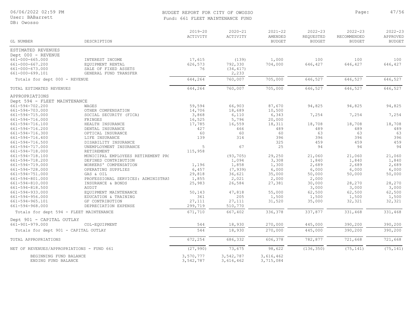User: BABarrett

DB: Owosso

#### BUDGET REPORT FOR CITY OF OWOSSO **Page:** 47/56 Fund: 661 FLEET MAINTENANCE FUND

| DB: Owosso                            |                        |                         |                         |                                         |                                    |                                             |                                          |  |  |
|---------------------------------------|------------------------|-------------------------|-------------------------|-----------------------------------------|------------------------------------|---------------------------------------------|------------------------------------------|--|--|
| GL NUMBER                             | DESCRIPTION            | $2019 - 20$<br>ACTIVITY | $2020 - 21$<br>ACTIVITY | $2021 - 22$<br>AMENDED<br><b>BUDGET</b> | $2022 - 23$<br>REQUESTED<br>BUDGET | $2022 - 23$<br>RECOMMENDED<br><b>BUDGET</b> | $2022 - 23$<br>APPROVED<br><b>BUDGET</b> |  |  |
| ESTIMATED REVENUES                    |                        |                         |                         |                                         |                                    |                                             |                                          |  |  |
| Dept 000 - REVENUE<br>661-000-665.000 | INTEREST INCOME        | 17,615                  | (139)                   |                                         | 100                                | 100                                         | 100                                      |  |  |
| 661-000-667.200                       | EQUIPMENT RENTAL       | 626,573                 | 792,330                 | 1,000<br>704,000                        | 646,427                            | 646,427                                     | 646,427                                  |  |  |
| 661-000-673.000                       | SALE OF FIXED ASSETS   | 76                      | (34, 417)               |                                         |                                    |                                             |                                          |  |  |
| 661-000-699.101                       | GENERAL FUND TRANSFER  |                         | 2,233                   |                                         |                                    |                                             |                                          |  |  |
| Totals for dept 000 - REVENUE         |                        | 644,264                 | 760,007                 | 705,000                                 | 646,527                            | 646,527                                     | 646,527                                  |  |  |
| TOTAL ESTIMATED REVENUES              |                        | 644,264                 | 760,007                 | 705,000                                 | 646,527                            | 646,527                                     | 646,527                                  |  |  |
| APPROPRIATIONS                        |                        |                         |                         |                                         |                                    |                                             |                                          |  |  |
| Dept 594 - FLEET MAINTENANCE          |                        |                         |                         |                                         |                                    |                                             |                                          |  |  |
| 661-594-702.200                       | WAGES                  | 59,594                  | 66,903                  | 87,670                                  | 94,825                             | 94,825                                      | 94,825                                   |  |  |
| 661-594-703.000                       | OTHER COMPENSATION     | 14,706                  | 18,689                  | 10,500                                  |                                    |                                             |                                          |  |  |
| 661-594-715.000                       | SOCIAL SECURITY (FICA) | 3,868                   | 6,110                   | 6,343                                   | 7,254                              | 7,254                                       | 7,254                                    |  |  |
| 661-594-716.000                       | FRINGES                | 16,525                  | 5,796                   | 20,000                                  |                                    |                                             |                                          |  |  |
| 661-594-716.100                       | HEALTH INSURANCE       | 17,785                  | 16,559                  | 18,311                                  | 18,708                             | 18,708                                      | 18,708                                   |  |  |
| 661-594-716.200                       | DENTAL INSURANCE       | 427                     | 466                     | 489                                     | 489                                | 489                                         | 489                                      |  |  |
| 661_501_716 300                       | COMMAN TNOTIDANCE      | 60 <sup>2</sup>         | 60                      | 50 <sup>2</sup>                         | 63                                 | 63                                          | 63                                       |  |  |

|                                           |                                    |           |           | 1001000   |            |           |           |
|-------------------------------------------|------------------------------------|-----------|-----------|-----------|------------|-----------|-----------|
| APPROPRIATIONS                            |                                    |           |           |           |            |           |           |
| Dept 594 - FLEET MAINTENANCE              |                                    |           |           |           |            |           |           |
| 661-594-702.200                           | WAGES                              | 59,594    | 66,903    | 87,670    | 94,825     | 94,825    | 94,825    |
| 661-594-703.000                           | OTHER COMPENSATION                 | 14,706    | 18,689    | 10,500    |            |           |           |
| 661-594-715.000                           | SOCIAL SECURITY (FICA)             | 3,868     | 6,110     | 6,343     | 7,254      | 7,254     | 7,254     |
| 661-594-716.000                           | FRINGES                            | 16,525    | 5,796     | 20,000    |            |           |           |
| 661-594-716.100                           | HEALTH INSURANCE                   | 17,785    | 16,559    | 18,311    | 18,708     | 18,708    | 18,708    |
| 661-594-716.200                           | DENTAL INSURANCE                   | 427       | 466       | 489       | 489        | 489       | 489       |
| 661-594-716.300                           | OPTICAL INSURANCE                  | 60        | 60        | 60        | 63         | 63        | 63        |
| 661-594-716.400                           | LIFE INSURANCE                     | 139       | 314       | 396       | 396        | 396       | 396       |
| 661-594-716.500                           | DISABILITY INSURANCE               |           |           | 325       | 459        | 459       | 459       |
| 661-594-717.000                           | UNEMPLOYMENT INSURANCE             | 5         | 67        | 25        | 94         | 94        | 94        |
| 661-594-718.000                           | RETIREMENT                         | 115,958   |           |           |            |           |           |
| 661-594-718.100                           | MUNICIPAL EMPLOYEES RETIREMENT PRO |           | (93, 705) | 29,250    | 21,060     | 21,060    | 21,060    |
| 661-594-718.200                           | DEFINED CONTRIBUTION               |           | 1,094     | 3,308     | 1,840      | 1,840     | 1,840     |
| 661-594-719.000                           | WORKERS' COMPENSATION              | 1,196     | 1,858     | 1,300     | 2,689      | 2,689     | 2,689     |
| 661-594-728.000                           | OPERATING SUPPLIES                 | 6,457     | (7, 939)  | 6,000     | 6,000      | 6,000     | 6,000     |
| 661-594-751.000                           | GAS & OIL                          | 29,818    | 36,621    | 35,000    | 50,000     | 50,000    | 50,000    |
| 661-594-801.000                           | PROFESSIONAL SERVICES: ADMINISTRAT | 1,855     | 2,021     | 2,000     | 2,000      |           |           |
| 661-594-810.000                           | INSURANCE & BONDS                  | 25,983    | 26,584    | 27,381    | 30,000     | 28,270    | 28,270    |
| 661-594-818.500                           | AUDIT                              |           |           |           | 3,000      | 3,000     | 3,000     |
| 661-594-933.000                           | EQUIPMENT MAINTENANCE              | 50,143    | 47,818    | 55,000    | 62,500     | 62,500    | 62,500    |
| 661-594-956.000                           | EDUCATION & TRAINING               | 361       | 205       | 1,500     | 1,500      | 1,500     | 1,500     |
| 661-594-965.101                           | GF CONTRIBUTION                    | 27,111    | 27,111    | 31,520    | 35,000     | 32,321    | 32,321    |
| 661-594-968.000                           | DEPRECIATION EXPENSE               | 299,719   | 510,770   |           |            |           |           |
| Totals for dept 594 - FLEET MAINTENANCE   |                                    | 671,710   | 667,402   | 336,378   | 337,877    | 331,468   | 331,468   |
| Dept 901 - CAPITAL OUTLAY                 |                                    |           |           |           |            |           |           |
| 661-901-979.000                           | COL-EQUIPMENT                      | 544       | 18,930    | 270,000   | 445,000    | 390,200   | 390,200   |
| Totals for dept 901 - CAPITAL OUTLAY      |                                    | 544       | 18,930    | 270,000   | 445,000    | 390,200   | 390,200   |
| TOTAL APPROPRIATIONS                      |                                    | 672,254   | 686,332   | 606,378   | 782,877    | 721,668   | 721,668   |
| NET OF REVENUES/APPROPRIATIONS - FUND 661 |                                    | (27, 990) | 73,675    | 98,622    | (136, 350) | (75, 141) | (75, 141) |
| BEGINNING FUND BALANCE                    |                                    | 3,570,777 | 3,542,787 | 3,616,462 |            |           |           |
| ENDING FUND BALANCE                       |                                    | 3,542,787 | 3,616,462 | 3,715,084 |            |           |           |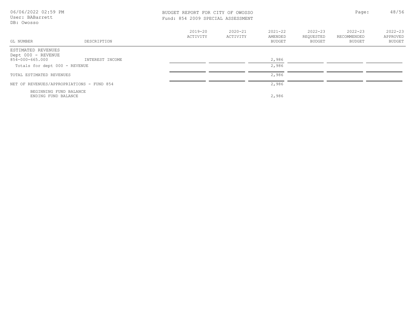| 06/06/2022 02:59 PM<br>User: BABarrett<br>DB: Owosso        |                 |                         | Page:<br>BUDGET REPORT FOR CITY OF OWOSSO<br>Fund: 854 2009 SPECIAL ASSESSMENT |                                         |                                           |                                             |                                   |
|-------------------------------------------------------------|-----------------|-------------------------|--------------------------------------------------------------------------------|-----------------------------------------|-------------------------------------------|---------------------------------------------|-----------------------------------|
| GL NUMBER                                                   | DESCRIPTION     | $2019 - 20$<br>ACTIVITY | $2020 - 21$<br>ACTIVITY                                                        | $2021 - 22$<br>AMENDED<br><b>BUDGET</b> | $2022 - 23$<br>REQUESTED<br><b>BUDGET</b> | $2022 - 23$<br>RECOMMENDED<br><b>BUDGET</b> | $2022 - 23$<br>APPROVED<br>BUDGET |
| ESTIMATED REVENUES<br>Dept 000 - REVENUE<br>854-000-665.000 | INTEREST INCOME |                         |                                                                                | 2,986                                   |                                           |                                             |                                   |
| Totals for dept 000 - REVENUE                               |                 |                         |                                                                                | 2,986                                   |                                           |                                             |                                   |
| TOTAL ESTIMATED REVENUES                                    |                 |                         |                                                                                | 2,986                                   |                                           |                                             |                                   |
| NET OF REVENUES/APPROPRIATIONS - FUND 854                   |                 |                         |                                                                                | 2,986                                   |                                           |                                             |                                   |
| BEGINNING FUND BALANCE<br>ENDING FUND BALANCE               |                 |                         |                                                                                | 2,986                                   |                                           |                                             |                                   |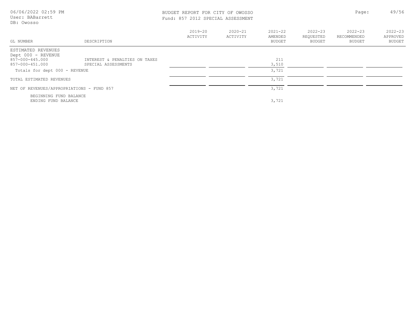| 06/06/2022 02:59 PM<br>User: BABarrett<br>DB: Owosso        |                               | BUDGET REPORT FOR CITY OF OWOSSO<br>Fund: 857 2012 SPECIAL ASSESSMENT |                         |                                         |                                    | Page:                                | 49/56                                    |
|-------------------------------------------------------------|-------------------------------|-----------------------------------------------------------------------|-------------------------|-----------------------------------------|------------------------------------|--------------------------------------|------------------------------------------|
| GL NUMBER                                                   | DESCRIPTION                   | $2019 - 20$<br>ACTIVITY                                               | $2020 - 21$<br>ACTIVITY | $2021 - 22$<br>AMENDED<br><b>BUDGET</b> | $2022 - 23$<br>REQUESTED<br>BUDGET | $2022 - 23$<br>RECOMMENDED<br>BUDGET | $2022 - 23$<br>APPROVED<br><b>BUDGET</b> |
| ESTIMATED REVENUES<br>Dept 000 - REVENUE<br>857-000-445.000 | INTEREST & PENALTIES ON TAXES |                                                                       |                         | 211                                     |                                    |                                      |                                          |
| 857-000-451.000                                             | SPECIAL ASSESSMENTS           |                                                                       |                         | 3,510                                   |                                    |                                      |                                          |
| Totals for dept 000 - REVENUE                               |                               |                                                                       |                         | 3,721                                   |                                    |                                      |                                          |
| TOTAL ESTIMATED REVENUES                                    |                               |                                                                       |                         | 3,721                                   |                                    |                                      |                                          |
| NET OF REVENUES/APPROPRIATIONS - FUND 857                   |                               |                                                                       |                         | 3,721                                   |                                    |                                      |                                          |
| BEGINNING FUND BALANCE<br>ENDING FUND BALANCE               |                               |                                                                       |                         | 3,721                                   |                                    |                                      |                                          |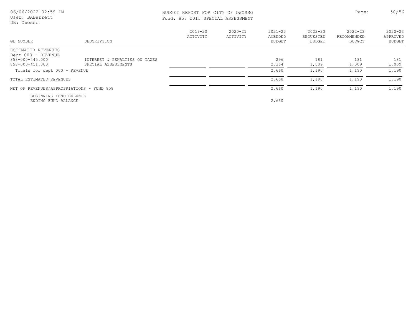| 06/06/2022 02:59 PM<br>User: BABarrett<br>DB: Owosso |                                                      | BUDGET REPORT FOR CITY OF OWOSSO<br>Fund: 858 2013 SPECIAL ASSESSMENT |                         |                                         |                                           | Page:                                | 50/56                             |
|------------------------------------------------------|------------------------------------------------------|-----------------------------------------------------------------------|-------------------------|-----------------------------------------|-------------------------------------------|--------------------------------------|-----------------------------------|
| GL NUMBER                                            | DESCRIPTION                                          | $2019 - 20$<br><b>ACTIVITY</b>                                        | $2020 - 21$<br>ACTIVITY | $2021 - 22$<br>AMENDED<br><b>BUDGET</b> | $2022 - 23$<br>REOUESTED<br><b>BUDGET</b> | $2022 - 23$<br>RECOMMENDED<br>BUDGET | $2022 - 23$<br>APPROVED<br>BUDGET |
| ESTIMATED REVENUES<br>Dept 000 - REVENUE             |                                                      |                                                                       |                         |                                         |                                           |                                      |                                   |
| 858-000-445.000<br>858-000-451.000                   | INTEREST & PENALTIES ON TAXES<br>SPECIAL ASSESSMENTS |                                                                       |                         | 296<br>2,364                            | 181<br>1,009                              | 181<br>1,009                         | 181<br>1,009                      |
| Totals for dept 000 - REVENUE                        |                                                      |                                                                       |                         | 2,660                                   | 1,190                                     | 1,190                                | 1,190                             |
| TOTAL ESTIMATED REVENUES                             |                                                      |                                                                       |                         | 2,660                                   | 1,190                                     | 1,190                                | 1,190                             |
| NET OF REVENUES/APPROPRIATIONS - FUND 858            |                                                      |                                                                       |                         | 2,660                                   | 1,190                                     | 1,190                                | 1,190                             |
| BEGINNING FUND BALANCE<br>ENDING FUND BALANCE        |                                                      |                                                                       |                         | 2,660                                   |                                           |                                      |                                   |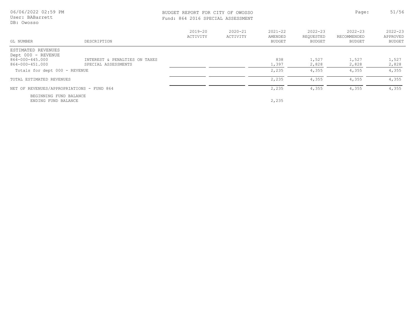| 06/06/2022 02:59 PM<br>BUDGET REPORT FOR CITY OF OWOSSO<br>User: BABarrett<br>Fund: 864 2016 SPECIAL ASSESSMENT<br>DB: Owosso |                                                      |                         |                         |                                         | Page:                              | 51/56                                       |                                   |
|-------------------------------------------------------------------------------------------------------------------------------|------------------------------------------------------|-------------------------|-------------------------|-----------------------------------------|------------------------------------|---------------------------------------------|-----------------------------------|
| GL NUMBER                                                                                                                     | DESCRIPTION                                          | $2019 - 20$<br>ACTIVITY | $2020 - 21$<br>ACTIVITY | $2021 - 22$<br>AMENDED<br><b>BUDGET</b> | $2022 - 23$<br>REOUESTED<br>BUDGET | $2022 - 23$<br>RECOMMENDED<br><b>BUDGET</b> | $2022 - 23$<br>APPROVED<br>BUDGET |
| ESTIMATED REVENUES<br>Dept 000 - REVENUE                                                                                      |                                                      |                         |                         |                                         |                                    |                                             |                                   |
| 864-000-445.000<br>864-000-451.000                                                                                            | INTEREST & PENALTIES ON TAXES<br>SPECIAL ASSESSMENTS |                         |                         | 838<br>1,397                            | 1,527<br>2,828                     | 1,527<br>2,828                              | 1,527<br>2,828                    |
| Totals for dept 000 - REVENUE                                                                                                 |                                                      |                         |                         | 2,235                                   | 4,355                              | 4,355                                       | 4,355                             |
| TOTAL ESTIMATED REVENUES                                                                                                      |                                                      |                         |                         | 2,235                                   | 4,355                              | 4,355                                       | 4,355                             |
| NET OF REVENUES/APPROPRIATIONS - FUND 864                                                                                     |                                                      |                         |                         | 2,235                                   | 4,355                              | 4,355                                       | 4,355                             |
| BEGINNING FUND BALANCE<br>ENDING FUND BALANCE                                                                                 |                                                      |                         |                         | 2,235                                   |                                    |                                             |                                   |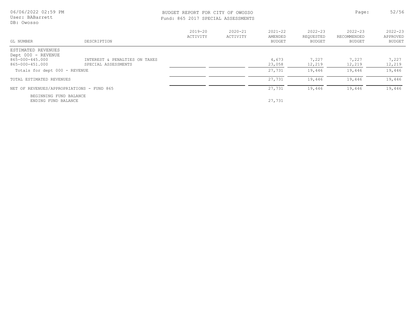| 06/06/2022 02:59 PM |  |  |
|---------------------|--|--|
| User: BABarrett     |  |  |
| DB: Owosso          |  |  |

#### BUDGET REPORT FOR CITY OF OWOSSO SECOND Page: 52/56 Fund: 865 2017 SPECIAL ASSESSMENTS

| GL NUMBER                                                                      | DESCRIPTION                                          | 2019-20<br>ACTIVITY | $2020 - 21$<br>ACTIVITY | $2021 - 22$<br>AMENDED<br>BUDGET | $2022 - 23$<br>REQUESTED<br><b>BUDGET</b> | $2022 - 23$<br>RECOMMENDED<br>BUDGET | $2022 - 23$<br>APPROVED<br><b>BUDGET</b> |
|--------------------------------------------------------------------------------|------------------------------------------------------|---------------------|-------------------------|----------------------------------|-------------------------------------------|--------------------------------------|------------------------------------------|
| ESTIMATED REVENUES<br>Dept 000 - REVENUE<br>865-000-445.000<br>865-000-451.000 | INTEREST & PENALTIES ON TAXES<br>SPECIAL ASSESSMENTS |                     |                         | 4,673<br>23,058                  | 7,227<br>12,219                           | 7,227<br>12,219                      | 7,227<br>12,219                          |
| Totals for dept 000 - REVENUE                                                  |                                                      |                     |                         | 27,731                           | 19,446                                    | 19,446                               | 19,446                                   |
| TOTAL ESTIMATED REVENUES                                                       |                                                      |                     |                         | 27,731                           | 19,446                                    | 19,446                               | 19,446                                   |
| NET OF REVENUES/APPROPRIATIONS - FUND 865                                      |                                                      |                     |                         | 27,731                           | 19,446                                    | 19,446                               | 19,446                                   |
| BEGINNING FUND BALANCE<br>ENDING FUND BALANCE                                  |                                                      |                     |                         | 27,731                           |                                           |                                      |                                          |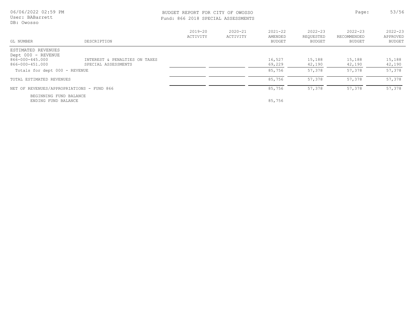#### BUDGET REPORT FOR CITY OF OWOSSO **Page:** 53/56 Fund: 866 2018 SPECIAL ASSESSMENTS

| GL NUMBER                                                                                                       | DESCRIPTION                                          | $2019 - 20$<br>ACTIVITY | $2020 - 21$<br>ACTIVITY | $2021 - 22$<br>AMENDED<br>BUDGET | $2022 - 23$<br>REQUESTED<br>BUDGET | $2022 - 23$<br>RECOMMENDED<br>BUDGET | $2022 - 23$<br>APPROVED<br><b>BUDGET</b> |
|-----------------------------------------------------------------------------------------------------------------|------------------------------------------------------|-------------------------|-------------------------|----------------------------------|------------------------------------|--------------------------------------|------------------------------------------|
| ESTIMATED REVENUES<br>Dept 000 - REVENUE<br>866-000-445.000<br>866-000-451.000<br>Totals for dept 000 - REVENUE | INTEREST & PENALTIES ON TAXES<br>SPECIAL ASSESSMENTS |                         |                         | 16,527<br>69,229<br>85,756       | 15,188<br>42,190<br>57,378         | 15,188<br>42,190<br>57,378           | 15,188<br>42,190<br>57,378               |
| TOTAL ESTIMATED REVENUES                                                                                        |                                                      |                         |                         | 85,756                           | 57,378                             | 57,378                               | 57,378                                   |
| NET OF REVENUES/APPROPRIATIONS - FUND 866                                                                       |                                                      |                         |                         | 85,756                           | 57,378                             | 57,378                               | 57,378                                   |
| BEGINNING FUND BALANCE<br>ENDING FUND BALANCE                                                                   |                                                      |                         |                         | 85,756                           |                                    |                                      |                                          |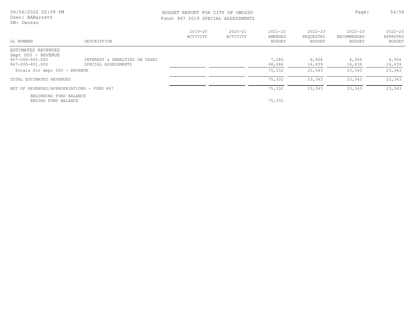| 06/06/2022 02:59 PM |  |
|---------------------|--|
| User: BABarrett     |  |
| DB: Owosso          |  |

# BUDGET REPORT FOR CITY OF OWOSSO Page: 54/56

|  |  | Fund: 867 2019 SPECIAL ASSESSMENTS |
|--|--|------------------------------------|
|  |  |                                    |

| GL NUMBER                                                                      | DESCRIPTION                                          | $2019 - 20$<br>ACTIVITY | $2020 - 21$<br>ACTIVITY | $2021 - 22$<br>AMENDED<br>BUDGET | $2022 - 23$<br>REOUESTED<br>BUDGET | $2022 - 23$<br>RECOMMENDED<br><b>BUDGET</b> | $2022 - 23$<br>APPROVED<br>BUDGET |
|--------------------------------------------------------------------------------|------------------------------------------------------|-------------------------|-------------------------|----------------------------------|------------------------------------|---------------------------------------------|-----------------------------------|
| ESTIMATED REVENUES<br>Dept 000 - REVENUE<br>867-000-445.000<br>867-000-451.000 | INTEREST & PENALTIES ON TAXES<br>SPECIAL ASSESSMENTS |                         |                         | 7,286<br>68,046                  | 6,904<br>16,439                    | 6,904<br>16,439                             | 6,904<br>16,439                   |
| Totals for dept 000 - REVENUE                                                  |                                                      |                         |                         | 75,332                           | 23,343                             | 23,343                                      | 23,343                            |
| TOTAL ESTIMATED REVENUES                                                       |                                                      |                         |                         | 75,332                           | 23,343                             | 23,343                                      | 23,343                            |
| NET OF REVENUES/APPROPRIATIONS - FUND 867                                      |                                                      |                         |                         | 75,332                           | 23,343                             | 23,343                                      | 23,343                            |
| BEGINNING FUND BALANCE<br>ENDING FUND BALANCE                                  |                                                      |                         |                         | 75,332                           |                                    |                                             |                                   |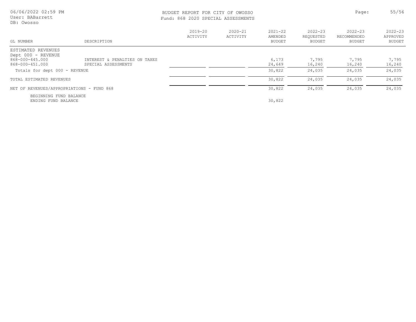|            | 06/06/2022 02:59 PM |  |
|------------|---------------------|--|
|            | User: BABarrett     |  |
| DB: Owosso |                     |  |

#### BUDGET REPORT FOR CITY OF OWOSSO SECOND Page: 55/56 Fund: 868 2020 SPECIAL ASSESSMENTS

| GL NUMBER                                                                      | DESCRIPTION                                          | $2019 - 20$<br>ACTIVITY | $2020 - 21$<br>ACTIVITY | $2021 - 22$<br>AMENDED<br>BUDGET | $2022 - 23$<br>REQUESTED<br>BUDGET | $2022 - 23$<br>RECOMMENDED<br><b>BUDGET</b> | $2022 - 23$<br>APPROVED<br>BUDGET |
|--------------------------------------------------------------------------------|------------------------------------------------------|-------------------------|-------------------------|----------------------------------|------------------------------------|---------------------------------------------|-----------------------------------|
| ESTIMATED REVENUES<br>Dept 000 - REVENUE<br>868-000-445.000<br>868-000-451.000 | INTEREST & PENALTIES ON TAXES<br>SPECIAL ASSESSMENTS |                         |                         | 6,173<br>24,649                  | 7,795<br>16,240                    | 7,795<br>16,240                             | 7,795<br>16,240                   |
| Totals for dept 000 - REVENUE                                                  |                                                      |                         |                         | 30,822                           | 24,035                             | 24,035                                      | 24,035                            |
| TOTAL ESTIMATED REVENUES                                                       |                                                      |                         |                         | 30,822                           | 24,035                             | 24,035                                      | 24,035                            |
| NET OF REVENUES/APPROPRIATIONS - FUND 868                                      |                                                      |                         |                         | 30,822                           | 24,035                             | 24,035                                      | 24,035                            |
| BEGINNING FUND BALANCE<br>ENDING FUND BALANCE                                  |                                                      |                         |                         | 30,822                           |                                    |                                             |                                   |